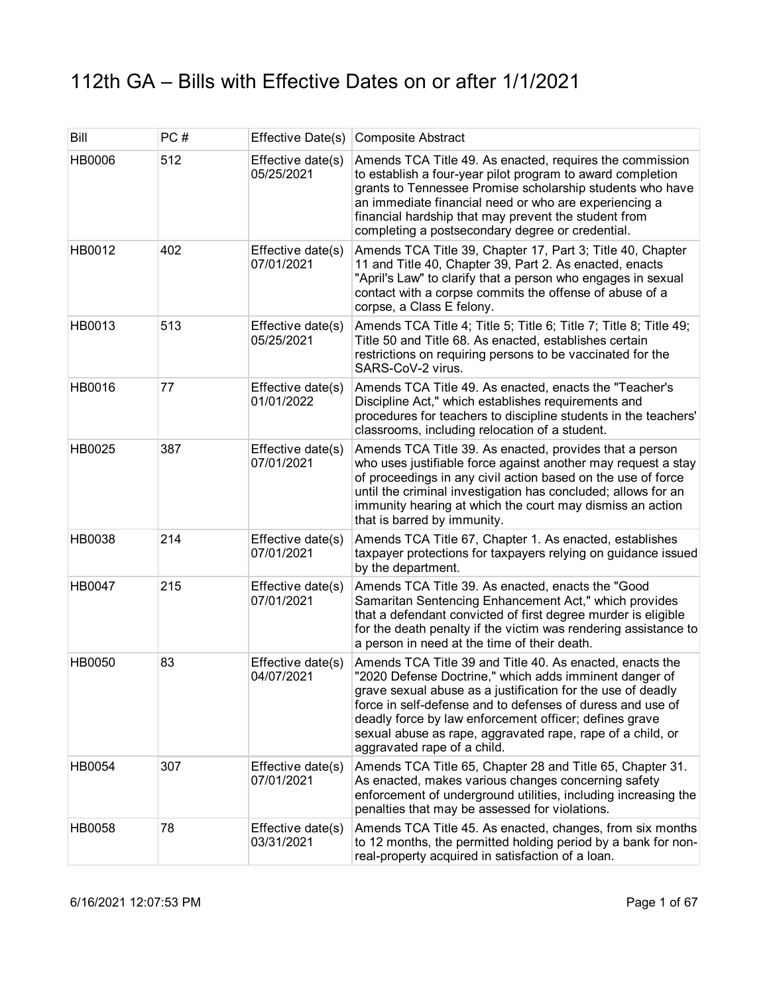| Bill          | PC# |                                 | Effective Date(s) Composite Abstract                                                                                                                                                                                                                                                                                                                                                                   |
|---------------|-----|---------------------------------|--------------------------------------------------------------------------------------------------------------------------------------------------------------------------------------------------------------------------------------------------------------------------------------------------------------------------------------------------------------------------------------------------------|
| HB0006        | 512 | Effective date(s)<br>05/25/2021 | Amends TCA Title 49. As enacted, requires the commission<br>to establish a four-year pilot program to award completion<br>grants to Tennessee Promise scholarship students who have<br>an immediate financial need or who are experiencing a<br>financial hardship that may prevent the student from<br>completing a postsecondary degree or credential.                                               |
| HB0012        | 402 | Effective date(s)<br>07/01/2021 | Amends TCA Title 39, Chapter 17, Part 3; Title 40, Chapter<br>11 and Title 40, Chapter 39, Part 2. As enacted, enacts<br>"April's Law" to clarify that a person who engages in sexual<br>contact with a corpse commits the offense of abuse of a<br>corpse, a Class E felony.                                                                                                                          |
| HB0013        | 513 | Effective date(s)<br>05/25/2021 | Amends TCA Title 4; Title 5; Title 6; Title 7; Title 8; Title 49;<br>Title 50 and Title 68. As enacted, establishes certain<br>restrictions on requiring persons to be vaccinated for the<br>SARS-CoV-2 virus.                                                                                                                                                                                         |
| HB0016        | 77  | Effective date(s)<br>01/01/2022 | Amends TCA Title 49. As enacted, enacts the "Teacher's<br>Discipline Act," which establishes requirements and<br>procedures for teachers to discipline students in the teachers'<br>classrooms, including relocation of a student.                                                                                                                                                                     |
| HB0025        | 387 | Effective date(s)<br>07/01/2021 | Amends TCA Title 39. As enacted, provides that a person<br>who uses justifiable force against another may request a stay<br>of proceedings in any civil action based on the use of force<br>until the criminal investigation has concluded; allows for an<br>immunity hearing at which the court may dismiss an action<br>that is barred by immunity.                                                  |
| HB0038        | 214 | Effective date(s)<br>07/01/2021 | Amends TCA Title 67, Chapter 1. As enacted, establishes<br>taxpayer protections for taxpayers relying on guidance issued<br>by the department.                                                                                                                                                                                                                                                         |
| <b>HB0047</b> | 215 | Effective date(s)<br>07/01/2021 | Amends TCA Title 39. As enacted, enacts the "Good<br>Samaritan Sentencing Enhancement Act," which provides<br>that a defendant convicted of first degree murder is eligible<br>for the death penalty if the victim was rendering assistance to<br>a person in need at the time of their death.                                                                                                         |
| HB0050        | 83  | Effective date(s)<br>04/07/2021 | Amends TCA Title 39 and Title 40. As enacted, enacts the<br>"2020 Defense Doctrine," which adds imminent danger of<br>grave sexual abuse as a justification for the use of deadly<br>force in self-defense and to defenses of duress and use of<br>deadly force by law enforcement officer; defines grave<br>sexual abuse as rape, aggravated rape, rape of a child, or<br>aggravated rape of a child. |
| HB0054        | 307 | Effective date(s)<br>07/01/2021 | Amends TCA Title 65, Chapter 28 and Title 65, Chapter 31.<br>As enacted, makes various changes concerning safety<br>enforcement of underground utilities, including increasing the<br>penalties that may be assessed for violations.                                                                                                                                                                   |
| HB0058        | 78  | Effective date(s)<br>03/31/2021 | Amends TCA Title 45. As enacted, changes, from six months<br>to 12 months, the permitted holding period by a bank for non-<br>real-property acquired in satisfaction of a loan.                                                                                                                                                                                                                        |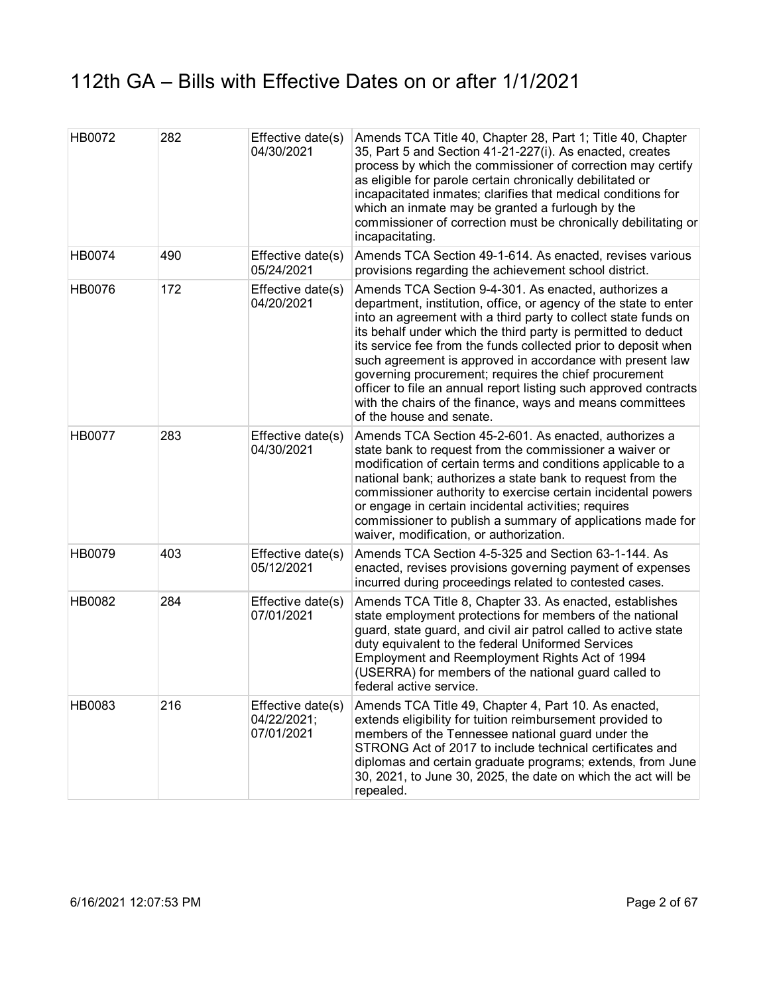| HB0072        | 282 | Effective date(s)<br>04/30/2021                | Amends TCA Title 40, Chapter 28, Part 1; Title 40, Chapter<br>35, Part 5 and Section 41-21-227(i). As enacted, creates<br>process by which the commissioner of correction may certify<br>as eligible for parole certain chronically debilitated or<br>incapacitated inmates; clarifies that medical conditions for<br>which an inmate may be granted a furlough by the<br>commissioner of correction must be chronically debilitating or<br>incapacitating.                                                                                                                                                      |
|---------------|-----|------------------------------------------------|------------------------------------------------------------------------------------------------------------------------------------------------------------------------------------------------------------------------------------------------------------------------------------------------------------------------------------------------------------------------------------------------------------------------------------------------------------------------------------------------------------------------------------------------------------------------------------------------------------------|
| HB0074        | 490 | Effective date(s)<br>05/24/2021                | Amends TCA Section 49-1-614. As enacted, revises various<br>provisions regarding the achievement school district.                                                                                                                                                                                                                                                                                                                                                                                                                                                                                                |
| HB0076        | 172 | Effective date(s)<br>04/20/2021                | Amends TCA Section 9-4-301. As enacted, authorizes a<br>department, institution, office, or agency of the state to enter<br>into an agreement with a third party to collect state funds on<br>its behalf under which the third party is permitted to deduct<br>its service fee from the funds collected prior to deposit when<br>such agreement is approved in accordance with present law<br>governing procurement; requires the chief procurement<br>officer to file an annual report listing such approved contracts<br>with the chairs of the finance, ways and means committees<br>of the house and senate. |
| <b>HB0077</b> | 283 | Effective date(s)<br>04/30/2021                | Amends TCA Section 45-2-601. As enacted, authorizes a<br>state bank to request from the commissioner a waiver or<br>modification of certain terms and conditions applicable to a<br>national bank; authorizes a state bank to request from the<br>commissioner authority to exercise certain incidental powers<br>or engage in certain incidental activities; requires<br>commissioner to publish a summary of applications made for<br>waiver, modification, or authorization.                                                                                                                                  |
| HB0079        | 403 | Effective date(s)<br>05/12/2021                | Amends TCA Section 4-5-325 and Section 63-1-144. As<br>enacted, revises provisions governing payment of expenses<br>incurred during proceedings related to contested cases.                                                                                                                                                                                                                                                                                                                                                                                                                                      |
| HB0082        | 284 | Effective date(s)<br>07/01/2021                | Amends TCA Title 8, Chapter 33. As enacted, establishes<br>state employment protections for members of the national<br>guard, state guard, and civil air patrol called to active state<br>duty equivalent to the federal Uniformed Services<br>Employment and Reemployment Rights Act of 1994<br>(USERRA) for members of the national guard called to<br>federal active service.                                                                                                                                                                                                                                 |
| HB0083        | 216 | Effective date(s)<br>04/22/2021;<br>07/01/2021 | Amends TCA Title 49, Chapter 4, Part 10. As enacted,<br>extends eligibility for tuition reimbursement provided to<br>members of the Tennessee national guard under the<br>STRONG Act of 2017 to include technical certificates and<br>diplomas and certain graduate programs; extends, from June<br>30, 2021, to June 30, 2025, the date on which the act will be<br>repealed.                                                                                                                                                                                                                                   |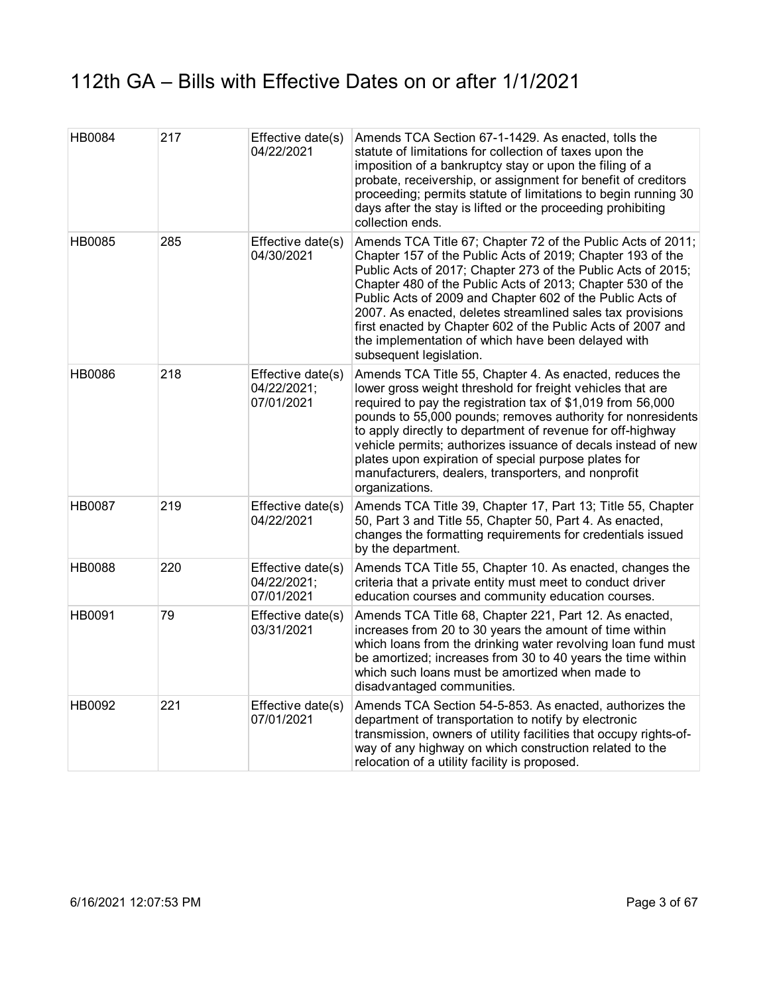| HB0084 | 217 | Effective date(s)<br>04/22/2021                | Amends TCA Section 67-1-1429. As enacted, tolls the<br>statute of limitations for collection of taxes upon the<br>imposition of a bankruptcy stay or upon the filing of a<br>probate, receivership, or assignment for benefit of creditors<br>proceeding; permits statute of limitations to begin running 30<br>days after the stay is lifted or the proceeding prohibiting<br>collection ends.                                                                                                                                    |
|--------|-----|------------------------------------------------|------------------------------------------------------------------------------------------------------------------------------------------------------------------------------------------------------------------------------------------------------------------------------------------------------------------------------------------------------------------------------------------------------------------------------------------------------------------------------------------------------------------------------------|
| HB0085 | 285 | Effective date(s)<br>04/30/2021                | Amends TCA Title 67; Chapter 72 of the Public Acts of 2011;<br>Chapter 157 of the Public Acts of 2019; Chapter 193 of the<br>Public Acts of 2017; Chapter 273 of the Public Acts of 2015;<br>Chapter 480 of the Public Acts of 2013; Chapter 530 of the<br>Public Acts of 2009 and Chapter 602 of the Public Acts of<br>2007. As enacted, deletes streamlined sales tax provisions<br>first enacted by Chapter 602 of the Public Acts of 2007 and<br>the implementation of which have been delayed with<br>subsequent legislation. |
| HB0086 | 218 | Effective date(s)<br>04/22/2021;<br>07/01/2021 | Amends TCA Title 55, Chapter 4. As enacted, reduces the<br>lower gross weight threshold for freight vehicles that are<br>required to pay the registration tax of \$1,019 from 56,000<br>pounds to 55,000 pounds; removes authority for nonresidents<br>to apply directly to department of revenue for off-highway<br>vehicle permits; authorizes issuance of decals instead of new<br>plates upon expiration of special purpose plates for<br>manufacturers, dealers, transporters, and nonprofit<br>organizations.                |
| HB0087 | 219 | Effective date(s)<br>04/22/2021                | Amends TCA Title 39, Chapter 17, Part 13; Title 55, Chapter<br>50, Part 3 and Title 55, Chapter 50, Part 4. As enacted,<br>changes the formatting requirements for credentials issued<br>by the department.                                                                                                                                                                                                                                                                                                                        |
| HB0088 | 220 | Effective date(s)<br>04/22/2021;<br>07/01/2021 | Amends TCA Title 55, Chapter 10. As enacted, changes the<br>criteria that a private entity must meet to conduct driver<br>education courses and community education courses.                                                                                                                                                                                                                                                                                                                                                       |
| HB0091 | 79  | Effective date(s)<br>03/31/2021                | Amends TCA Title 68, Chapter 221, Part 12. As enacted,<br>increases from 20 to 30 years the amount of time within<br>which loans from the drinking water revolving loan fund must<br>be amortized; increases from 30 to 40 years the time within<br>which such loans must be amortized when made to<br>disadvantaged communities.                                                                                                                                                                                                  |
| HB0092 | 221 | Effective date(s)<br>07/01/2021                | Amends TCA Section 54-5-853. As enacted, authorizes the<br>department of transportation to notify by electronic<br>transmission, owners of utility facilities that occupy rights-of-<br>way of any highway on which construction related to the<br>relocation of a utility facility is proposed.                                                                                                                                                                                                                                   |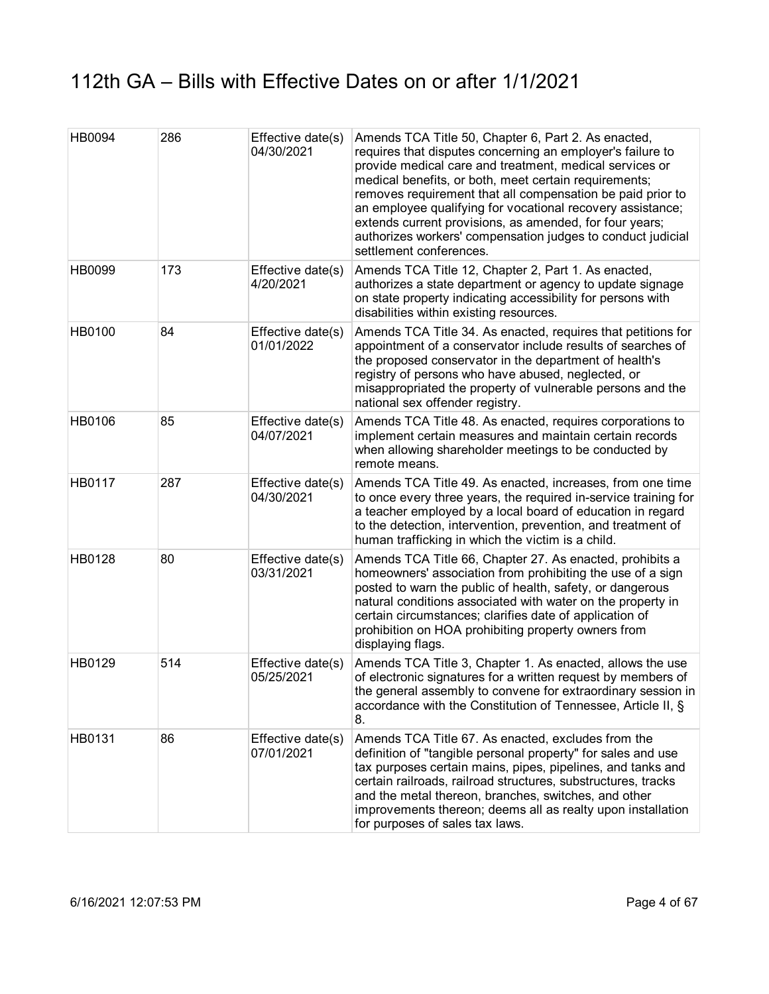| <b>HB0094</b> | 286 | Effective date(s)<br>04/30/2021 | Amends TCA Title 50, Chapter 6, Part 2. As enacted,<br>requires that disputes concerning an employer's failure to<br>provide medical care and treatment, medical services or<br>medical benefits, or both, meet certain requirements;<br>removes requirement that all compensation be paid prior to<br>an employee qualifying for vocational recovery assistance;<br>extends current provisions, as amended, for four years;<br>authorizes workers' compensation judges to conduct judicial<br>settlement conferences. |
|---------------|-----|---------------------------------|------------------------------------------------------------------------------------------------------------------------------------------------------------------------------------------------------------------------------------------------------------------------------------------------------------------------------------------------------------------------------------------------------------------------------------------------------------------------------------------------------------------------|
| HB0099        | 173 | Effective date(s)<br>4/20/2021  | Amends TCA Title 12, Chapter 2, Part 1. As enacted,<br>authorizes a state department or agency to update signage<br>on state property indicating accessibility for persons with<br>disabilities within existing resources.                                                                                                                                                                                                                                                                                             |
| HB0100        | 84  | Effective date(s)<br>01/01/2022 | Amends TCA Title 34. As enacted, requires that petitions for<br>appointment of a conservator include results of searches of<br>the proposed conservator in the department of health's<br>registry of persons who have abused, neglected, or<br>misappropriated the property of vulnerable persons and the<br>national sex offender registry.                                                                                                                                                                           |
| HB0106        | 85  | Effective date(s)<br>04/07/2021 | Amends TCA Title 48. As enacted, requires corporations to<br>implement certain measures and maintain certain records<br>when allowing shareholder meetings to be conducted by<br>remote means.                                                                                                                                                                                                                                                                                                                         |
| HB0117        | 287 | Effective date(s)<br>04/30/2021 | Amends TCA Title 49. As enacted, increases, from one time<br>to once every three years, the required in-service training for<br>a teacher employed by a local board of education in regard<br>to the detection, intervention, prevention, and treatment of<br>human trafficking in which the victim is a child.                                                                                                                                                                                                        |
| <b>HB0128</b> | 80  | Effective date(s)<br>03/31/2021 | Amends TCA Title 66, Chapter 27. As enacted, prohibits a<br>homeowners' association from prohibiting the use of a sign<br>posted to warn the public of health, safety, or dangerous<br>natural conditions associated with water on the property in<br>certain circumstances; clarifies date of application of<br>prohibition on HOA prohibiting property owners from<br>displaying flags.                                                                                                                              |
| HB0129        | 514 | Effective date(s)<br>05/25/2021 | Amends TCA Title 3, Chapter 1. As enacted, allows the use<br>of electronic signatures for a written request by members of<br>the general assembly to convene for extraordinary session in<br>accordance with the Constitution of Tennessee, Article II, §<br>8.                                                                                                                                                                                                                                                        |
| HB0131        | 86  | Effective date(s)<br>07/01/2021 | Amends TCA Title 67. As enacted, excludes from the<br>definition of "tangible personal property" for sales and use<br>tax purposes certain mains, pipes, pipelines, and tanks and<br>certain railroads, railroad structures, substructures, tracks<br>and the metal thereon, branches, switches, and other<br>improvements thereon; deems all as realty upon installation<br>for purposes of sales tax laws.                                                                                                           |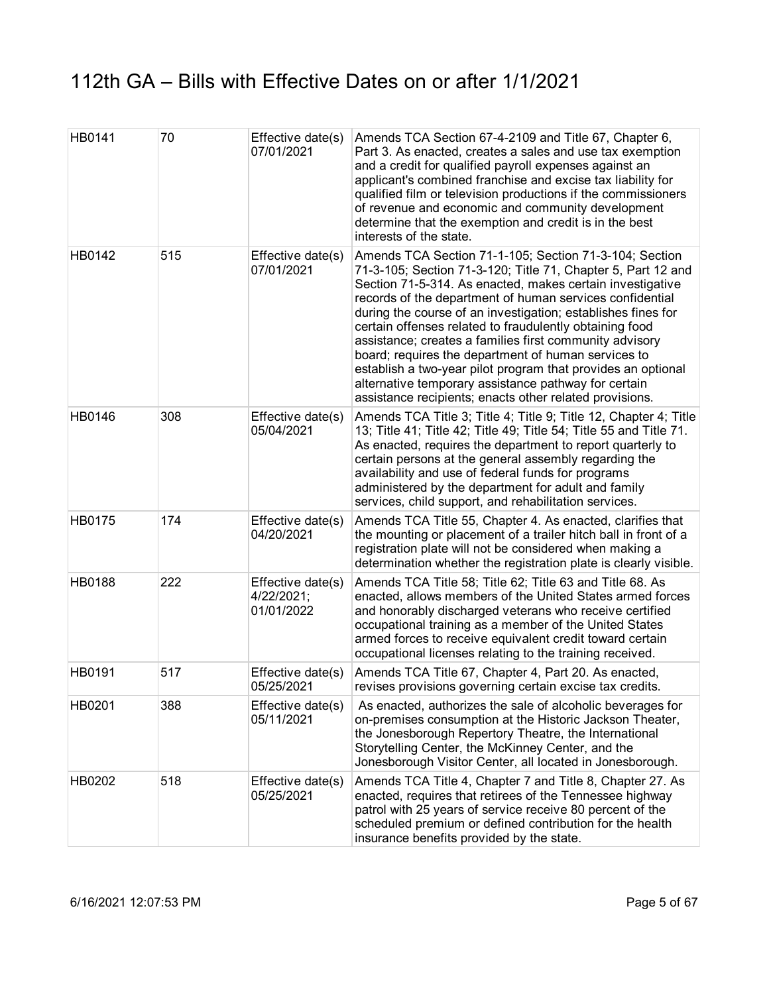| HB0141 | 70  | Effective date(s)<br>07/01/2021               | Amends TCA Section 67-4-2109 and Title 67, Chapter 6,<br>Part 3. As enacted, creates a sales and use tax exemption<br>and a credit for qualified payroll expenses against an<br>applicant's combined franchise and excise tax liability for<br>qualified film or television productions if the commissioners<br>of revenue and economic and community development<br>determine that the exemption and credit is in the best<br>interests of the state.                                                                                                                                                                                                                          |
|--------|-----|-----------------------------------------------|---------------------------------------------------------------------------------------------------------------------------------------------------------------------------------------------------------------------------------------------------------------------------------------------------------------------------------------------------------------------------------------------------------------------------------------------------------------------------------------------------------------------------------------------------------------------------------------------------------------------------------------------------------------------------------|
| HB0142 | 515 | Effective date(s)<br>07/01/2021               | Amends TCA Section 71-1-105; Section 71-3-104; Section<br>71-3-105; Section 71-3-120; Title 71, Chapter 5, Part 12 and<br>Section 71-5-314. As enacted, makes certain investigative<br>records of the department of human services confidential<br>during the course of an investigation; establishes fines for<br>certain offenses related to fraudulently obtaining food<br>assistance; creates a families first community advisory<br>board; requires the department of human services to<br>establish a two-year pilot program that provides an optional<br>alternative temporary assistance pathway for certain<br>assistance recipients; enacts other related provisions. |
| HB0146 | 308 | Effective date(s)<br>05/04/2021               | Amends TCA Title 3; Title 4; Title 9; Title 12, Chapter 4; Title<br>13; Title 41; Title 42; Title 49; Title 54; Title 55 and Title 71.<br>As enacted, requires the department to report quarterly to<br>certain persons at the general assembly regarding the<br>availability and use of federal funds for programs<br>administered by the department for adult and family<br>services, child support, and rehabilitation services.                                                                                                                                                                                                                                             |
| HB0175 | 174 | Effective date(s)<br>04/20/2021               | Amends TCA Title 55, Chapter 4. As enacted, clarifies that<br>the mounting or placement of a trailer hitch ball in front of a<br>registration plate will not be considered when making a<br>determination whether the registration plate is clearly visible.                                                                                                                                                                                                                                                                                                                                                                                                                    |
| HB0188 | 222 | Effective date(s)<br>4/22/2021;<br>01/01/2022 | Amends TCA Title 58; Title 62; Title 63 and Title 68. As<br>enacted, allows members of the United States armed forces<br>and honorably discharged veterans who receive certified<br>occupational training as a member of the United States<br>armed forces to receive equivalent credit toward certain<br>occupational licenses relating to the training received.                                                                                                                                                                                                                                                                                                              |
| HB0191 | 517 | Effective date(s)<br>05/25/2021               | Amends TCA Title 67, Chapter 4, Part 20. As enacted,<br>revises provisions governing certain excise tax credits.                                                                                                                                                                                                                                                                                                                                                                                                                                                                                                                                                                |
| HB0201 | 388 | Effective date(s)<br>05/11/2021               | As enacted, authorizes the sale of alcoholic beverages for<br>on-premises consumption at the Historic Jackson Theater,<br>the Jonesborough Repertory Theatre, the International<br>Storytelling Center, the McKinney Center, and the<br>Jonesborough Visitor Center, all located in Jonesborough.                                                                                                                                                                                                                                                                                                                                                                               |
| HB0202 | 518 | Effective date(s)<br>05/25/2021               | Amends TCA Title 4, Chapter 7 and Title 8, Chapter 27. As<br>enacted, requires that retirees of the Tennessee highway<br>patrol with 25 years of service receive 80 percent of the<br>scheduled premium or defined contribution for the health<br>insurance benefits provided by the state.                                                                                                                                                                                                                                                                                                                                                                                     |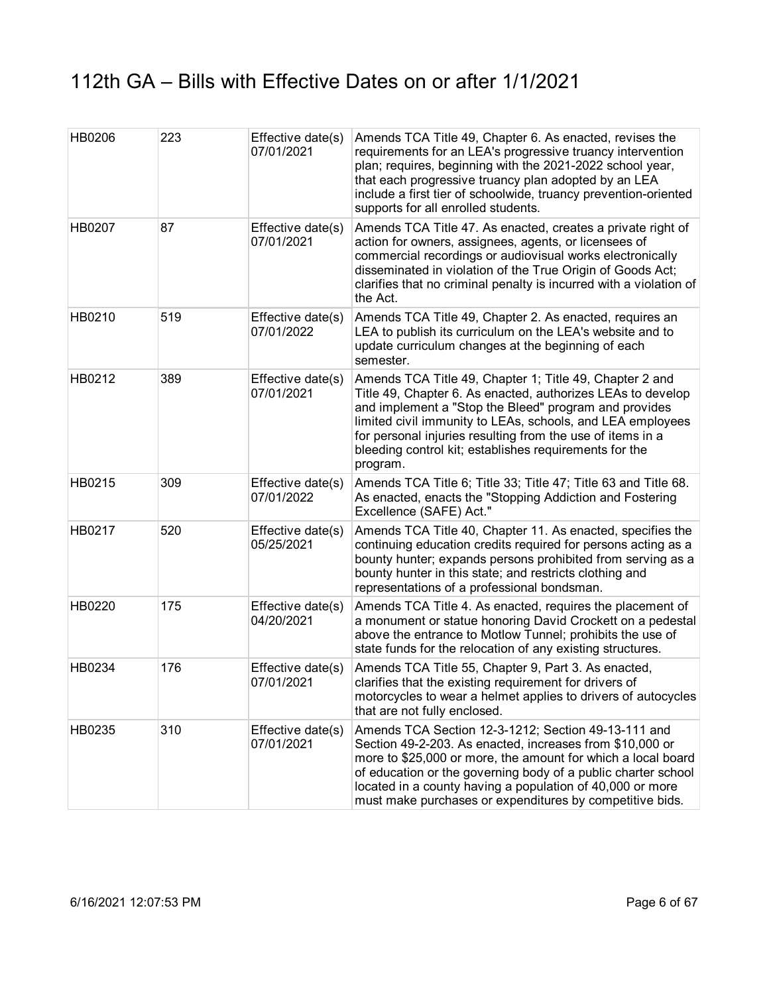| HB0206 | 223 | Effective date(s)<br>07/01/2021 | Amends TCA Title 49, Chapter 6. As enacted, revises the<br>requirements for an LEA's progressive truancy intervention<br>plan; requires, beginning with the 2021-2022 school year,<br>that each progressive truancy plan adopted by an LEA<br>include a first tier of schoolwide, truancy prevention-oriented<br>supports for all enrolled students.                              |
|--------|-----|---------------------------------|-----------------------------------------------------------------------------------------------------------------------------------------------------------------------------------------------------------------------------------------------------------------------------------------------------------------------------------------------------------------------------------|
| HB0207 | 87  | Effective date(s)<br>07/01/2021 | Amends TCA Title 47. As enacted, creates a private right of<br>action for owners, assignees, agents, or licensees of<br>commercial recordings or audiovisual works electronically<br>disseminated in violation of the True Origin of Goods Act;<br>clarifies that no criminal penalty is incurred with a violation of<br>the Act.                                                 |
| HB0210 | 519 | Effective date(s)<br>07/01/2022 | Amends TCA Title 49, Chapter 2. As enacted, requires an<br>LEA to publish its curriculum on the LEA's website and to<br>update curriculum changes at the beginning of each<br>semester.                                                                                                                                                                                           |
| HB0212 | 389 | Effective date(s)<br>07/01/2021 | Amends TCA Title 49, Chapter 1; Title 49, Chapter 2 and<br>Title 49, Chapter 6. As enacted, authorizes LEAs to develop<br>and implement a "Stop the Bleed" program and provides<br>limited civil immunity to LEAs, schools, and LEA employees<br>for personal injuries resulting from the use of items in a<br>bleeding control kit; establishes requirements for the<br>program. |
| HB0215 | 309 | Effective date(s)<br>07/01/2022 | Amends TCA Title 6; Title 33; Title 47; Title 63 and Title 68.<br>As enacted, enacts the "Stopping Addiction and Fostering<br>Excellence (SAFE) Act."                                                                                                                                                                                                                             |
| HB0217 | 520 | Effective date(s)<br>05/25/2021 | Amends TCA Title 40, Chapter 11. As enacted, specifies the<br>continuing education credits required for persons acting as a<br>bounty hunter; expands persons prohibited from serving as a<br>bounty hunter in this state; and restricts clothing and<br>representations of a professional bondsman.                                                                              |
| HB0220 | 175 | Effective date(s)<br>04/20/2021 | Amends TCA Title 4. As enacted, requires the placement of<br>a monument or statue honoring David Crockett on a pedestal<br>above the entrance to Motlow Tunnel; prohibits the use of<br>state funds for the relocation of any existing structures.                                                                                                                                |
| HB0234 | 176 | Effective date(s)<br>07/01/2021 | Amends TCA Title 55, Chapter 9, Part 3. As enacted,<br>clarifies that the existing requirement for drivers of<br>motorcycles to wear a helmet applies to drivers of autocycles<br>that are not fully enclosed.                                                                                                                                                                    |
| HB0235 | 310 | Effective date(s)<br>07/01/2021 | Amends TCA Section 12-3-1212; Section 49-13-111 and<br>Section 49-2-203. As enacted, increases from \$10,000 or<br>more to \$25,000 or more, the amount for which a local board<br>of education or the governing body of a public charter school<br>located in a county having a population of 40,000 or more<br>must make purchases or expenditures by competitive bids.         |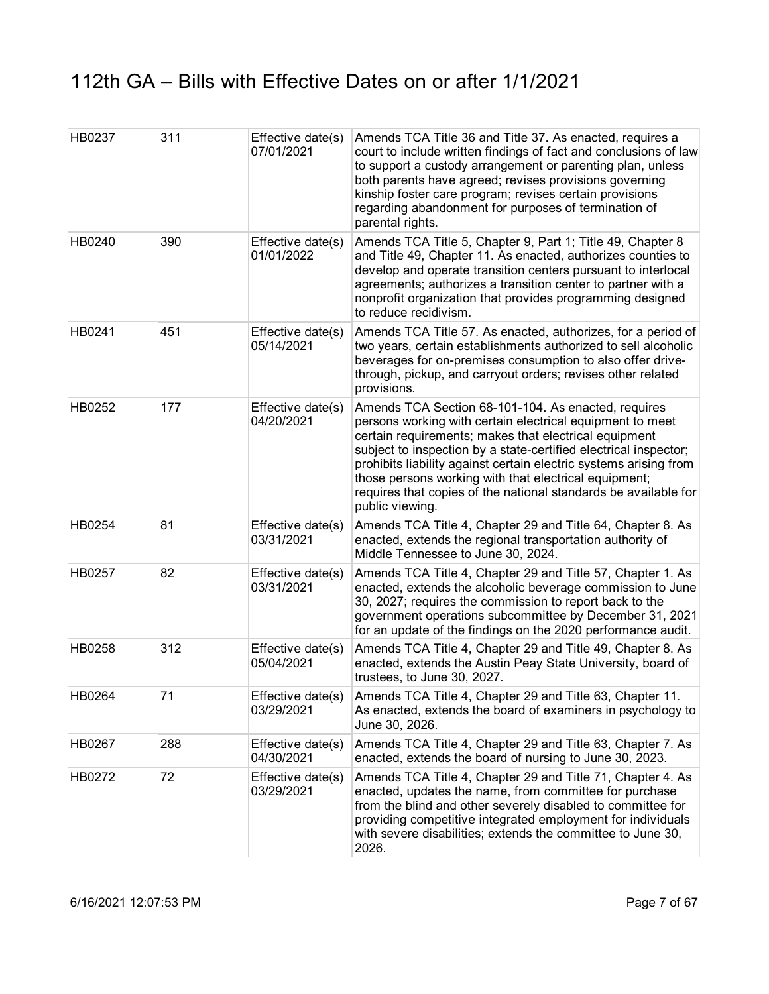| HB0237 | 311 | Effective date(s)<br>07/01/2021 | Amends TCA Title 36 and Title 37. As enacted, requires a<br>court to include written findings of fact and conclusions of law<br>to support a custody arrangement or parenting plan, unless<br>both parents have agreed; revises provisions governing<br>kinship foster care program; revises certain provisions<br>regarding abandonment for purposes of termination of<br>parental rights.                                                                       |
|--------|-----|---------------------------------|-------------------------------------------------------------------------------------------------------------------------------------------------------------------------------------------------------------------------------------------------------------------------------------------------------------------------------------------------------------------------------------------------------------------------------------------------------------------|
| HB0240 | 390 | Effective date(s)<br>01/01/2022 | Amends TCA Title 5, Chapter 9, Part 1; Title 49, Chapter 8<br>and Title 49, Chapter 11. As enacted, authorizes counties to<br>develop and operate transition centers pursuant to interlocal<br>agreements; authorizes a transition center to partner with a<br>nonprofit organization that provides programming designed<br>to reduce recidivism.                                                                                                                 |
| HB0241 | 451 | Effective date(s)<br>05/14/2021 | Amends TCA Title 57. As enacted, authorizes, for a period of<br>two years, certain establishments authorized to sell alcoholic<br>beverages for on-premises consumption to also offer drive-<br>through, pickup, and carryout orders; revises other related<br>provisions.                                                                                                                                                                                        |
| HB0252 | 177 | Effective date(s)<br>04/20/2021 | Amends TCA Section 68-101-104. As enacted, requires<br>persons working with certain electrical equipment to meet<br>certain requirements; makes that electrical equipment<br>subject to inspection by a state-certified electrical inspector;<br>prohibits liability against certain electric systems arising from<br>those persons working with that electrical equipment;<br>requires that copies of the national standards be available for<br>public viewing. |
| HB0254 | 81  | Effective date(s)<br>03/31/2021 | Amends TCA Title 4, Chapter 29 and Title 64, Chapter 8. As<br>enacted, extends the regional transportation authority of<br>Middle Tennessee to June 30, 2024.                                                                                                                                                                                                                                                                                                     |
| HB0257 | 82  | Effective date(s)<br>03/31/2021 | Amends TCA Title 4, Chapter 29 and Title 57, Chapter 1. As<br>enacted, extends the alcoholic beverage commission to June<br>30, 2027; requires the commission to report back to the<br>government operations subcommittee by December 31, 2021<br>for an update of the findings on the 2020 performance audit.                                                                                                                                                    |
| HB0258 | 312 | Effective date(s)<br>05/04/2021 | Amends TCA Title 4, Chapter 29 and Title 49, Chapter 8. As<br>enacted, extends the Austin Peay State University, board of<br>trustees, to June 30, 2027.                                                                                                                                                                                                                                                                                                          |
| HB0264 | 71  | Effective date(s)<br>03/29/2021 | Amends TCA Title 4, Chapter 29 and Title 63, Chapter 11.<br>As enacted, extends the board of examiners in psychology to<br>June 30, 2026.                                                                                                                                                                                                                                                                                                                         |
| HB0267 | 288 | Effective date(s)<br>04/30/2021 | Amends TCA Title 4, Chapter 29 and Title 63, Chapter 7. As<br>enacted, extends the board of nursing to June 30, 2023.                                                                                                                                                                                                                                                                                                                                             |
| HB0272 | 72  | Effective date(s)<br>03/29/2021 | Amends TCA Title 4, Chapter 29 and Title 71, Chapter 4. As<br>enacted, updates the name, from committee for purchase<br>from the blind and other severely disabled to committee for<br>providing competitive integrated employment for individuals<br>with severe disabilities; extends the committee to June 30,<br>2026.                                                                                                                                        |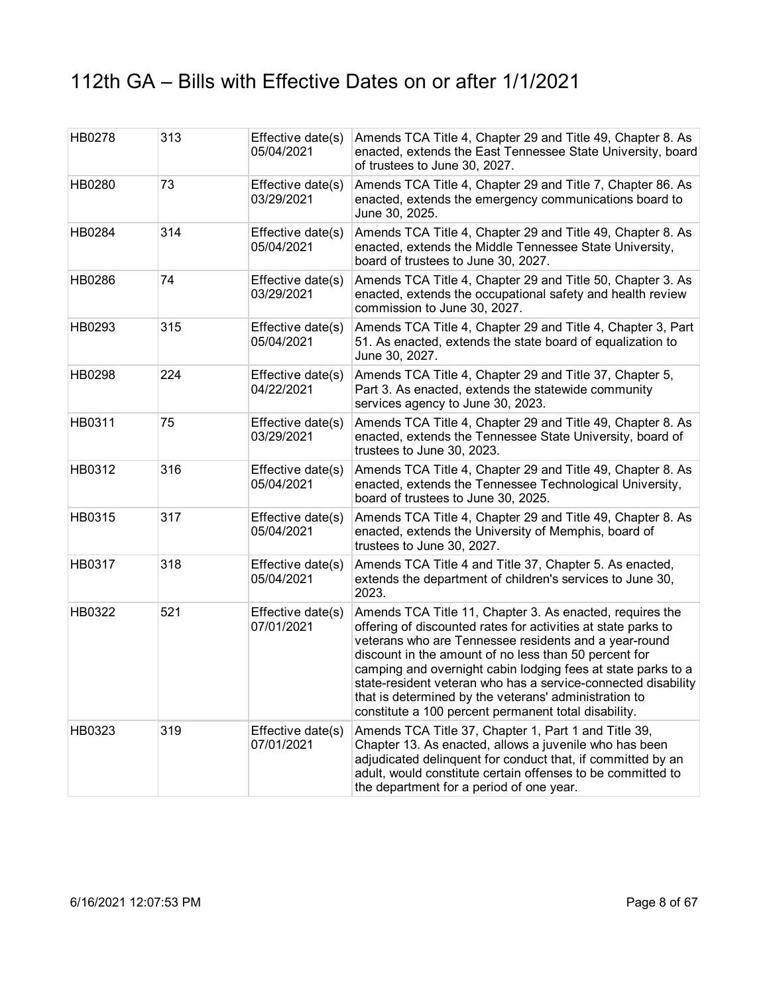| HB0278 | 313 | Effective date(s)<br>05/04/2021 | Amends TCA Title 4, Chapter 29 and Title 49, Chapter 8. As<br>enacted, extends the East Tennessee State University, board<br>of trustees to June 30, 2027.                                                                                                                                                                                                                                                                                                                                    |
|--------|-----|---------------------------------|-----------------------------------------------------------------------------------------------------------------------------------------------------------------------------------------------------------------------------------------------------------------------------------------------------------------------------------------------------------------------------------------------------------------------------------------------------------------------------------------------|
| HB0280 | 73  | Effective date(s)<br>03/29/2021 | Amends TCA Title 4, Chapter 29 and Title 7, Chapter 86. As<br>enacted, extends the emergency communications board to<br>June 30, 2025.                                                                                                                                                                                                                                                                                                                                                        |
| HB0284 | 314 | Effective date(s)<br>05/04/2021 | Amends TCA Title 4, Chapter 29 and Title 49, Chapter 8. As<br>enacted, extends the Middle Tennessee State University,<br>board of trustees to June 30, 2027.                                                                                                                                                                                                                                                                                                                                  |
| HB0286 | 74  | Effective date(s)<br>03/29/2021 | Amends TCA Title 4, Chapter 29 and Title 50, Chapter 3. As<br>enacted, extends the occupational safety and health review<br>commission to June 30, 2027.                                                                                                                                                                                                                                                                                                                                      |
| HB0293 | 315 | Effective date(s)<br>05/04/2021 | Amends TCA Title 4, Chapter 29 and Title 4, Chapter 3, Part<br>51. As enacted, extends the state board of equalization to<br>June 30, 2027.                                                                                                                                                                                                                                                                                                                                                   |
| HB0298 | 224 | Effective date(s)<br>04/22/2021 | Amends TCA Title 4, Chapter 29 and Title 37, Chapter 5,<br>Part 3. As enacted, extends the statewide community<br>services agency to June 30, 2023.                                                                                                                                                                                                                                                                                                                                           |
| HB0311 | 75  | Effective date(s)<br>03/29/2021 | Amends TCA Title 4, Chapter 29 and Title 49, Chapter 8. As<br>enacted, extends the Tennessee State University, board of<br>trustees to June 30, 2023.                                                                                                                                                                                                                                                                                                                                         |
| HB0312 | 316 | Effective date(s)<br>05/04/2021 | Amends TCA Title 4, Chapter 29 and Title 49, Chapter 8. As<br>enacted, extends the Tennessee Technological University,<br>board of trustees to June 30, 2025.                                                                                                                                                                                                                                                                                                                                 |
| HB0315 | 317 | Effective date(s)<br>05/04/2021 | Amends TCA Title 4, Chapter 29 and Title 49, Chapter 8. As<br>enacted, extends the University of Memphis, board of<br>trustees to June 30, 2027.                                                                                                                                                                                                                                                                                                                                              |
| HB0317 | 318 | Effective date(s)<br>05/04/2021 | Amends TCA Title 4 and Title 37, Chapter 5. As enacted,<br>extends the department of children's services to June 30,<br>2023.                                                                                                                                                                                                                                                                                                                                                                 |
| HB0322 | 521 | Effective date(s)<br>07/01/2021 | Amends TCA Title 11, Chapter 3. As enacted, requires the<br>offering of discounted rates for activities at state parks to<br>veterans who are Tennessee residents and a year-round<br>discount in the amount of no less than 50 percent for<br>camping and overnight cabin lodging fees at state parks to a<br>state-resident veteran who has a service-connected disability<br>that is determined by the veterans' administration to<br>constitute a 100 percent permanent total disability. |
| HB0323 | 319 | Effective date(s)<br>07/01/2021 | Amends TCA Title 37, Chapter 1, Part 1 and Title 39,<br>Chapter 13. As enacted, allows a juvenile who has been<br>adjudicated delinquent for conduct that, if committed by an<br>adult, would constitute certain offenses to be committed to<br>the department for a period of one year.                                                                                                                                                                                                      |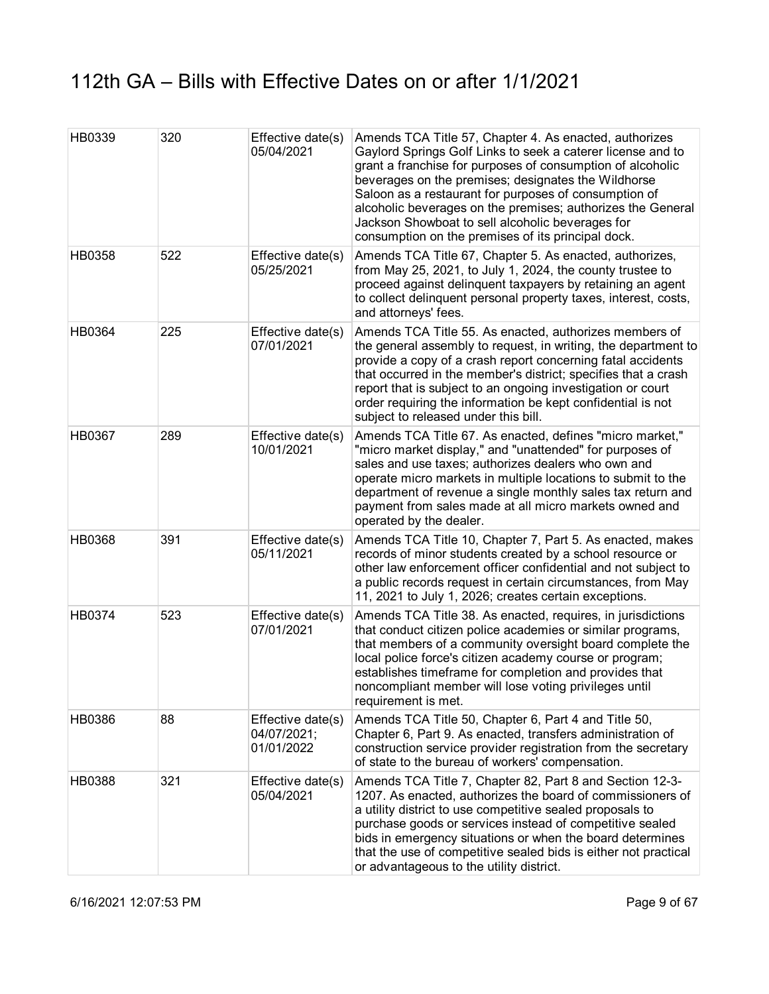| HB0339        | 320 | Effective date(s)<br>05/04/2021                | Amends TCA Title 57, Chapter 4. As enacted, authorizes<br>Gaylord Springs Golf Links to seek a caterer license and to<br>grant a franchise for purposes of consumption of alcoholic<br>beverages on the premises; designates the Wildhorse<br>Saloon as a restaurant for purposes of consumption of<br>alcoholic beverages on the premises; authorizes the General<br>Jackson Showboat to sell alcoholic beverages for<br>consumption on the premises of its principal dock. |
|---------------|-----|------------------------------------------------|------------------------------------------------------------------------------------------------------------------------------------------------------------------------------------------------------------------------------------------------------------------------------------------------------------------------------------------------------------------------------------------------------------------------------------------------------------------------------|
| HB0358        | 522 | Effective date(s)<br>05/25/2021                | Amends TCA Title 67, Chapter 5. As enacted, authorizes,<br>from May 25, 2021, to July 1, 2024, the county trustee to<br>proceed against delinquent taxpayers by retaining an agent<br>to collect delinquent personal property taxes, interest, costs,<br>and attorneys' fees.                                                                                                                                                                                                |
| HB0364        | 225 | Effective date(s)<br>07/01/2021                | Amends TCA Title 55. As enacted, authorizes members of<br>the general assembly to request, in writing, the department to<br>provide a copy of a crash report concerning fatal accidents<br>that occurred in the member's district; specifies that a crash<br>report that is subject to an ongoing investigation or court<br>order requiring the information be kept confidential is not<br>subject to released under this bill.                                              |
| <b>HB0367</b> | 289 | Effective date(s)<br>10/01/2021                | Amends TCA Title 67. As enacted, defines "micro market,"<br>"micro market display," and "unattended" for purposes of<br>sales and use taxes; authorizes dealers who own and<br>operate micro markets in multiple locations to submit to the<br>department of revenue a single monthly sales tax return and<br>payment from sales made at all micro markets owned and<br>operated by the dealer.                                                                              |
| <b>HB0368</b> | 391 | Effective date(s)<br>05/11/2021                | Amends TCA Title 10, Chapter 7, Part 5. As enacted, makes<br>records of minor students created by a school resource or<br>other law enforcement officer confidential and not subject to<br>a public records request in certain circumstances, from May<br>11, 2021 to July 1, 2026; creates certain exceptions.                                                                                                                                                              |
| HB0374        | 523 | Effective date(s)<br>07/01/2021                | Amends TCA Title 38. As enacted, requires, in jurisdictions<br>that conduct citizen police academies or similar programs,<br>that members of a community oversight board complete the<br>local police force's citizen academy course or program;<br>establishes timeframe for completion and provides that<br>noncompliant member will lose voting privileges until<br>requirement is met.                                                                                   |
| HB0386        | 88  | Effective date(s)<br>04/07/2021;<br>01/01/2022 | Amends TCA Title 50, Chapter 6, Part 4 and Title 50,<br>Chapter 6, Part 9. As enacted, transfers administration of<br>construction service provider registration from the secretary<br>of state to the bureau of workers' compensation.                                                                                                                                                                                                                                      |
| HB0388        | 321 | Effective date(s)<br>05/04/2021                | Amends TCA Title 7, Chapter 82, Part 8 and Section 12-3-<br>1207. As enacted, authorizes the board of commissioners of<br>a utility district to use competitive sealed proposals to<br>purchase goods or services instead of competitive sealed<br>bids in emergency situations or when the board determines<br>that the use of competitive sealed bids is either not practical<br>or advantageous to the utility district.                                                  |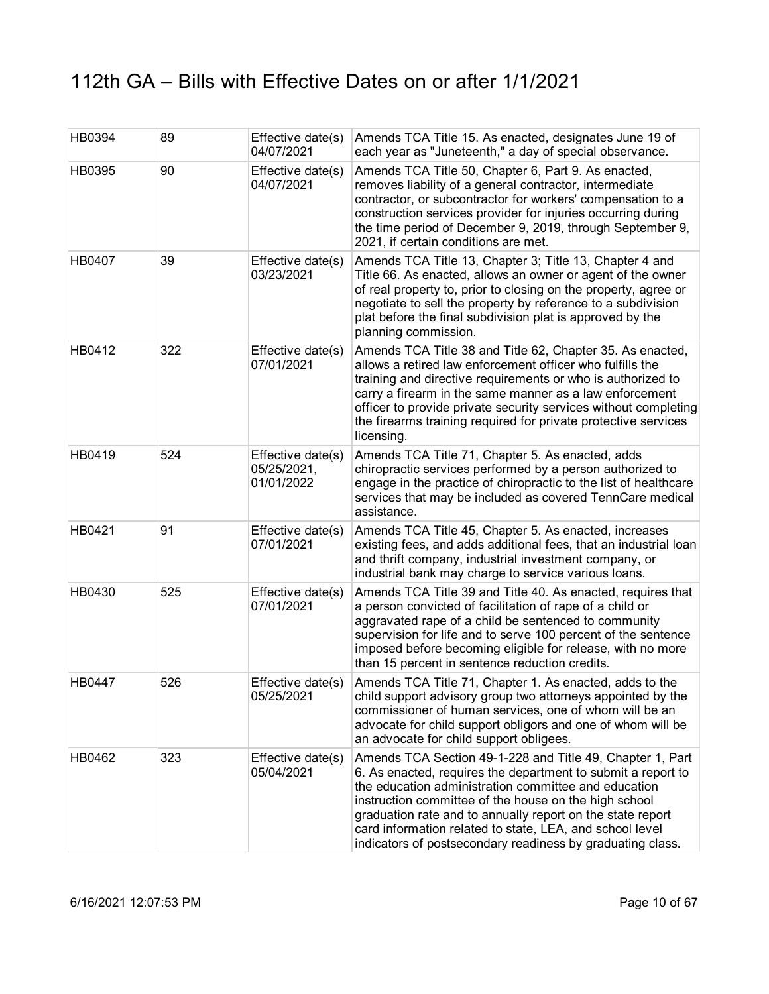| HB0394 | 89  | Effective date(s)<br>04/07/2021                | Amends TCA Title 15. As enacted, designates June 19 of<br>each year as "Juneteenth," a day of special observance.                                                                                                                                                                                                                                                                                                                  |
|--------|-----|------------------------------------------------|------------------------------------------------------------------------------------------------------------------------------------------------------------------------------------------------------------------------------------------------------------------------------------------------------------------------------------------------------------------------------------------------------------------------------------|
| HB0395 | 90  | Effective date(s)<br>04/07/2021                | Amends TCA Title 50, Chapter 6, Part 9. As enacted,<br>removes liability of a general contractor, intermediate<br>contractor, or subcontractor for workers' compensation to a<br>construction services provider for injuries occurring during<br>the time period of December 9, 2019, through September 9,<br>2021, if certain conditions are met.                                                                                 |
| HB0407 | 39  | Effective date(s)<br>03/23/2021                | Amends TCA Title 13, Chapter 3; Title 13, Chapter 4 and<br>Title 66. As enacted, allows an owner or agent of the owner<br>of real property to, prior to closing on the property, agree or<br>negotiate to sell the property by reference to a subdivision<br>plat before the final subdivision plat is approved by the<br>planning commission.                                                                                     |
| HB0412 | 322 | Effective date(s)<br>07/01/2021                | Amends TCA Title 38 and Title 62, Chapter 35. As enacted,<br>allows a retired law enforcement officer who fulfills the<br>training and directive requirements or who is authorized to<br>carry a firearm in the same manner as a law enforcement<br>officer to provide private security services without completing<br>the firearms training required for private protective services<br>licensing.                                |
| HB0419 | 524 | Effective date(s)<br>05/25/2021,<br>01/01/2022 | Amends TCA Title 71, Chapter 5. As enacted, adds<br>chiropractic services performed by a person authorized to<br>engage in the practice of chiropractic to the list of healthcare<br>services that may be included as covered TennCare medical<br>assistance.                                                                                                                                                                      |
| HB0421 | 91  | Effective date(s)<br>07/01/2021                | Amends TCA Title 45, Chapter 5. As enacted, increases<br>existing fees, and adds additional fees, that an industrial loan<br>and thrift company, industrial investment company, or<br>industrial bank may charge to service various loans.                                                                                                                                                                                         |
| HB0430 | 525 | Effective date(s)<br>07/01/2021                | Amends TCA Title 39 and Title 40. As enacted, requires that<br>a person convicted of facilitation of rape of a child or<br>aggravated rape of a child be sentenced to community<br>supervision for life and to serve 100 percent of the sentence<br>imposed before becoming eligible for release, with no more<br>than 15 percent in sentence reduction credits.                                                                   |
| HB0447 | 526 | Effective date(s)<br>05/25/2021                | Amends TCA Title 71, Chapter 1. As enacted, adds to the<br>child support advisory group two attorneys appointed by the<br>commissioner of human services, one of whom will be an<br>advocate for child support obligors and one of whom will be<br>an advocate for child support obligees.                                                                                                                                         |
| HB0462 | 323 | Effective date(s)<br>05/04/2021                | Amends TCA Section 49-1-228 and Title 49, Chapter 1, Part<br>6. As enacted, requires the department to submit a report to<br>the education administration committee and education<br>instruction committee of the house on the high school<br>graduation rate and to annually report on the state report<br>card information related to state, LEA, and school level<br>indicators of postsecondary readiness by graduating class. |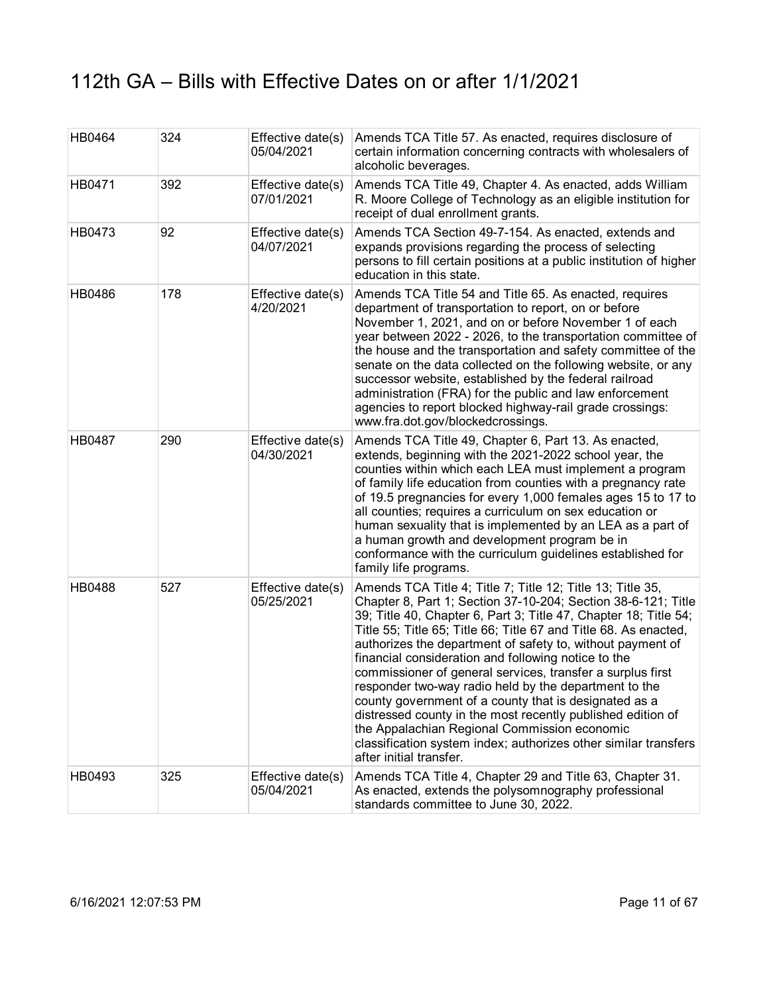| HB0464 | 324 | Effective date(s)<br>05/04/2021 | Amends TCA Title 57. As enacted, requires disclosure of<br>certain information concerning contracts with wholesalers of<br>alcoholic beverages.                                                                                                                                                                                                                                                                                                                                                                                                                                                                                                                                                                                                                                       |
|--------|-----|---------------------------------|---------------------------------------------------------------------------------------------------------------------------------------------------------------------------------------------------------------------------------------------------------------------------------------------------------------------------------------------------------------------------------------------------------------------------------------------------------------------------------------------------------------------------------------------------------------------------------------------------------------------------------------------------------------------------------------------------------------------------------------------------------------------------------------|
| HB0471 | 392 | Effective date(s)<br>07/01/2021 | Amends TCA Title 49, Chapter 4. As enacted, adds William<br>R. Moore College of Technology as an eligible institution for<br>receipt of dual enrollment grants.                                                                                                                                                                                                                                                                                                                                                                                                                                                                                                                                                                                                                       |
| HB0473 | 92  | Effective date(s)<br>04/07/2021 | Amends TCA Section 49-7-154. As enacted, extends and<br>expands provisions regarding the process of selecting<br>persons to fill certain positions at a public institution of higher<br>education in this state.                                                                                                                                                                                                                                                                                                                                                                                                                                                                                                                                                                      |
| HB0486 | 178 | Effective date(s)<br>4/20/2021  | Amends TCA Title 54 and Title 65. As enacted, requires<br>department of transportation to report, on or before<br>November 1, 2021, and on or before November 1 of each<br>year between 2022 - 2026, to the transportation committee of<br>the house and the transportation and safety committee of the<br>senate on the data collected on the following website, or any<br>successor website, established by the federal railroad<br>administration (FRA) for the public and law enforcement<br>agencies to report blocked highway-rail grade crossings:<br>www.fra.dot.gov/blockedcrossings.                                                                                                                                                                                        |
| HB0487 | 290 | Effective date(s)<br>04/30/2021 | Amends TCA Title 49, Chapter 6, Part 13. As enacted,<br>extends, beginning with the 2021-2022 school year, the<br>counties within which each LEA must implement a program<br>of family life education from counties with a pregnancy rate<br>of 19.5 pregnancies for every 1,000 females ages 15 to 17 to<br>all counties; requires a curriculum on sex education or<br>human sexuality that is implemented by an LEA as a part of<br>a human growth and development program be in<br>conformance with the curriculum guidelines established for<br>family life programs.                                                                                                                                                                                                             |
| HB0488 | 527 | Effective date(s)<br>05/25/2021 | Amends TCA Title 4; Title 7; Title 12; Title 13; Title 35,<br>Chapter 8, Part 1; Section 37-10-204; Section 38-6-121; Title<br>39; Title 40, Chapter 6, Part 3; Title 47, Chapter 18; Title 54;<br>Title 55; Title 65; Title 66; Title 67 and Title 68. As enacted,<br>authorizes the department of safety to, without payment of<br>financial consideration and following notice to the<br>commissioner of general services, transfer a surplus first<br>responder two-way radio held by the department to the<br>county government of a county that is designated as a<br>distressed county in the most recently published edition of<br>the Appalachian Regional Commission economic<br>classification system index; authorizes other similar transfers<br>after initial transfer. |
| HB0493 | 325 | Effective date(s)<br>05/04/2021 | Amends TCA Title 4, Chapter 29 and Title 63, Chapter 31.<br>As enacted, extends the polysomnography professional<br>standards committee to June 30, 2022.                                                                                                                                                                                                                                                                                                                                                                                                                                                                                                                                                                                                                             |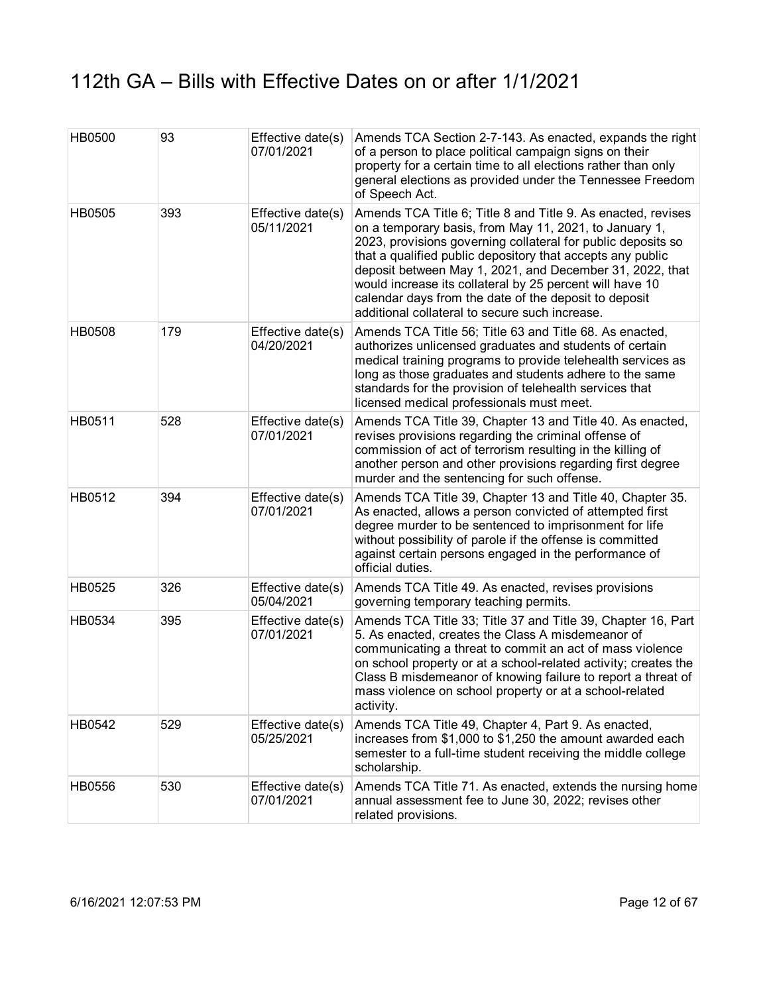| <b>HB0500</b> | 93  | Effective date(s)<br>07/01/2021 | Amends TCA Section 2-7-143. As enacted, expands the right<br>of a person to place political campaign signs on their<br>property for a certain time to all elections rather than only<br>general elections as provided under the Tennessee Freedom<br>of Speech Act.                                                                                                                                                                                                                     |
|---------------|-----|---------------------------------|-----------------------------------------------------------------------------------------------------------------------------------------------------------------------------------------------------------------------------------------------------------------------------------------------------------------------------------------------------------------------------------------------------------------------------------------------------------------------------------------|
| HB0505        | 393 | Effective date(s)<br>05/11/2021 | Amends TCA Title 6; Title 8 and Title 9. As enacted, revises<br>on a temporary basis, from May 11, 2021, to January 1,<br>2023, provisions governing collateral for public deposits so<br>that a qualified public depository that accepts any public<br>deposit between May 1, 2021, and December 31, 2022, that<br>would increase its collateral by 25 percent will have 10<br>calendar days from the date of the deposit to deposit<br>additional collateral to secure such increase. |
| <b>HB0508</b> | 179 | Effective date(s)<br>04/20/2021 | Amends TCA Title 56; Title 63 and Title 68. As enacted,<br>authorizes unlicensed graduates and students of certain<br>medical training programs to provide telehealth services as<br>long as those graduates and students adhere to the same<br>standards for the provision of telehealth services that<br>licensed medical professionals must meet.                                                                                                                                    |
| HB0511        | 528 | Effective date(s)<br>07/01/2021 | Amends TCA Title 39, Chapter 13 and Title 40. As enacted,<br>revises provisions regarding the criminal offense of<br>commission of act of terrorism resulting in the killing of<br>another person and other provisions regarding first degree<br>murder and the sentencing for such offense.                                                                                                                                                                                            |
| HB0512        | 394 | Effective date(s)<br>07/01/2021 | Amends TCA Title 39, Chapter 13 and Title 40, Chapter 35.<br>As enacted, allows a person convicted of attempted first<br>degree murder to be sentenced to imprisonment for life<br>without possibility of parole if the offense is committed<br>against certain persons engaged in the performance of<br>official duties.                                                                                                                                                               |
| HB0525        | 326 | Effective date(s)<br>05/04/2021 | Amends TCA Title 49. As enacted, revises provisions<br>governing temporary teaching permits.                                                                                                                                                                                                                                                                                                                                                                                            |
| HB0534        | 395 | Effective date(s)<br>07/01/2021 | Amends TCA Title 33; Title 37 and Title 39, Chapter 16, Part<br>5. As enacted, creates the Class A misdemeanor of<br>communicating a threat to commit an act of mass violence<br>on school property or at a school-related activity; creates the<br>Class B misdemeanor of knowing failure to report a threat of<br>mass violence on school property or at a school-related<br>activity.                                                                                                |
| HB0542        | 529 | Effective date(s)<br>05/25/2021 | Amends TCA Title 49, Chapter 4, Part 9. As enacted,<br>increases from \$1,000 to \$1,250 the amount awarded each<br>semester to a full-time student receiving the middle college<br>scholarship.                                                                                                                                                                                                                                                                                        |
| HB0556        | 530 | Effective date(s)<br>07/01/2021 | Amends TCA Title 71. As enacted, extends the nursing home<br>annual assessment fee to June 30, 2022; revises other<br>related provisions.                                                                                                                                                                                                                                                                                                                                               |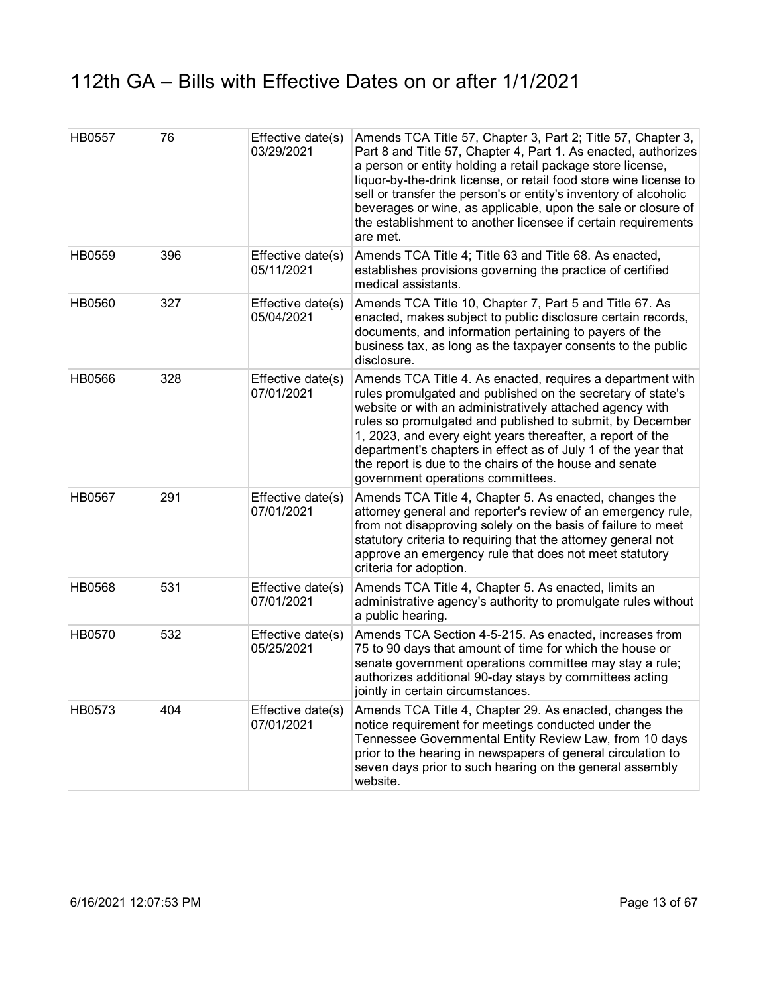| HB0557        | 76  | Effective date(s)<br>03/29/2021 | Amends TCA Title 57, Chapter 3, Part 2; Title 57, Chapter 3,<br>Part 8 and Title 57, Chapter 4, Part 1. As enacted, authorizes<br>a person or entity holding a retail package store license,<br>liquor-by-the-drink license, or retail food store wine license to<br>sell or transfer the person's or entity's inventory of alcoholic<br>beverages or wine, as applicable, upon the sale or closure of<br>the establishment to another licensee if certain requirements<br>are met. |
|---------------|-----|---------------------------------|-------------------------------------------------------------------------------------------------------------------------------------------------------------------------------------------------------------------------------------------------------------------------------------------------------------------------------------------------------------------------------------------------------------------------------------------------------------------------------------|
| HB0559        | 396 | Effective date(s)<br>05/11/2021 | Amends TCA Title 4; Title 63 and Title 68. As enacted,<br>establishes provisions governing the practice of certified<br>medical assistants.                                                                                                                                                                                                                                                                                                                                         |
| HB0560        | 327 | Effective date(s)<br>05/04/2021 | Amends TCA Title 10, Chapter 7, Part 5 and Title 67. As<br>enacted, makes subject to public disclosure certain records,<br>documents, and information pertaining to payers of the<br>business tax, as long as the taxpayer consents to the public<br>disclosure.                                                                                                                                                                                                                    |
| <b>HB0566</b> | 328 | Effective date(s)<br>07/01/2021 | Amends TCA Title 4. As enacted, requires a department with<br>rules promulgated and published on the secretary of state's<br>website or with an administratively attached agency with<br>rules so promulgated and published to submit, by December<br>1, 2023, and every eight years thereafter, a report of the<br>department's chapters in effect as of July 1 of the year that<br>the report is due to the chairs of the house and senate<br>government operations committees.   |
| <b>HB0567</b> | 291 | Effective date(s)<br>07/01/2021 | Amends TCA Title 4, Chapter 5. As enacted, changes the<br>attorney general and reporter's review of an emergency rule,<br>from not disapproving solely on the basis of failure to meet<br>statutory criteria to requiring that the attorney general not<br>approve an emergency rule that does not meet statutory<br>criteria for adoption.                                                                                                                                         |
| <b>HB0568</b> | 531 | Effective date(s)<br>07/01/2021 | Amends TCA Title 4, Chapter 5. As enacted, limits an<br>administrative agency's authority to promulgate rules without<br>a public hearing.                                                                                                                                                                                                                                                                                                                                          |
| HB0570        | 532 | Effective date(s)<br>05/25/2021 | Amends TCA Section 4-5-215. As enacted, increases from<br>75 to 90 days that amount of time for which the house or<br>senate government operations committee may stay a rule;<br>authorizes additional 90-day stays by committees acting<br>jointly in certain circumstances.                                                                                                                                                                                                       |
| HB0573        | 404 | Effective date(s)<br>07/01/2021 | Amends TCA Title 4, Chapter 29. As enacted, changes the<br>notice requirement for meetings conducted under the<br>Tennessee Governmental Entity Review Law, from 10 days<br>prior to the hearing in newspapers of general circulation to<br>seven days prior to such hearing on the general assembly<br>website.                                                                                                                                                                    |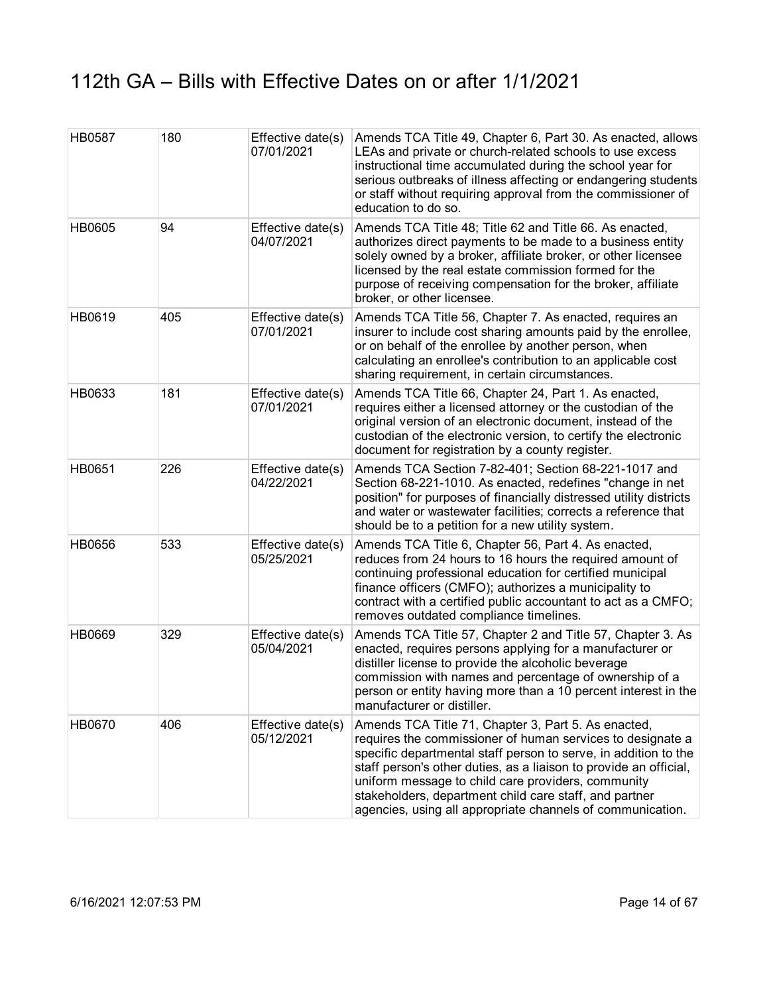| HB0587        | 180 | Effective date(s)<br>07/01/2021 | Amends TCA Title 49, Chapter 6, Part 30. As enacted, allows<br>LEAs and private or church-related schools to use excess<br>instructional time accumulated during the school year for<br>serious outbreaks of illness affecting or endangering students<br>or staff without requiring approval from the commissioner of<br>education to do so.                                                                                           |
|---------------|-----|---------------------------------|-----------------------------------------------------------------------------------------------------------------------------------------------------------------------------------------------------------------------------------------------------------------------------------------------------------------------------------------------------------------------------------------------------------------------------------------|
| <b>HB0605</b> | 94  | Effective date(s)<br>04/07/2021 | Amends TCA Title 48; Title 62 and Title 66. As enacted,<br>authorizes direct payments to be made to a business entity<br>solely owned by a broker, affiliate broker, or other licensee<br>licensed by the real estate commission formed for the<br>purpose of receiving compensation for the broker, affiliate<br>broker, or other licensee.                                                                                            |
| HB0619        | 405 | Effective date(s)<br>07/01/2021 | Amends TCA Title 56, Chapter 7. As enacted, requires an<br>insurer to include cost sharing amounts paid by the enrollee,<br>or on behalf of the enrollee by another person, when<br>calculating an enrollee's contribution to an applicable cost<br>sharing requirement, in certain circumstances.                                                                                                                                      |
| HB0633        | 181 | Effective date(s)<br>07/01/2021 | Amends TCA Title 66, Chapter 24, Part 1. As enacted,<br>requires either a licensed attorney or the custodian of the<br>original version of an electronic document, instead of the<br>custodian of the electronic version, to certify the electronic<br>document for registration by a county register.                                                                                                                                  |
| HB0651        | 226 | Effective date(s)<br>04/22/2021 | Amends TCA Section 7-82-401; Section 68-221-1017 and<br>Section 68-221-1010. As enacted, redefines "change in net<br>position" for purposes of financially distressed utility districts<br>and water or wastewater facilities; corrects a reference that<br>should be to a petition for a new utility system.                                                                                                                           |
| HB0656        | 533 | Effective date(s)<br>05/25/2021 | Amends TCA Title 6, Chapter 56, Part 4. As enacted,<br>reduces from 24 hours to 16 hours the required amount of<br>continuing professional education for certified municipal<br>finance officers (CMFO); authorizes a municipality to<br>contract with a certified public accountant to act as a CMFO;<br>removes outdated compliance timelines.                                                                                        |
| HB0669        | 329 | Effective date(s)<br>05/04/2021 | Amends TCA Title 57, Chapter 2 and Title 57, Chapter 3. As<br>enacted, requires persons applying for a manufacturer or<br>distiller license to provide the alcoholic beverage<br>commission with names and percentage of ownership of a<br>person or entity having more than a 10 percent interest in the<br>manufacturer or distiller.                                                                                                 |
| HB0670        | 406 | Effective date(s)<br>05/12/2021 | Amends TCA Title 71, Chapter 3, Part 5. As enacted,<br>requires the commissioner of human services to designate a<br>specific departmental staff person to serve, in addition to the<br>staff person's other duties, as a liaison to provide an official,<br>uniform message to child care providers, community<br>stakeholders, department child care staff, and partner<br>agencies, using all appropriate channels of communication. |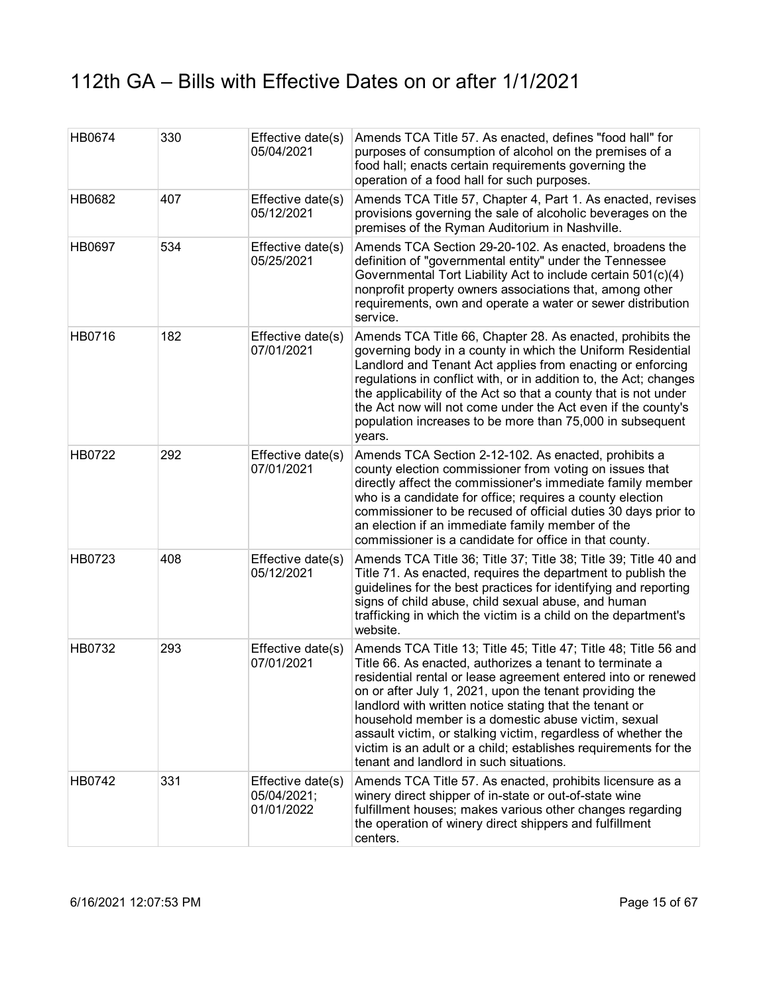| HB0674        | 330 | Effective date(s)<br>05/04/2021                | Amends TCA Title 57. As enacted, defines "food hall" for<br>purposes of consumption of alcohol on the premises of a<br>food hall; enacts certain requirements governing the<br>operation of a food hall for such purposes.                                                                                                                                                                                                                                                                                                                               |
|---------------|-----|------------------------------------------------|----------------------------------------------------------------------------------------------------------------------------------------------------------------------------------------------------------------------------------------------------------------------------------------------------------------------------------------------------------------------------------------------------------------------------------------------------------------------------------------------------------------------------------------------------------|
| HB0682        | 407 | Effective date(s)<br>05/12/2021                | Amends TCA Title 57, Chapter 4, Part 1. As enacted, revises<br>provisions governing the sale of alcoholic beverages on the<br>premises of the Ryman Auditorium in Nashville.                                                                                                                                                                                                                                                                                                                                                                             |
| <b>HB0697</b> | 534 | Effective date(s)<br>05/25/2021                | Amends TCA Section 29-20-102. As enacted, broadens the<br>definition of "governmental entity" under the Tennessee<br>Governmental Tort Liability Act to include certain 501(c)(4)<br>nonprofit property owners associations that, among other<br>requirements, own and operate a water or sewer distribution<br>service.                                                                                                                                                                                                                                 |
| HB0716        | 182 | Effective date(s)<br>07/01/2021                | Amends TCA Title 66, Chapter 28. As enacted, prohibits the<br>governing body in a county in which the Uniform Residential<br>Landlord and Tenant Act applies from enacting or enforcing<br>regulations in conflict with, or in addition to, the Act; changes<br>the applicability of the Act so that a county that is not under<br>the Act now will not come under the Act even if the county's<br>population increases to be more than 75,000 in subsequent<br>years.                                                                                   |
| HB0722        | 292 | Effective date(s)<br>07/01/2021                | Amends TCA Section 2-12-102. As enacted, prohibits a<br>county election commissioner from voting on issues that<br>directly affect the commissioner's immediate family member<br>who is a candidate for office; requires a county election<br>commissioner to be recused of official duties 30 days prior to<br>an election if an immediate family member of the<br>commissioner is a candidate for office in that county.                                                                                                                               |
| HB0723        | 408 | Effective date(s)<br>05/12/2021                | Amends TCA Title 36; Title 37; Title 38; Title 39; Title 40 and<br>Title 71. As enacted, requires the department to publish the<br>guidelines for the best practices for identifying and reporting<br>signs of child abuse, child sexual abuse, and human<br>trafficking in which the victim is a child on the department's<br>website.                                                                                                                                                                                                                  |
| HB0732        | 293 | Effective date(s)<br>07/01/2021                | Amends TCA Title 13; Title 45; Title 47; Title 48; Title 56 and<br>Title 66. As enacted, authorizes a tenant to terminate a<br>residential rental or lease agreement entered into or renewed<br>on or after July 1, 2021, upon the tenant providing the<br>landlord with written notice stating that the tenant or<br>household member is a domestic abuse victim, sexual<br>assault victim, or stalking victim, regardless of whether the<br>victim is an adult or a child; establishes requirements for the<br>tenant and landlord in such situations. |
| HB0742        | 331 | Effective date(s)<br>05/04/2021;<br>01/01/2022 | Amends TCA Title 57. As enacted, prohibits licensure as a<br>winery direct shipper of in-state or out-of-state wine<br>fulfillment houses; makes various other changes regarding<br>the operation of winery direct shippers and fulfillment<br>centers.                                                                                                                                                                                                                                                                                                  |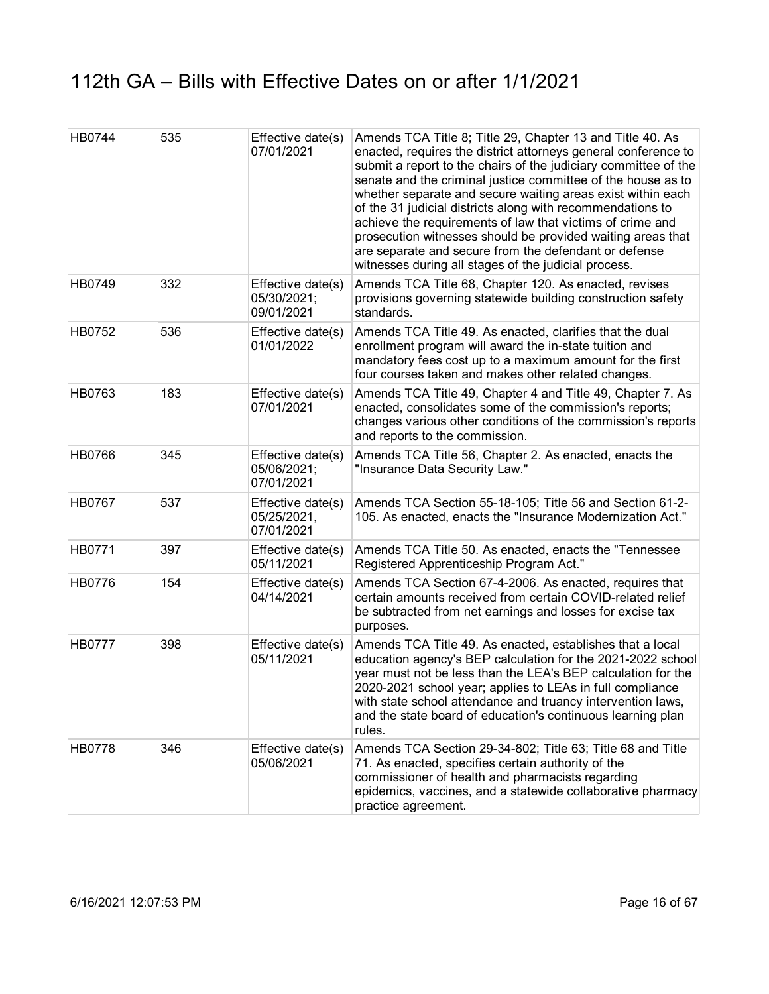| HB0744        | 535 | Effective date(s)<br>07/01/2021                | Amends TCA Title 8; Title 29, Chapter 13 and Title 40. As<br>enacted, requires the district attorneys general conference to<br>submit a report to the chairs of the judiciary committee of the<br>senate and the criminal justice committee of the house as to<br>whether separate and secure waiting areas exist within each<br>of the 31 judicial districts along with recommendations to<br>achieve the requirements of law that victims of crime and<br>prosecution witnesses should be provided waiting areas that<br>are separate and secure from the defendant or defense<br>witnesses during all stages of the judicial process. |
|---------------|-----|------------------------------------------------|------------------------------------------------------------------------------------------------------------------------------------------------------------------------------------------------------------------------------------------------------------------------------------------------------------------------------------------------------------------------------------------------------------------------------------------------------------------------------------------------------------------------------------------------------------------------------------------------------------------------------------------|
| HB0749        | 332 | Effective date(s)<br>05/30/2021;<br>09/01/2021 | Amends TCA Title 68, Chapter 120. As enacted, revises<br>provisions governing statewide building construction safety<br>standards.                                                                                                                                                                                                                                                                                                                                                                                                                                                                                                       |
| HB0752        | 536 | Effective date(s)<br>01/01/2022                | Amends TCA Title 49. As enacted, clarifies that the dual<br>enrollment program will award the in-state tuition and<br>mandatory fees cost up to a maximum amount for the first<br>four courses taken and makes other related changes.                                                                                                                                                                                                                                                                                                                                                                                                    |
| HB0763        | 183 | Effective date(s)<br>07/01/2021                | Amends TCA Title 49, Chapter 4 and Title 49, Chapter 7. As<br>enacted, consolidates some of the commission's reports;<br>changes various other conditions of the commission's reports<br>and reports to the commission.                                                                                                                                                                                                                                                                                                                                                                                                                  |
| <b>HB0766</b> | 345 | Effective date(s)<br>05/06/2021;<br>07/01/2021 | Amends TCA Title 56, Chapter 2. As enacted, enacts the<br>"Insurance Data Security Law."                                                                                                                                                                                                                                                                                                                                                                                                                                                                                                                                                 |
| <b>HB0767</b> | 537 | Effective date(s)<br>05/25/2021,<br>07/01/2021 | Amends TCA Section 55-18-105; Title 56 and Section 61-2-<br>105. As enacted, enacts the "Insurance Modernization Act."                                                                                                                                                                                                                                                                                                                                                                                                                                                                                                                   |
| HB0771        | 397 | Effective date(s)<br>05/11/2021                | Amends TCA Title 50. As enacted, enacts the "Tennessee<br>Registered Apprenticeship Program Act."                                                                                                                                                                                                                                                                                                                                                                                                                                                                                                                                        |
| HB0776        | 154 | Effective date(s)<br>04/14/2021                | Amends TCA Section 67-4-2006. As enacted, requires that<br>certain amounts received from certain COVID-related relief<br>be subtracted from net earnings and losses for excise tax<br>purposes.                                                                                                                                                                                                                                                                                                                                                                                                                                          |
| <b>HB0777</b> | 398 | Effective date(s)<br>05/11/2021                | Amends TCA Title 49. As enacted, establishes that a local<br>education agency's BEP calculation for the 2021-2022 school<br>year must not be less than the LEA's BEP calculation for the<br>2020-2021 school year; applies to LEAs in full compliance<br>with state school attendance and truancy intervention laws,<br>and the state board of education's continuous learning plan<br>rules.                                                                                                                                                                                                                                            |
| HB0778        | 346 | Effective date(s)<br>05/06/2021                | Amends TCA Section 29-34-802; Title 63; Title 68 and Title<br>71. As enacted, specifies certain authority of the<br>commissioner of health and pharmacists regarding<br>epidemics, vaccines, and a statewide collaborative pharmacy<br>practice agreement.                                                                                                                                                                                                                                                                                                                                                                               |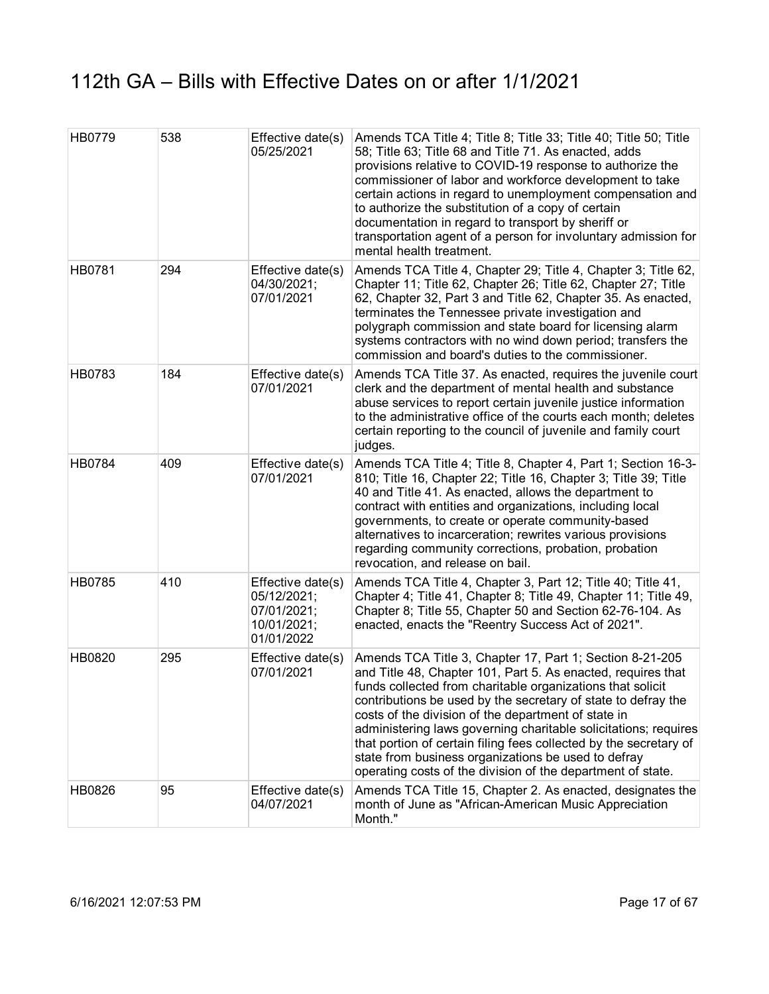| HB0779        | 538 | Effective date(s)<br>05/25/2021                                              | Amends TCA Title 4; Title 8; Title 33; Title 40; Title 50; Title<br>58; Title 63; Title 68 and Title 71. As enacted, adds<br>provisions relative to COVID-19 response to authorize the<br>commissioner of labor and workforce development to take<br>certain actions in regard to unemployment compensation and<br>to authorize the substitution of a copy of certain<br>documentation in regard to transport by sheriff or<br>transportation agent of a person for involuntary admission for<br>mental health treatment.                                                    |
|---------------|-----|------------------------------------------------------------------------------|------------------------------------------------------------------------------------------------------------------------------------------------------------------------------------------------------------------------------------------------------------------------------------------------------------------------------------------------------------------------------------------------------------------------------------------------------------------------------------------------------------------------------------------------------------------------------|
| <b>HB0781</b> | 294 | Effective date(s)<br>04/30/2021;<br>07/01/2021                               | Amends TCA Title 4, Chapter 29; Title 4, Chapter 3; Title 62,<br>Chapter 11; Title 62, Chapter 26; Title 62, Chapter 27; Title<br>62, Chapter 32, Part 3 and Title 62, Chapter 35. As enacted,<br>terminates the Tennessee private investigation and<br>polygraph commission and state board for licensing alarm<br>systems contractors with no wind down period; transfers the<br>commission and board's duties to the commissioner.                                                                                                                                        |
| <b>HB0783</b> | 184 | Effective date(s)<br>07/01/2021                                              | Amends TCA Title 37. As enacted, requires the juvenile court<br>clerk and the department of mental health and substance<br>abuse services to report certain juvenile justice information<br>to the administrative office of the courts each month; deletes<br>certain reporting to the council of juvenile and family court<br>judges.                                                                                                                                                                                                                                       |
| <b>HB0784</b> | 409 | Effective date(s)<br>07/01/2021                                              | Amends TCA Title 4; Title 8, Chapter 4, Part 1; Section 16-3-<br>810; Title 16, Chapter 22; Title 16, Chapter 3; Title 39; Title<br>40 and Title 41. As enacted, allows the department to<br>contract with entities and organizations, including local<br>governments, to create or operate community-based<br>alternatives to incarceration; rewrites various provisions<br>regarding community corrections, probation, probation<br>revocation, and release on bail.                                                                                                       |
| <b>HB0785</b> | 410 | Effective date(s)<br>05/12/2021;<br>07/01/2021;<br>10/01/2021;<br>01/01/2022 | Amends TCA Title 4, Chapter 3, Part 12; Title 40; Title 41,<br>Chapter 4; Title 41, Chapter 8; Title 49, Chapter 11; Title 49,<br>Chapter 8; Title 55, Chapter 50 and Section 62-76-104. As<br>enacted, enacts the "Reentry Success Act of 2021".                                                                                                                                                                                                                                                                                                                            |
| HB0820        | 295 | Effective date(s)<br>07/01/2021                                              | Amends TCA Title 3, Chapter 17, Part 1; Section 8-21-205<br>and Title 48, Chapter 101, Part 5. As enacted, requires that<br>funds collected from charitable organizations that solicit<br>contributions be used by the secretary of state to defray the<br>costs of the division of the department of state in<br>administering laws governing charitable solicitations; requires<br>that portion of certain filing fees collected by the secretary of<br>state from business organizations be used to defray<br>operating costs of the division of the department of state. |
| HB0826        | 95  | Effective date(s)<br>04/07/2021                                              | Amends TCA Title 15, Chapter 2. As enacted, designates the<br>month of June as "African-American Music Appreciation<br>Month."                                                                                                                                                                                                                                                                                                                                                                                                                                               |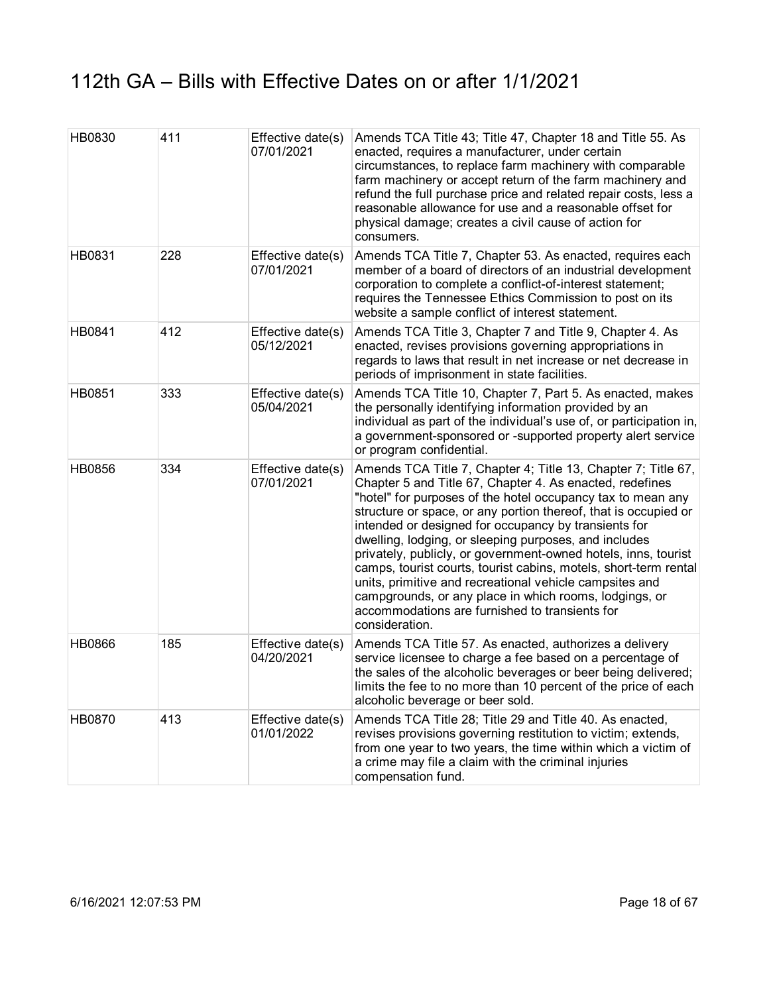| HB0830 | 411 | Effective date(s)<br>07/01/2021 | Amends TCA Title 43; Title 47, Chapter 18 and Title 55. As<br>enacted, requires a manufacturer, under certain<br>circumstances, to replace farm machinery with comparable<br>farm machinery or accept return of the farm machinery and<br>refund the full purchase price and related repair costs, less a<br>reasonable allowance for use and a reasonable offset for<br>physical damage; creates a civil cause of action for<br>consumers.                                                                                                                                                                                                                                                                 |
|--------|-----|---------------------------------|-------------------------------------------------------------------------------------------------------------------------------------------------------------------------------------------------------------------------------------------------------------------------------------------------------------------------------------------------------------------------------------------------------------------------------------------------------------------------------------------------------------------------------------------------------------------------------------------------------------------------------------------------------------------------------------------------------------|
| HB0831 | 228 | Effective date(s)<br>07/01/2021 | Amends TCA Title 7, Chapter 53. As enacted, requires each<br>member of a board of directors of an industrial development<br>corporation to complete a conflict-of-interest statement;<br>requires the Tennessee Ethics Commission to post on its<br>website a sample conflict of interest statement.                                                                                                                                                                                                                                                                                                                                                                                                        |
| HB0841 | 412 | Effective date(s)<br>05/12/2021 | Amends TCA Title 3, Chapter 7 and Title 9, Chapter 4. As<br>enacted, revises provisions governing appropriations in<br>regards to laws that result in net increase or net decrease in<br>periods of imprisonment in state facilities.                                                                                                                                                                                                                                                                                                                                                                                                                                                                       |
| HB0851 | 333 | Effective date(s)<br>05/04/2021 | Amends TCA Title 10, Chapter 7, Part 5. As enacted, makes<br>the personally identifying information provided by an<br>individual as part of the individual's use of, or participation in,<br>a government-sponsored or -supported property alert service<br>or program confidential.                                                                                                                                                                                                                                                                                                                                                                                                                        |
| HB0856 | 334 | Effective date(s)<br>07/01/2021 | Amends TCA Title 7, Chapter 4; Title 13, Chapter 7; Title 67,<br>Chapter 5 and Title 67, Chapter 4. As enacted, redefines<br>"hotel" for purposes of the hotel occupancy tax to mean any<br>structure or space, or any portion thereof, that is occupied or<br>intended or designed for occupancy by transients for<br>dwelling, lodging, or sleeping purposes, and includes<br>privately, publicly, or government-owned hotels, inns, tourist<br>camps, tourist courts, tourist cabins, motels, short-term rental<br>units, primitive and recreational vehicle campsites and<br>campgrounds, or any place in which rooms, lodgings, or<br>accommodations are furnished to transients for<br>consideration. |
| HB0866 | 185 | Effective date(s)<br>04/20/2021 | Amends TCA Title 57. As enacted, authorizes a delivery<br>service licensee to charge a fee based on a percentage of<br>the sales of the alcoholic beverages or beer being delivered;<br>limits the fee to no more than 10 percent of the price of each<br>alcoholic beverage or beer sold.                                                                                                                                                                                                                                                                                                                                                                                                                  |
| HB0870 | 413 | Effective date(s)<br>01/01/2022 | Amends TCA Title 28; Title 29 and Title 40. As enacted,<br>revises provisions governing restitution to victim; extends,<br>from one year to two years, the time within which a victim of<br>a crime may file a claim with the criminal injuries<br>compensation fund.                                                                                                                                                                                                                                                                                                                                                                                                                                       |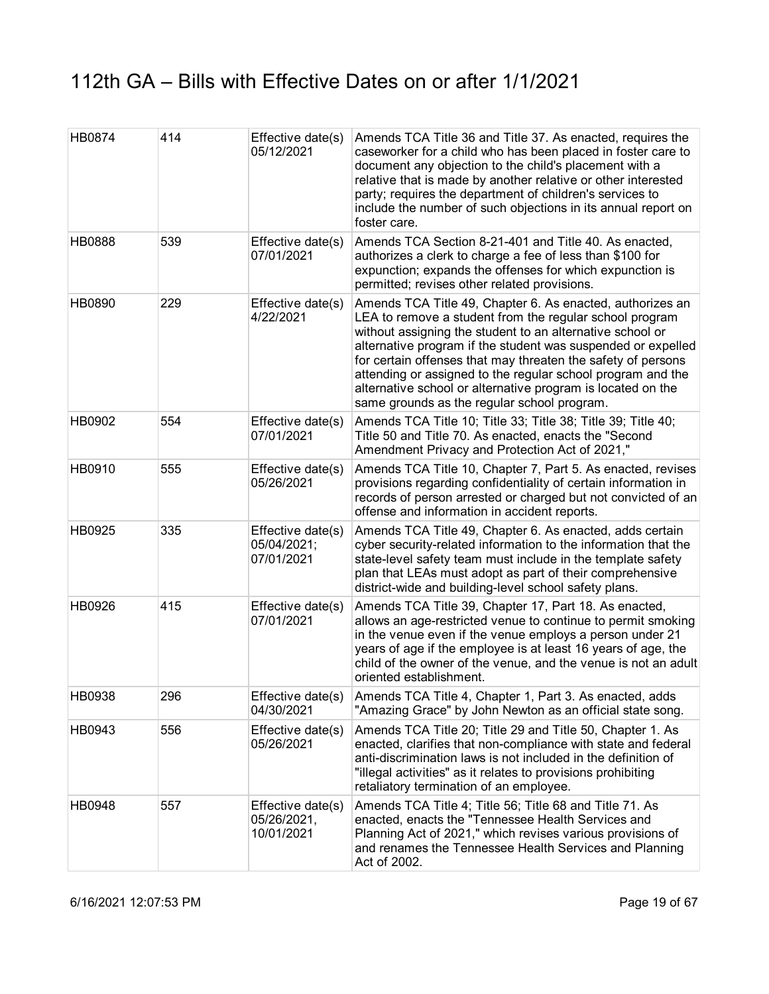| <b>HB0874</b> | 414 | Effective date(s)<br>05/12/2021                | Amends TCA Title 36 and Title 37. As enacted, requires the<br>caseworker for a child who has been placed in foster care to<br>document any objection to the child's placement with a<br>relative that is made by another relative or other interested<br>party; requires the department of children's services to<br>include the number of such objections in its annual report on<br>foster care.                                                                                             |
|---------------|-----|------------------------------------------------|------------------------------------------------------------------------------------------------------------------------------------------------------------------------------------------------------------------------------------------------------------------------------------------------------------------------------------------------------------------------------------------------------------------------------------------------------------------------------------------------|
| <b>HB0888</b> | 539 | Effective date(s)<br>07/01/2021                | Amends TCA Section 8-21-401 and Title 40. As enacted,<br>authorizes a clerk to charge a fee of less than \$100 for<br>expunction; expands the offenses for which expunction is<br>permitted; revises other related provisions.                                                                                                                                                                                                                                                                 |
| HB0890        | 229 | Effective date(s)<br>4/22/2021                 | Amends TCA Title 49, Chapter 6. As enacted, authorizes an<br>LEA to remove a student from the regular school program<br>without assigning the student to an alternative school or<br>alternative program if the student was suspended or expelled<br>for certain offenses that may threaten the safety of persons<br>attending or assigned to the regular school program and the<br>alternative school or alternative program is located on the<br>same grounds as the regular school program. |
| HB0902        | 554 | Effective date(s)<br>07/01/2021                | Amends TCA Title 10; Title 33; Title 38; Title 39; Title 40;<br>Title 50 and Title 70. As enacted, enacts the "Second<br>Amendment Privacy and Protection Act of 2021,"                                                                                                                                                                                                                                                                                                                        |
| HB0910        | 555 | Effective date(s)<br>05/26/2021                | Amends TCA Title 10, Chapter 7, Part 5. As enacted, revises<br>provisions regarding confidentiality of certain information in<br>records of person arrested or charged but not convicted of an<br>offense and information in accident reports.                                                                                                                                                                                                                                                 |
| HB0925        | 335 | Effective date(s)<br>05/04/2021;<br>07/01/2021 | Amends TCA Title 49, Chapter 6. As enacted, adds certain<br>cyber security-related information to the information that the<br>state-level safety team must include in the template safety<br>plan that LEAs must adopt as part of their comprehensive<br>district-wide and building-level school safety plans.                                                                                                                                                                                 |
| HB0926        | 415 | Effective date(s)<br>07/01/2021                | Amends TCA Title 39, Chapter 17, Part 18. As enacted,<br>allows an age-restricted venue to continue to permit smoking<br>in the venue even if the venue employs a person under 21<br>years of age if the employee is at least 16 years of age, the<br>child of the owner of the venue, and the venue is not an adult<br>oriented establishment.                                                                                                                                                |
| HB0938        | 296 | Effective date(s)<br>04/30/2021                | Amends TCA Title 4, Chapter 1, Part 3. As enacted, adds<br>"Amazing Grace" by John Newton as an official state song.                                                                                                                                                                                                                                                                                                                                                                           |
| HB0943        | 556 | Effective date(s)<br>05/26/2021                | Amends TCA Title 20; Title 29 and Title 50, Chapter 1. As<br>enacted, clarifies that non-compliance with state and federal<br>anti-discrimination laws is not included in the definition of<br>"illegal activities" as it relates to provisions prohibiting<br>retaliatory termination of an employee.                                                                                                                                                                                         |
| HB0948        | 557 | Effective date(s)<br>05/26/2021,<br>10/01/2021 | Amends TCA Title 4; Title 56; Title 68 and Title 71. As<br>enacted, enacts the "Tennessee Health Services and<br>Planning Act of 2021," which revises various provisions of<br>and renames the Tennessee Health Services and Planning<br>Act of 2002.                                                                                                                                                                                                                                          |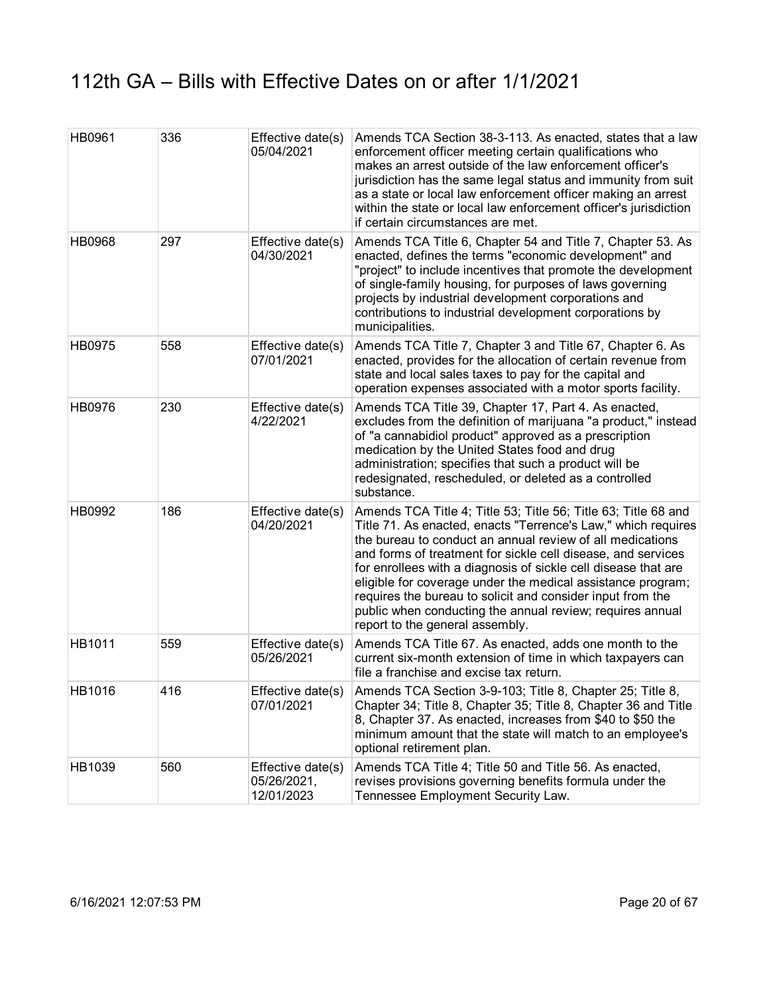| HB0961        | 336 | Effective date(s)<br>05/04/2021                | Amends TCA Section 38-3-113. As enacted, states that a law<br>enforcement officer meeting certain qualifications who<br>makes an arrest outside of the law enforcement officer's<br>jurisdiction has the same legal status and immunity from suit<br>as a state or local law enforcement officer making an arrest<br>within the state or local law enforcement officer's jurisdiction<br>if certain circumstances are met.                                                                                                                                  |
|---------------|-----|------------------------------------------------|-------------------------------------------------------------------------------------------------------------------------------------------------------------------------------------------------------------------------------------------------------------------------------------------------------------------------------------------------------------------------------------------------------------------------------------------------------------------------------------------------------------------------------------------------------------|
| <b>HB0968</b> | 297 | Effective date(s)<br>04/30/2021                | Amends TCA Title 6, Chapter 54 and Title 7, Chapter 53. As<br>enacted, defines the terms "economic development" and<br>"project" to include incentives that promote the development<br>of single-family housing, for purposes of laws governing<br>projects by industrial development corporations and<br>contributions to industrial development corporations by<br>municipalities.                                                                                                                                                                        |
| HB0975        | 558 | Effective date(s)<br>07/01/2021                | Amends TCA Title 7, Chapter 3 and Title 67, Chapter 6. As<br>enacted, provides for the allocation of certain revenue from<br>state and local sales taxes to pay for the capital and<br>operation expenses associated with a motor sports facility.                                                                                                                                                                                                                                                                                                          |
| HB0976        | 230 | Effective date(s)<br>4/22/2021                 | Amends TCA Title 39, Chapter 17, Part 4. As enacted,<br>excludes from the definition of marijuana "a product," instead<br>of "a cannabidiol product" approved as a prescription<br>medication by the United States food and drug<br>administration; specifies that such a product will be<br>redesignated, rescheduled, or deleted as a controlled<br>substance.                                                                                                                                                                                            |
| HB0992        | 186 | Effective date(s)<br>04/20/2021                | Amends TCA Title 4; Title 53; Title 56; Title 63; Title 68 and<br>Title 71. As enacted, enacts "Terrence's Law," which requires<br>the bureau to conduct an annual review of all medications<br>and forms of treatment for sickle cell disease, and services<br>for enrollees with a diagnosis of sickle cell disease that are<br>eligible for coverage under the medical assistance program;<br>requires the bureau to solicit and consider input from the<br>public when conducting the annual review; requires annual<br>report to the general assembly. |
| HB1011        | 559 | Effective date(s)<br>05/26/2021                | Amends TCA Title 67. As enacted, adds one month to the<br>current six-month extension of time in which taxpayers can<br>file a franchise and excise tax return.                                                                                                                                                                                                                                                                                                                                                                                             |
| HB1016        | 416 | Effective date(s)<br>07/01/2021                | Amends TCA Section 3-9-103; Title 8, Chapter 25; Title 8,<br>Chapter 34; Title 8, Chapter 35; Title 8, Chapter 36 and Title<br>8, Chapter 37. As enacted, increases from \$40 to \$50 the<br>minimum amount that the state will match to an employee's<br>optional retirement plan.                                                                                                                                                                                                                                                                         |
| HB1039        | 560 | Effective date(s)<br>05/26/2021,<br>12/01/2023 | Amends TCA Title 4; Title 50 and Title 56. As enacted,<br>revises provisions governing benefits formula under the<br>Tennessee Employment Security Law.                                                                                                                                                                                                                                                                                                                                                                                                     |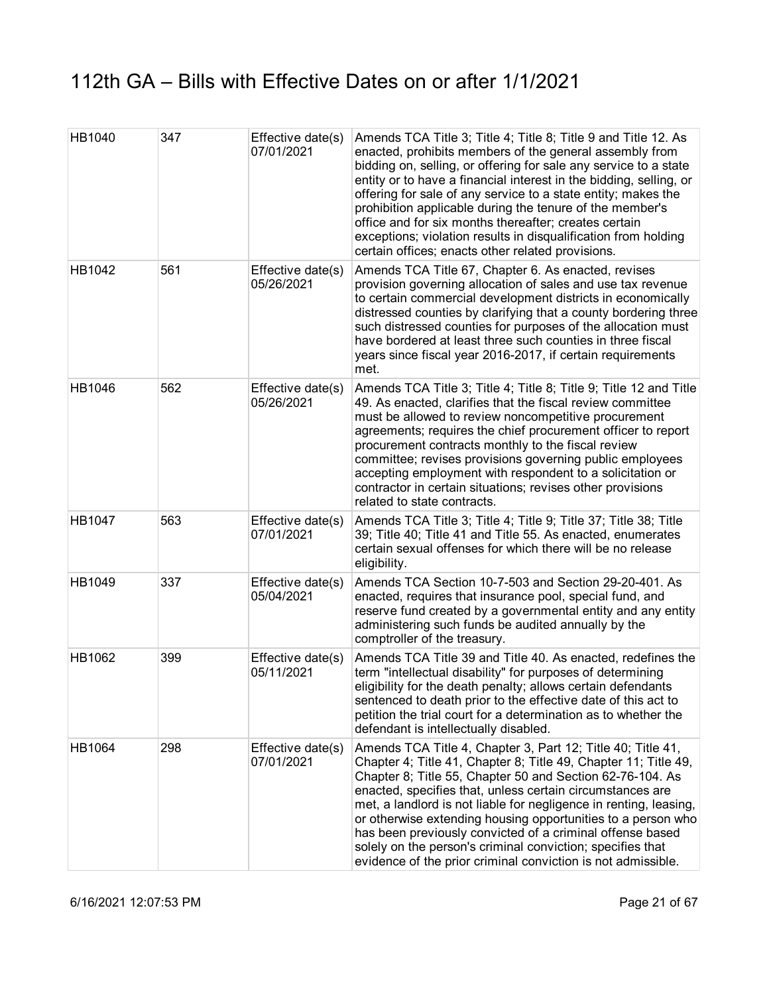| HB1040 | 347 | Effective date(s)<br>07/01/2021 | Amends TCA Title 3; Title 4; Title 8; Title 9 and Title 12. As<br>enacted, prohibits members of the general assembly from<br>bidding on, selling, or offering for sale any service to a state<br>entity or to have a financial interest in the bidding, selling, or<br>offering for sale of any service to a state entity; makes the<br>prohibition applicable during the tenure of the member's<br>office and for six months thereafter; creates certain<br>exceptions; violation results in disqualification from holding<br>certain offices; enacts other related provisions.         |
|--------|-----|---------------------------------|------------------------------------------------------------------------------------------------------------------------------------------------------------------------------------------------------------------------------------------------------------------------------------------------------------------------------------------------------------------------------------------------------------------------------------------------------------------------------------------------------------------------------------------------------------------------------------------|
| HB1042 | 561 | Effective date(s)<br>05/26/2021 | Amends TCA Title 67, Chapter 6. As enacted, revises<br>provision governing allocation of sales and use tax revenue<br>to certain commercial development districts in economically<br>distressed counties by clarifying that a county bordering three<br>such distressed counties for purposes of the allocation must<br>have bordered at least three such counties in three fiscal<br>years since fiscal year 2016-2017, if certain requirements<br>met.                                                                                                                                 |
| HB1046 | 562 | Effective date(s)<br>05/26/2021 | Amends TCA Title 3; Title 4; Title 8; Title 9; Title 12 and Title<br>49. As enacted, clarifies that the fiscal review committee<br>must be allowed to review noncompetitive procurement<br>agreements; requires the chief procurement officer to report<br>procurement contracts monthly to the fiscal review<br>committee; revises provisions governing public employees<br>accepting employment with respondent to a solicitation or<br>contractor in certain situations; revises other provisions<br>related to state contracts.                                                      |
| HB1047 | 563 | Effective date(s)<br>07/01/2021 | Amends TCA Title 3; Title 4; Title 9; Title 37; Title 38; Title<br>39; Title 40; Title 41 and Title 55. As enacted, enumerates<br>certain sexual offenses for which there will be no release<br>eligibility.                                                                                                                                                                                                                                                                                                                                                                             |
| HB1049 | 337 | Effective date(s)<br>05/04/2021 | Amends TCA Section 10-7-503 and Section 29-20-401. As<br>enacted, requires that insurance pool, special fund, and<br>reserve fund created by a governmental entity and any entity<br>administering such funds be audited annually by the<br>comptroller of the treasury.                                                                                                                                                                                                                                                                                                                 |
| HB1062 | 399 | Effective date(s)<br>05/11/2021 | Amends TCA Title 39 and Title 40. As enacted, redefines the<br>term "intellectual disability" for purposes of determining<br>eligibility for the death penalty; allows certain defendants<br>sentenced to death prior to the effective date of this act to<br>petition the trial court for a determination as to whether the<br>defendant is intellectually disabled.                                                                                                                                                                                                                    |
| HB1064 | 298 | Effective date(s)<br>07/01/2021 | Amends TCA Title 4, Chapter 3, Part 12; Title 40; Title 41,<br>Chapter 4; Title 41, Chapter 8; Title 49, Chapter 11; Title 49,<br>Chapter 8; Title 55, Chapter 50 and Section 62-76-104. As<br>enacted, specifies that, unless certain circumstances are<br>met, a landlord is not liable for negligence in renting, leasing,<br>or otherwise extending housing opportunities to a person who<br>has been previously convicted of a criminal offense based<br>solely on the person's criminal conviction; specifies that<br>evidence of the prior criminal conviction is not admissible. |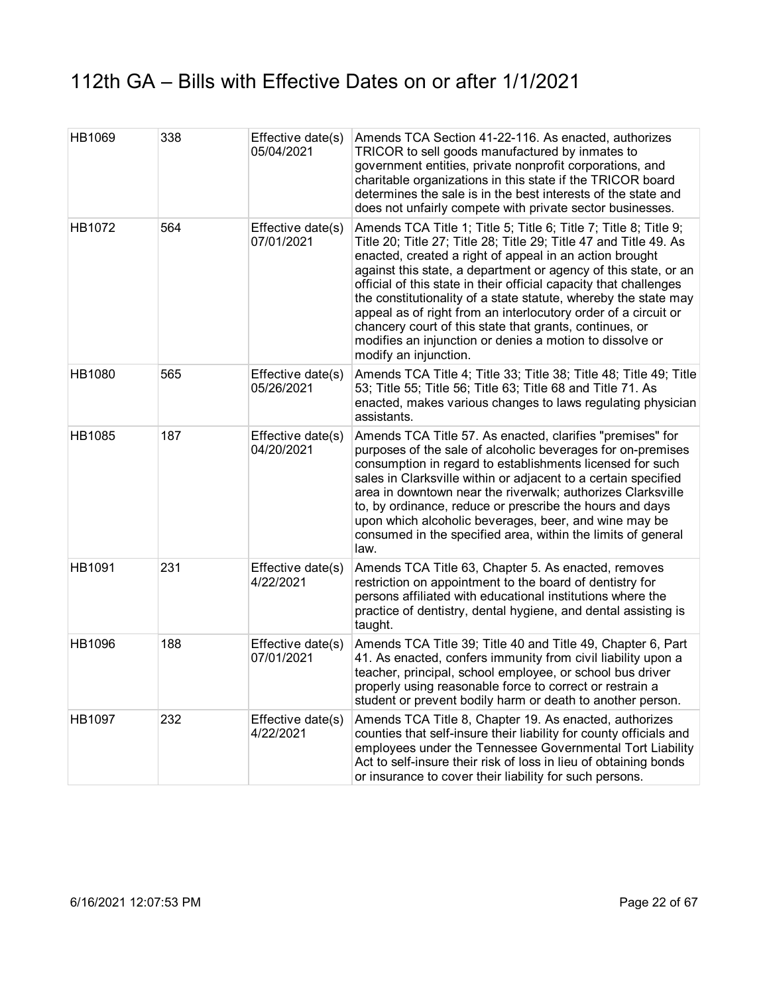| HB1069 | 338 | Effective date(s)<br>05/04/2021 | Amends TCA Section 41-22-116. As enacted, authorizes<br>TRICOR to sell goods manufactured by inmates to<br>government entities, private nonprofit corporations, and<br>charitable organizations in this state if the TRICOR board<br>determines the sale is in the best interests of the state and<br>does not unfairly compete with private sector businesses.                                                                                                                                                                                                                                                               |
|--------|-----|---------------------------------|-------------------------------------------------------------------------------------------------------------------------------------------------------------------------------------------------------------------------------------------------------------------------------------------------------------------------------------------------------------------------------------------------------------------------------------------------------------------------------------------------------------------------------------------------------------------------------------------------------------------------------|
| HB1072 | 564 | Effective date(s)<br>07/01/2021 | Amends TCA Title 1; Title 5; Title 6; Title 7; Title 8; Title 9;<br>Title 20; Title 27; Title 28; Title 29; Title 47 and Title 49. As<br>enacted, created a right of appeal in an action brought<br>against this state, a department or agency of this state, or an<br>official of this state in their official capacity that challenges<br>the constitutionality of a state statute, whereby the state may<br>appeal as of right from an interlocutory order of a circuit or<br>chancery court of this state that grants, continues, or<br>modifies an injunction or denies a motion to dissolve or<br>modify an injunction. |
| HB1080 | 565 | Effective date(s)<br>05/26/2021 | Amends TCA Title 4; Title 33; Title 38; Title 48; Title 49; Title<br>53; Title 55; Title 56; Title 63; Title 68 and Title 71. As<br>enacted, makes various changes to laws regulating physician<br>assistants.                                                                                                                                                                                                                                                                                                                                                                                                                |
| HB1085 | 187 | Effective date(s)<br>04/20/2021 | Amends TCA Title 57. As enacted, clarifies "premises" for<br>purposes of the sale of alcoholic beverages for on-premises<br>consumption in regard to establishments licensed for such<br>sales in Clarksville within or adjacent to a certain specified<br>area in downtown near the riverwalk; authorizes Clarksville<br>to, by ordinance, reduce or prescribe the hours and days<br>upon which alcoholic beverages, beer, and wine may be<br>consumed in the specified area, within the limits of general<br>law.                                                                                                           |
| HB1091 | 231 | Effective date(s)<br>4/22/2021  | Amends TCA Title 63, Chapter 5. As enacted, removes<br>restriction on appointment to the board of dentistry for<br>persons affiliated with educational institutions where the<br>practice of dentistry, dental hygiene, and dental assisting is<br>taught.                                                                                                                                                                                                                                                                                                                                                                    |
| HB1096 | 188 | Effective date(s)<br>07/01/2021 | Amends TCA Title 39; Title 40 and Title 49, Chapter 6, Part<br>41. As enacted, confers immunity from civil liability upon a<br>teacher, principal, school employee, or school bus driver<br>properly using reasonable force to correct or restrain a<br>student or prevent bodily harm or death to another person.                                                                                                                                                                                                                                                                                                            |
| HB1097 | 232 | Effective date(s)<br>4/22/2021  | Amends TCA Title 8, Chapter 19. As enacted, authorizes<br>counties that self-insure their liability for county officials and<br>employees under the Tennessee Governmental Tort Liability<br>Act to self-insure their risk of loss in lieu of obtaining bonds<br>or insurance to cover their liability for such persons.                                                                                                                                                                                                                                                                                                      |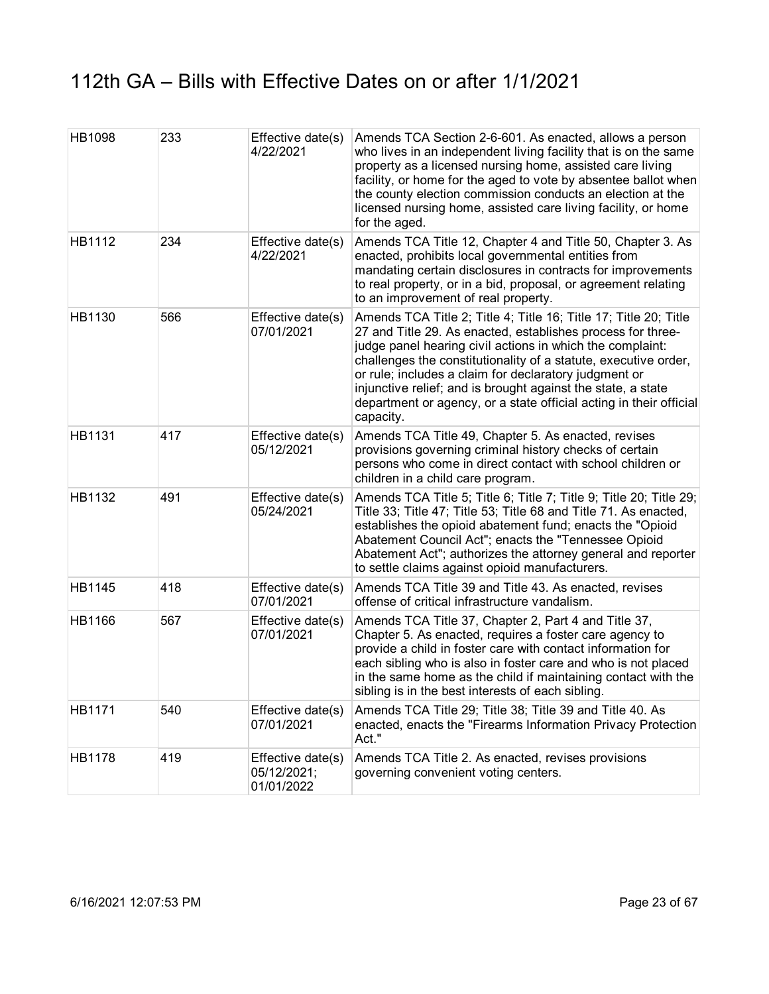| <b>HB1098</b> | 233 | Effective date(s)<br>4/22/2021                 | Amends TCA Section 2-6-601. As enacted, allows a person<br>who lives in an independent living facility that is on the same<br>property as a licensed nursing home, assisted care living<br>facility, or home for the aged to vote by absentee ballot when<br>the county election commission conducts an election at the<br>licensed nursing home, assisted care living facility, or home<br>for the aged.                                                                   |
|---------------|-----|------------------------------------------------|-----------------------------------------------------------------------------------------------------------------------------------------------------------------------------------------------------------------------------------------------------------------------------------------------------------------------------------------------------------------------------------------------------------------------------------------------------------------------------|
| HB1112        | 234 | Effective date(s)<br>4/22/2021                 | Amends TCA Title 12, Chapter 4 and Title 50, Chapter 3. As<br>enacted, prohibits local governmental entities from<br>mandating certain disclosures in contracts for improvements<br>to real property, or in a bid, proposal, or agreement relating<br>to an improvement of real property.                                                                                                                                                                                   |
| HB1130        | 566 | Effective date(s)<br>07/01/2021                | Amends TCA Title 2; Title 4; Title 16; Title 17; Title 20; Title<br>27 and Title 29. As enacted, establishes process for three-<br>judge panel hearing civil actions in which the complaint:<br>challenges the constitutionality of a statute, executive order,<br>or rule; includes a claim for declaratory judgment or<br>injunctive relief; and is brought against the state, a state<br>department or agency, or a state official acting in their official<br>capacity. |
| HB1131        | 417 | Effective date(s)<br>05/12/2021                | Amends TCA Title 49, Chapter 5. As enacted, revises<br>provisions governing criminal history checks of certain<br>persons who come in direct contact with school children or<br>children in a child care program.                                                                                                                                                                                                                                                           |
| HB1132        | 491 | Effective date(s)<br>05/24/2021                | Amends TCA Title 5; Title 6; Title 7; Title 9; Title 20; Title 29;<br>Title 33; Title 47; Title 53; Title 68 and Title 71. As enacted,<br>establishes the opioid abatement fund; enacts the "Opioid<br>Abatement Council Act"; enacts the "Tennessee Opioid<br>Abatement Act"; authorizes the attorney general and reporter<br>to settle claims against opioid manufacturers.                                                                                               |
| HB1145        | 418 | Effective date(s)<br>07/01/2021                | Amends TCA Title 39 and Title 43. As enacted, revises<br>offense of critical infrastructure vandalism.                                                                                                                                                                                                                                                                                                                                                                      |
| HB1166        | 567 | Effective date(s)<br>07/01/2021                | Amends TCA Title 37, Chapter 2, Part 4 and Title 37,<br>Chapter 5. As enacted, requires a foster care agency to<br>provide a child in foster care with contact information for<br>each sibling who is also in foster care and who is not placed<br>in the same home as the child if maintaining contact with the<br>sibling is in the best interests of each sibling.                                                                                                       |
| HB1171        | 540 | Effective date(s)<br>07/01/2021                | Amends TCA Title 29; Title 38; Title 39 and Title 40. As<br>enacted, enacts the "Firearms Information Privacy Protection<br>Act."                                                                                                                                                                                                                                                                                                                                           |
| HB1178        | 419 | Effective date(s)<br>05/12/2021;<br>01/01/2022 | Amends TCA Title 2. As enacted, revises provisions<br>governing convenient voting centers.                                                                                                                                                                                                                                                                                                                                                                                  |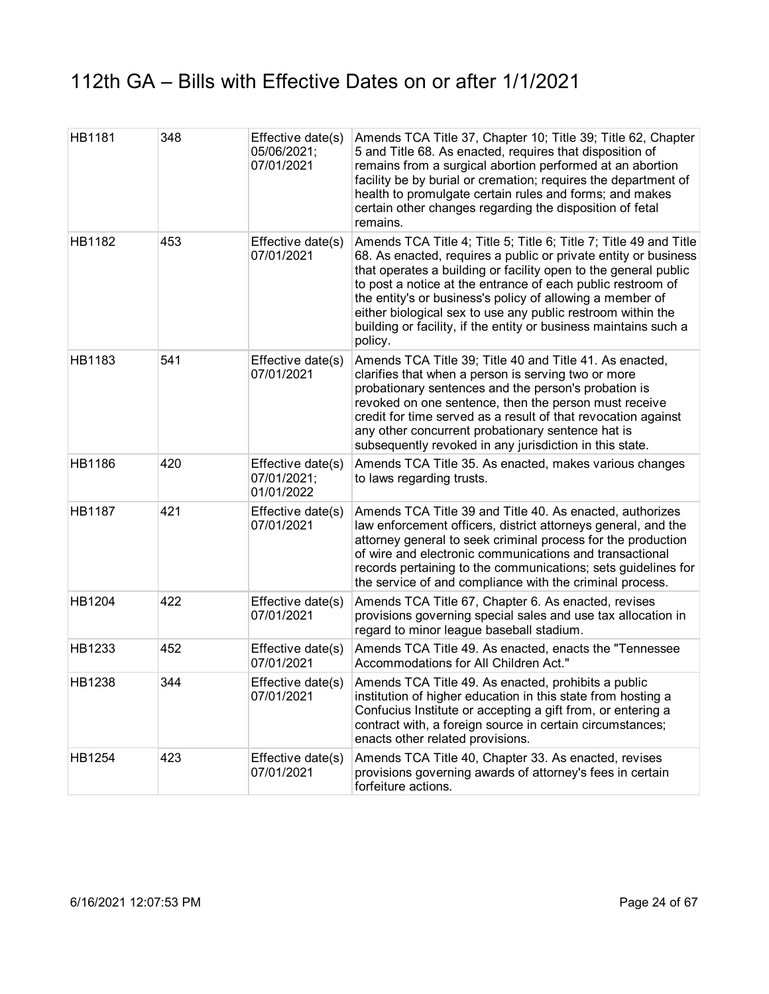| <b>HB1181</b> | 348 | Effective date(s)<br>05/06/2021;<br>07/01/2021 | Amends TCA Title 37, Chapter 10; Title 39; Title 62, Chapter<br>5 and Title 68. As enacted, requires that disposition of<br>remains from a surgical abortion performed at an abortion<br>facility be by burial or cremation; requires the department of<br>health to promulgate certain rules and forms; and makes<br>certain other changes regarding the disposition of fetal<br>remains.                                                                                        |
|---------------|-----|------------------------------------------------|-----------------------------------------------------------------------------------------------------------------------------------------------------------------------------------------------------------------------------------------------------------------------------------------------------------------------------------------------------------------------------------------------------------------------------------------------------------------------------------|
| HB1182        | 453 | Effective date(s)<br>07/01/2021                | Amends TCA Title 4; Title 5; Title 6; Title 7; Title 49 and Title<br>68. As enacted, requires a public or private entity or business<br>that operates a building or facility open to the general public<br>to post a notice at the entrance of each public restroom of<br>the entity's or business's policy of allowing a member of<br>either biological sex to use any public restroom within the<br>building or facility, if the entity or business maintains such a<br>policy. |
| HB1183        | 541 | Effective date(s)<br>07/01/2021                | Amends TCA Title 39; Title 40 and Title 41. As enacted,<br>clarifies that when a person is serving two or more<br>probationary sentences and the person's probation is<br>revoked on one sentence, then the person must receive<br>credit for time served as a result of that revocation against<br>any other concurrent probationary sentence hat is<br>subsequently revoked in any jurisdiction in this state.                                                                  |
| <b>HB1186</b> | 420 | Effective date(s)<br>07/01/2021;<br>01/01/2022 | Amends TCA Title 35. As enacted, makes various changes<br>to laws regarding trusts.                                                                                                                                                                                                                                                                                                                                                                                               |
| <b>HB1187</b> | 421 | Effective date(s)<br>07/01/2021                | Amends TCA Title 39 and Title 40. As enacted, authorizes<br>law enforcement officers, district attorneys general, and the<br>attorney general to seek criminal process for the production<br>of wire and electronic communications and transactional<br>records pertaining to the communications; sets guidelines for<br>the service of and compliance with the criminal process.                                                                                                 |
| HB1204        | 422 | Effective date(s)<br>07/01/2021                | Amends TCA Title 67, Chapter 6. As enacted, revises<br>provisions governing special sales and use tax allocation in<br>regard to minor league baseball stadium.                                                                                                                                                                                                                                                                                                                   |
| HB1233        | 452 | Effective date(s)<br>07/01/2021                | Amends TCA Title 49. As enacted, enacts the "Tennessee<br>Accommodations for All Children Act."                                                                                                                                                                                                                                                                                                                                                                                   |
| HB1238        | 344 | Effective date(s)<br>07/01/2021                | Amends TCA Title 49. As enacted, prohibits a public<br>institution of higher education in this state from hosting a<br>Confucius Institute or accepting a gift from, or entering a<br>contract with, a foreign source in certain circumstances;<br>enacts other related provisions.                                                                                                                                                                                               |
| HB1254        | 423 | Effective date(s)<br>07/01/2021                | Amends TCA Title 40, Chapter 33. As enacted, revises<br>provisions governing awards of attorney's fees in certain<br>forfeiture actions.                                                                                                                                                                                                                                                                                                                                          |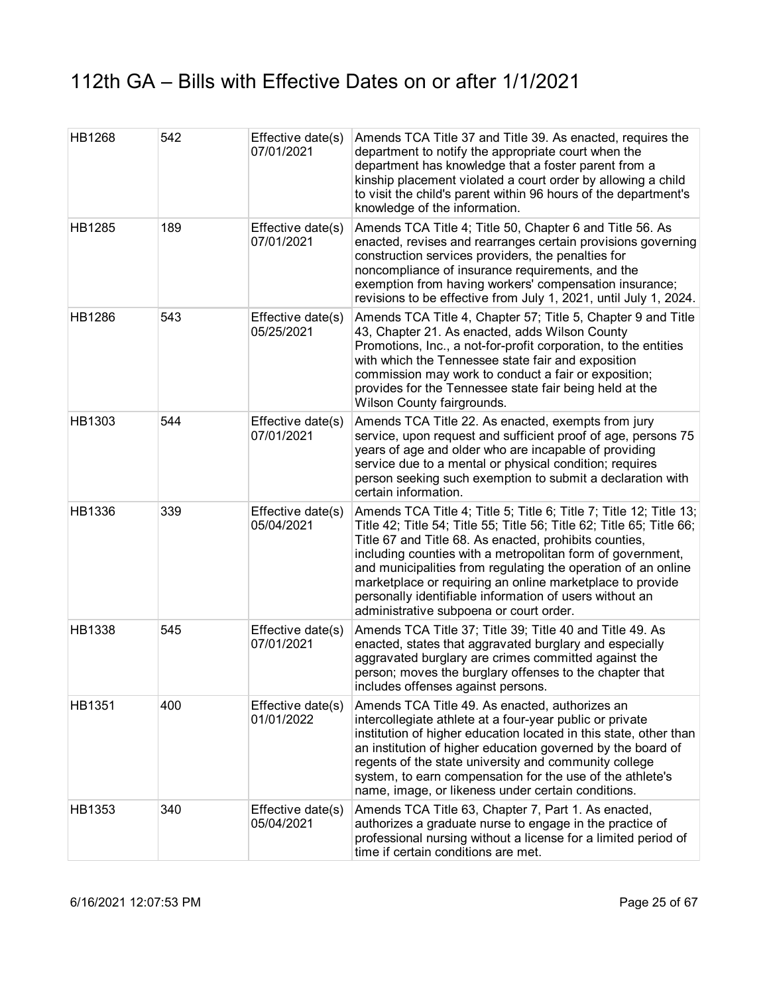| <b>HB1268</b> | 542 | Effective date(s)<br>07/01/2021 | Amends TCA Title 37 and Title 39. As enacted, requires the<br>department to notify the appropriate court when the<br>department has knowledge that a foster parent from a<br>kinship placement violated a court order by allowing a child<br>to visit the child's parent within 96 hours of the department's<br>knowledge of the information.                                                                                                                                                           |
|---------------|-----|---------------------------------|---------------------------------------------------------------------------------------------------------------------------------------------------------------------------------------------------------------------------------------------------------------------------------------------------------------------------------------------------------------------------------------------------------------------------------------------------------------------------------------------------------|
| HB1285        | 189 | Effective date(s)<br>07/01/2021 | Amends TCA Title 4; Title 50, Chapter 6 and Title 56. As<br>enacted, revises and rearranges certain provisions governing<br>construction services providers, the penalties for<br>noncompliance of insurance requirements, and the<br>exemption from having workers' compensation insurance;<br>revisions to be effective from July 1, 2021, until July 1, 2024.                                                                                                                                        |
| HB1286        | 543 | Effective date(s)<br>05/25/2021 | Amends TCA Title 4, Chapter 57; Title 5, Chapter 9 and Title<br>43, Chapter 21. As enacted, adds Wilson County<br>Promotions, Inc., a not-for-profit corporation, to the entities<br>with which the Tennessee state fair and exposition<br>commission may work to conduct a fair or exposition;<br>provides for the Tennessee state fair being held at the<br>Wilson County fairgrounds.                                                                                                                |
| HB1303        | 544 | Effective date(s)<br>07/01/2021 | Amends TCA Title 22. As enacted, exempts from jury<br>service, upon request and sufficient proof of age, persons 75<br>years of age and older who are incapable of providing<br>service due to a mental or physical condition; requires<br>person seeking such exemption to submit a declaration with<br>certain information.                                                                                                                                                                           |
| HB1336        | 339 | Effective date(s)<br>05/04/2021 | Amends TCA Title 4; Title 5; Title 6; Title 7; Title 12; Title 13;<br>Title 42; Title 54; Title 55; Title 56; Title 62; Title 65; Title 66;<br>Title 67 and Title 68. As enacted, prohibits counties,<br>including counties with a metropolitan form of government,<br>and municipalities from regulating the operation of an online<br>marketplace or requiring an online marketplace to provide<br>personally identifiable information of users without an<br>administrative subpoena or court order. |
| <b>HB1338</b> | 545 | Effective date(s)<br>07/01/2021 | Amends TCA Title 37; Title 39; Title 40 and Title 49. As<br>enacted, states that aggravated burglary and especially<br>aggravated burglary are crimes committed against the<br>person; moves the burglary offenses to the chapter that<br>includes offenses against persons.                                                                                                                                                                                                                            |
| HB1351        | 400 | Effective date(s)<br>01/01/2022 | Amends TCA Title 49. As enacted, authorizes an<br>intercollegiate athlete at a four-year public or private<br>institution of higher education located in this state, other than<br>an institution of higher education governed by the board of<br>regents of the state university and community college<br>system, to earn compensation for the use of the athlete's<br>name, image, or likeness under certain conditions.                                                                              |
| HB1353        | 340 | Effective date(s)<br>05/04/2021 | Amends TCA Title 63, Chapter 7, Part 1. As enacted,<br>authorizes a graduate nurse to engage in the practice of<br>professional nursing without a license for a limited period of<br>time if certain conditions are met.                                                                                                                                                                                                                                                                                |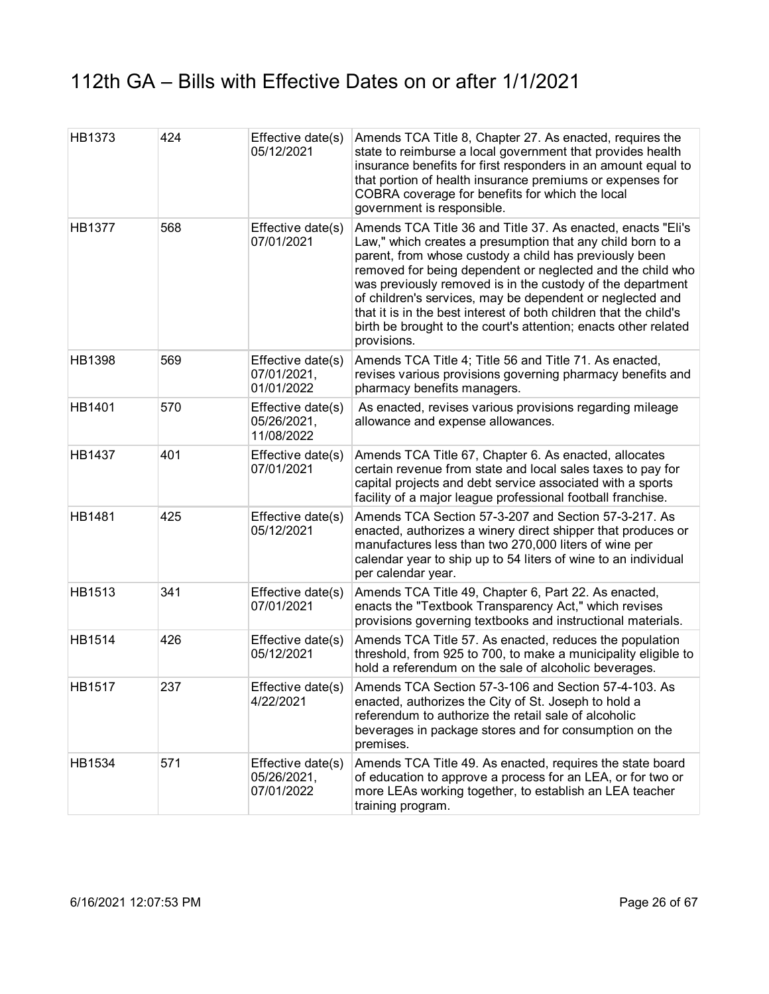| HB1373        | 424 | Effective date(s)<br>05/12/2021                | Amends TCA Title 8, Chapter 27. As enacted, requires the<br>state to reimburse a local government that provides health<br>insurance benefits for first responders in an amount equal to<br>that portion of health insurance premiums or expenses for<br>COBRA coverage for benefits for which the local<br>government is responsible.                                                                                                                                                                                               |
|---------------|-----|------------------------------------------------|-------------------------------------------------------------------------------------------------------------------------------------------------------------------------------------------------------------------------------------------------------------------------------------------------------------------------------------------------------------------------------------------------------------------------------------------------------------------------------------------------------------------------------------|
| <b>HB1377</b> | 568 | Effective date(s)<br>07/01/2021                | Amends TCA Title 36 and Title 37. As enacted, enacts "Eli's<br>Law," which creates a presumption that any child born to a<br>parent, from whose custody a child has previously been<br>removed for being dependent or neglected and the child who<br>was previously removed is in the custody of the department<br>of children's services, may be dependent or neglected and<br>that it is in the best interest of both children that the child's<br>birth be brought to the court's attention; enacts other related<br>provisions. |
| <b>HB1398</b> | 569 | Effective date(s)<br>07/01/2021,<br>01/01/2022 | Amends TCA Title 4; Title 56 and Title 71. As enacted,<br>revises various provisions governing pharmacy benefits and<br>pharmacy benefits managers.                                                                                                                                                                                                                                                                                                                                                                                 |
| HB1401        | 570 | Effective date(s)<br>05/26/2021,<br>11/08/2022 | As enacted, revises various provisions regarding mileage<br>allowance and expense allowances.                                                                                                                                                                                                                                                                                                                                                                                                                                       |
| HB1437        | 401 | Effective date(s)<br>07/01/2021                | Amends TCA Title 67, Chapter 6. As enacted, allocates<br>certain revenue from state and local sales taxes to pay for<br>capital projects and debt service associated with a sports<br>facility of a major league professional football franchise.                                                                                                                                                                                                                                                                                   |
| HB1481        | 425 | Effective date(s)<br>05/12/2021                | Amends TCA Section 57-3-207 and Section 57-3-217. As<br>enacted, authorizes a winery direct shipper that produces or<br>manufactures less than two 270,000 liters of wine per<br>calendar year to ship up to 54 liters of wine to an individual<br>per calendar year.                                                                                                                                                                                                                                                               |
| HB1513        | 341 | Effective date(s)<br>07/01/2021                | Amends TCA Title 49, Chapter 6, Part 22. As enacted,<br>enacts the "Textbook Transparency Act," which revises<br>provisions governing textbooks and instructional materials.                                                                                                                                                                                                                                                                                                                                                        |
| HB1514        | 426 | Effective date(s)<br>05/12/2021                | Amends TCA Title 57. As enacted, reduces the population<br>threshold, from 925 to 700, to make a municipality eligible to<br>hold a referendum on the sale of alcoholic beverages.                                                                                                                                                                                                                                                                                                                                                  |
| <b>HB1517</b> | 237 | Effective date(s)<br>4/22/2021                 | Amends TCA Section 57-3-106 and Section 57-4-103. As<br>enacted, authorizes the City of St. Joseph to hold a<br>referendum to authorize the retail sale of alcoholic<br>beverages in package stores and for consumption on the<br>premises.                                                                                                                                                                                                                                                                                         |
| HB1534        | 571 | Effective date(s)<br>05/26/2021,<br>07/01/2022 | Amends TCA Title 49. As enacted, requires the state board<br>of education to approve a process for an LEA, or for two or<br>more LEAs working together, to establish an LEA teacher<br>training program.                                                                                                                                                                                                                                                                                                                            |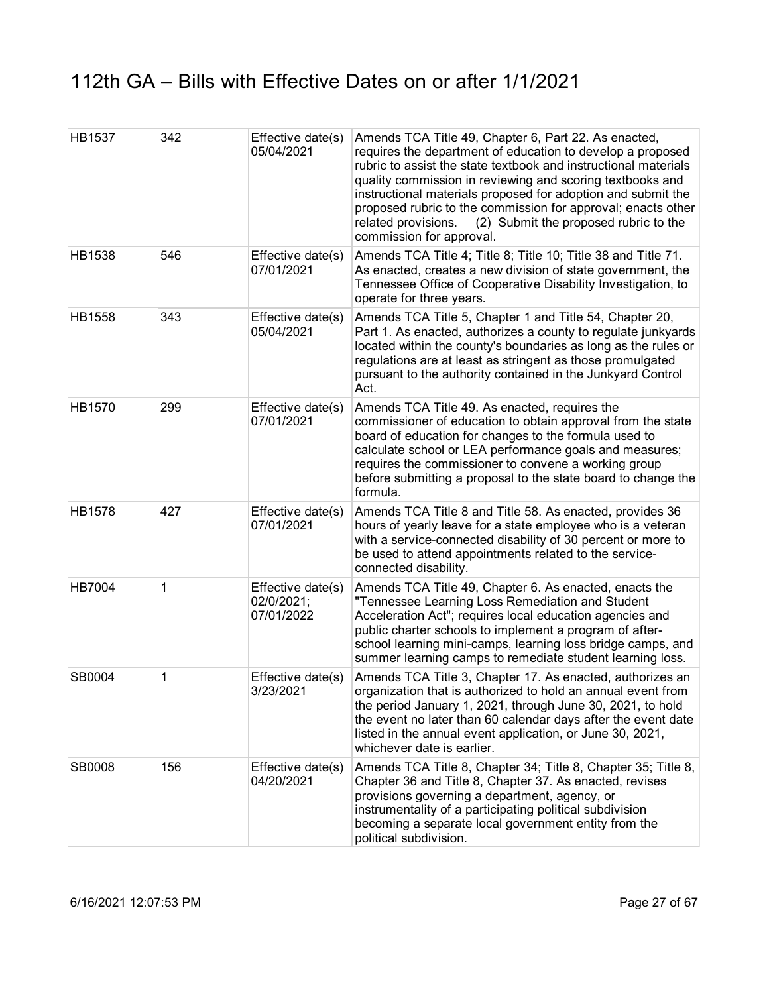| <b>HB1537</b> | 342 | Effective date(s)<br>05/04/2021               | Amends TCA Title 49, Chapter 6, Part 22. As enacted,<br>requires the department of education to develop a proposed<br>rubric to assist the state textbook and instructional materials<br>quality commission in reviewing and scoring textbooks and<br>instructional materials proposed for adoption and submit the<br>proposed rubric to the commission for approval; enacts other<br>related provisions.<br>(2) Submit the proposed rubric to the<br>commission for approval. |
|---------------|-----|-----------------------------------------------|--------------------------------------------------------------------------------------------------------------------------------------------------------------------------------------------------------------------------------------------------------------------------------------------------------------------------------------------------------------------------------------------------------------------------------------------------------------------------------|
| HB1538        | 546 | Effective date(s)<br>07/01/2021               | Amends TCA Title 4; Title 8; Title 10; Title 38 and Title 71.<br>As enacted, creates a new division of state government, the<br>Tennessee Office of Cooperative Disability Investigation, to<br>operate for three years.                                                                                                                                                                                                                                                       |
| HB1558        | 343 | Effective date(s)<br>05/04/2021               | Amends TCA Title 5, Chapter 1 and Title 54, Chapter 20,<br>Part 1. As enacted, authorizes a county to regulate junkyards<br>located within the county's boundaries as long as the rules or<br>regulations are at least as stringent as those promulgated<br>pursuant to the authority contained in the Junkyard Control<br>Act.                                                                                                                                                |
| HB1570        | 299 | Effective date(s)<br>07/01/2021               | Amends TCA Title 49. As enacted, requires the<br>commissioner of education to obtain approval from the state<br>board of education for changes to the formula used to<br>calculate school or LEA performance goals and measures;<br>requires the commissioner to convene a working group<br>before submitting a proposal to the state board to change the<br>formula.                                                                                                          |
| HB1578        | 427 | Effective date(s)<br>07/01/2021               | Amends TCA Title 8 and Title 58. As enacted, provides 36<br>hours of yearly leave for a state employee who is a veteran<br>with a service-connected disability of 30 percent or more to<br>be used to attend appointments related to the service-<br>connected disability.                                                                                                                                                                                                     |
| <b>HB7004</b> | 1   | Effective date(s)<br>02/0/2021;<br>07/01/2022 | Amends TCA Title 49, Chapter 6. As enacted, enacts the<br>"Tennessee Learning Loss Remediation and Student<br>Acceleration Act"; requires local education agencies and<br>public charter schools to implement a program of after-<br>school learning mini-camps, learning loss bridge camps, and<br>summer learning camps to remediate student learning loss.                                                                                                                  |
| SB0004        | 1   | Effective date(s)<br>3/23/2021                | Amends TCA Title 3, Chapter 17. As enacted, authorizes an<br>organization that is authorized to hold an annual event from<br>the period January 1, 2021, through June 30, 2021, to hold<br>the event no later than 60 calendar days after the event date<br>listed in the annual event application, or June 30, 2021,<br>whichever date is earlier.                                                                                                                            |
| SB0008        | 156 | Effective date(s)<br>04/20/2021               | Amends TCA Title 8, Chapter 34; Title 8, Chapter 35; Title 8,<br>Chapter 36 and Title 8, Chapter 37. As enacted, revises<br>provisions governing a department, agency, or<br>instrumentality of a participating political subdivision<br>becoming a separate local government entity from the<br>political subdivision.                                                                                                                                                        |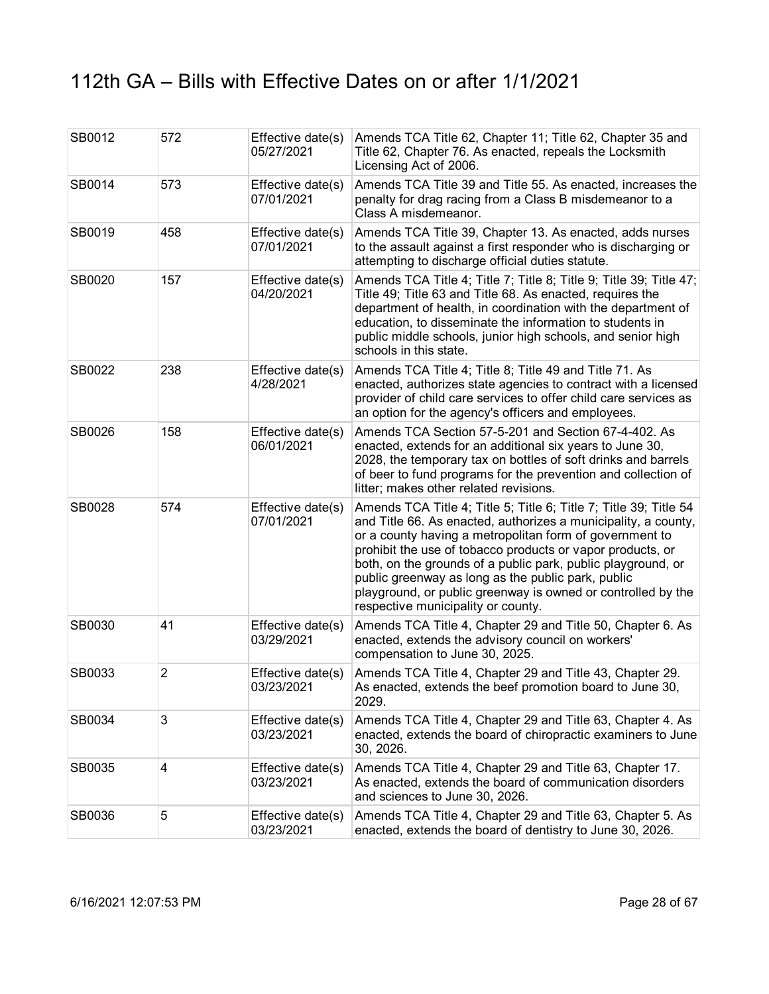| SB0012 | 572            | Effective date(s)<br>05/27/2021 | Amends TCA Title 62, Chapter 11; Title 62, Chapter 35 and<br>Title 62, Chapter 76. As enacted, repeals the Locksmith<br>Licensing Act of 2006.                                                                                                                                                                                                                                                                                                                                           |
|--------|----------------|---------------------------------|------------------------------------------------------------------------------------------------------------------------------------------------------------------------------------------------------------------------------------------------------------------------------------------------------------------------------------------------------------------------------------------------------------------------------------------------------------------------------------------|
| SB0014 | 573            | Effective date(s)<br>07/01/2021 | Amends TCA Title 39 and Title 55. As enacted, increases the<br>penalty for drag racing from a Class B misdemeanor to a<br>Class A misdemeanor.                                                                                                                                                                                                                                                                                                                                           |
| SB0019 | 458            | Effective date(s)<br>07/01/2021 | Amends TCA Title 39, Chapter 13. As enacted, adds nurses<br>to the assault against a first responder who is discharging or<br>attempting to discharge official duties statute.                                                                                                                                                                                                                                                                                                           |
| SB0020 | 157            | Effective date(s)<br>04/20/2021 | Amends TCA Title 4; Title 7; Title 8; Title 9; Title 39; Title 47;<br>Title 49; Title 63 and Title 68. As enacted, requires the<br>department of health, in coordination with the department of<br>education, to disseminate the information to students in<br>public middle schools, junior high schools, and senior high<br>schools in this state.                                                                                                                                     |
| SB0022 | 238            | Effective date(s)<br>4/28/2021  | Amends TCA Title 4; Title 8; Title 49 and Title 71. As<br>enacted, authorizes state agencies to contract with a licensed<br>provider of child care services to offer child care services as<br>an option for the agency's officers and employees.                                                                                                                                                                                                                                        |
| SB0026 | 158            | Effective date(s)<br>06/01/2021 | Amends TCA Section 57-5-201 and Section 67-4-402. As<br>enacted, extends for an additional six years to June 30,<br>2028, the temporary tax on bottles of soft drinks and barrels<br>of beer to fund programs for the prevention and collection of<br>litter; makes other related revisions.                                                                                                                                                                                             |
| SB0028 | 574            | Effective date(s)<br>07/01/2021 | Amends TCA Title 4; Title 5; Title 6; Title 7; Title 39; Title 54<br>and Title 66. As enacted, authorizes a municipality, a county,<br>or a county having a metropolitan form of government to<br>prohibit the use of tobacco products or vapor products, or<br>both, on the grounds of a public park, public playground, or<br>public greenway as long as the public park, public<br>playground, or public greenway is owned or controlled by the<br>respective municipality or county. |
| SB0030 | 41             | Effective date(s)<br>03/29/2021 | Amends TCA Title 4, Chapter 29 and Title 50, Chapter 6. As<br>enacted, extends the advisory council on workers'<br>compensation to June 30, 2025.                                                                                                                                                                                                                                                                                                                                        |
| SB0033 | $\overline{2}$ | Effective date(s)<br>03/23/2021 | Amends TCA Title 4, Chapter 29 and Title 43, Chapter 29.<br>As enacted, extends the beef promotion board to June 30,<br>2029.                                                                                                                                                                                                                                                                                                                                                            |
| SB0034 | 3              | Effective date(s)<br>03/23/2021 | Amends TCA Title 4, Chapter 29 and Title 63, Chapter 4. As<br>enacted, extends the board of chiropractic examiners to June<br>30, 2026.                                                                                                                                                                                                                                                                                                                                                  |
| SB0035 | 4              | Effective date(s)<br>03/23/2021 | Amends TCA Title 4, Chapter 29 and Title 63, Chapter 17.<br>As enacted, extends the board of communication disorders<br>and sciences to June 30, 2026.                                                                                                                                                                                                                                                                                                                                   |
| SB0036 | 5              | Effective date(s)<br>03/23/2021 | Amends TCA Title 4, Chapter 29 and Title 63, Chapter 5. As<br>enacted, extends the board of dentistry to June 30, 2026.                                                                                                                                                                                                                                                                                                                                                                  |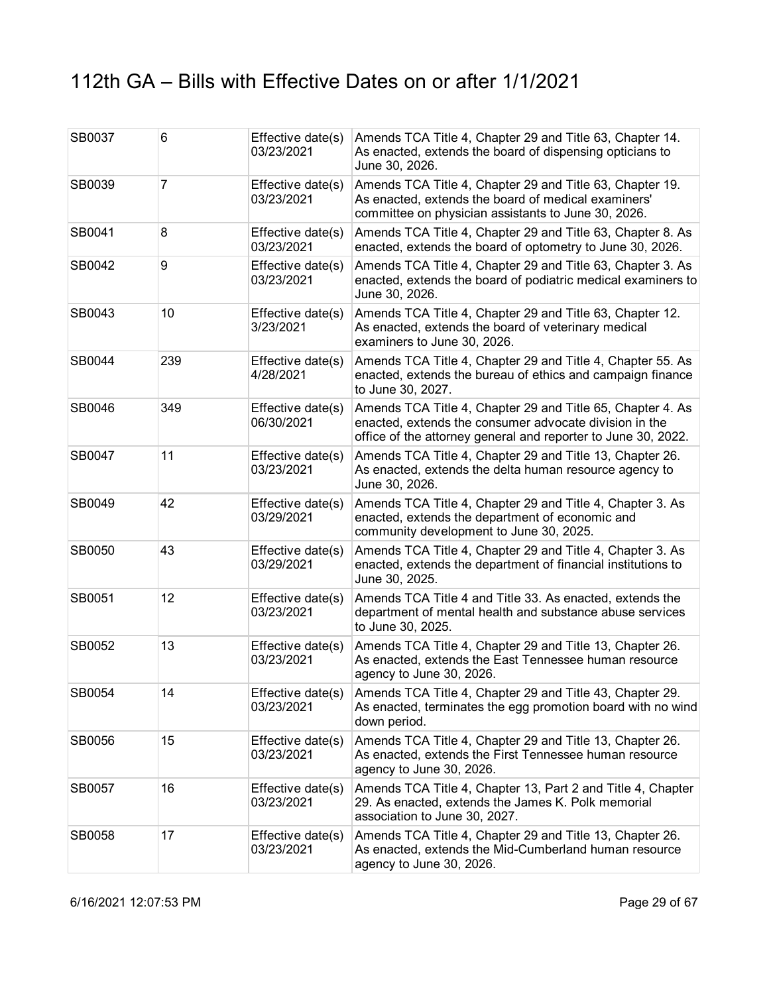| SB0037 | 6              | Effective date(s)<br>03/23/2021 | Amends TCA Title 4, Chapter 29 and Title 63, Chapter 14.<br>As enacted, extends the board of dispensing opticians to<br>June 30, 2026.                                                |
|--------|----------------|---------------------------------|---------------------------------------------------------------------------------------------------------------------------------------------------------------------------------------|
| SB0039 | $\overline{7}$ | Effective date(s)<br>03/23/2021 | Amends TCA Title 4, Chapter 29 and Title 63, Chapter 19.<br>As enacted, extends the board of medical examiners'<br>committee on physician assistants to June 30, 2026.                |
| SB0041 | 8              | Effective date(s)<br>03/23/2021 | Amends TCA Title 4, Chapter 29 and Title 63, Chapter 8. As<br>enacted, extends the board of optometry to June 30, 2026.                                                               |
| SB0042 | 9              | Effective date(s)<br>03/23/2021 | Amends TCA Title 4, Chapter 29 and Title 63, Chapter 3. As<br>enacted, extends the board of podiatric medical examiners to<br>June 30, 2026.                                          |
| SB0043 | 10             | Effective date(s)<br>3/23/2021  | Amends TCA Title 4, Chapter 29 and Title 63, Chapter 12.<br>As enacted, extends the board of veterinary medical<br>examiners to June 30, 2026.                                        |
| SB0044 | 239            | Effective date(s)<br>4/28/2021  | Amends TCA Title 4, Chapter 29 and Title 4, Chapter 55. As<br>enacted, extends the bureau of ethics and campaign finance<br>to June 30, 2027.                                         |
| SB0046 | 349            | Effective date(s)<br>06/30/2021 | Amends TCA Title 4, Chapter 29 and Title 65, Chapter 4. As<br>enacted, extends the consumer advocate division in the<br>office of the attorney general and reporter to June 30, 2022. |
| SB0047 | 11             | Effective date(s)<br>03/23/2021 | Amends TCA Title 4, Chapter 29 and Title 13, Chapter 26.<br>As enacted, extends the delta human resource agency to<br>June 30, 2026.                                                  |
| SB0049 | 42             | Effective date(s)<br>03/29/2021 | Amends TCA Title 4, Chapter 29 and Title 4, Chapter 3. As<br>enacted, extends the department of economic and<br>community development to June 30, 2025.                               |
| SB0050 | 43             | Effective date(s)<br>03/29/2021 | Amends TCA Title 4, Chapter 29 and Title 4, Chapter 3. As<br>enacted, extends the department of financial institutions to<br>June 30, 2025.                                           |
| SB0051 | 12             | Effective date(s)<br>03/23/2021 | Amends TCA Title 4 and Title 33. As enacted, extends the<br>department of mental health and substance abuse services<br>to June 30, 2025.                                             |
| SB0052 | 13             | Effective date(s)<br>03/23/2021 | Amends TCA Title 4, Chapter 29 and Title 13, Chapter 26.<br>As enacted, extends the East Tennessee human resource<br>agency to June 30, 2026.                                         |
| SB0054 | 14             | 03/23/2021                      | Effective date(s) Amends TCA Title 4, Chapter 29 and Title 43, Chapter 29.<br>As enacted, terminates the egg promotion board with no wind<br>down period.                             |
| SB0056 | 15             | Effective date(s)<br>03/23/2021 | Amends TCA Title 4, Chapter 29 and Title 13, Chapter 26.<br>As enacted, extends the First Tennessee human resource<br>agency to June 30, 2026.                                        |
| SB0057 | 16             | Effective date(s)<br>03/23/2021 | Amends TCA Title 4, Chapter 13, Part 2 and Title 4, Chapter<br>29. As enacted, extends the James K. Polk memorial<br>association to June 30, 2027.                                    |
| SB0058 | 17             | Effective date(s)<br>03/23/2021 | Amends TCA Title 4, Chapter 29 and Title 13, Chapter 26.<br>As enacted, extends the Mid-Cumberland human resource<br>agency to June 30, 2026.                                         |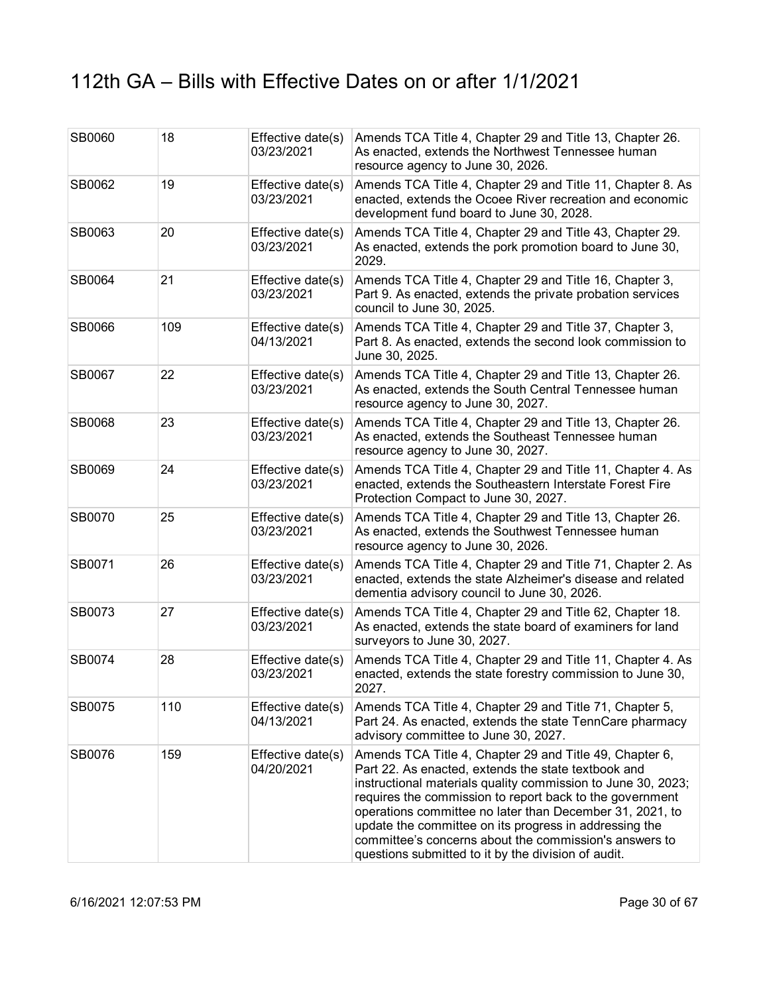| SB0060 | 18  | Effective date(s)<br>03/23/2021 | Amends TCA Title 4, Chapter 29 and Title 13, Chapter 26.<br>As enacted, extends the Northwest Tennessee human<br>resource agency to June 30, 2026.                                                                                                                                                                                                                                                                                                                                |
|--------|-----|---------------------------------|-----------------------------------------------------------------------------------------------------------------------------------------------------------------------------------------------------------------------------------------------------------------------------------------------------------------------------------------------------------------------------------------------------------------------------------------------------------------------------------|
| SB0062 | 19  | Effective date(s)<br>03/23/2021 | Amends TCA Title 4, Chapter 29 and Title 11, Chapter 8. As<br>enacted, extends the Ocoee River recreation and economic<br>development fund board to June 30, 2028.                                                                                                                                                                                                                                                                                                                |
| SB0063 | 20  | Effective date(s)<br>03/23/2021 | Amends TCA Title 4, Chapter 29 and Title 43, Chapter 29.<br>As enacted, extends the pork promotion board to June 30,<br>2029.                                                                                                                                                                                                                                                                                                                                                     |
| SB0064 | 21  | Effective date(s)<br>03/23/2021 | Amends TCA Title 4, Chapter 29 and Title 16, Chapter 3,<br>Part 9. As enacted, extends the private probation services<br>council to June 30, 2025.                                                                                                                                                                                                                                                                                                                                |
| SB0066 | 109 | Effective date(s)<br>04/13/2021 | Amends TCA Title 4, Chapter 29 and Title 37, Chapter 3,<br>Part 8. As enacted, extends the second look commission to<br>June 30, 2025.                                                                                                                                                                                                                                                                                                                                            |
| SB0067 | 22  | Effective date(s)<br>03/23/2021 | Amends TCA Title 4, Chapter 29 and Title 13, Chapter 26.<br>As enacted, extends the South Central Tennessee human<br>resource agency to June 30, 2027.                                                                                                                                                                                                                                                                                                                            |
| SB0068 | 23  | Effective date(s)<br>03/23/2021 | Amends TCA Title 4, Chapter 29 and Title 13, Chapter 26.<br>As enacted, extends the Southeast Tennessee human<br>resource agency to June 30, 2027.                                                                                                                                                                                                                                                                                                                                |
| SB0069 | 24  | Effective date(s)<br>03/23/2021 | Amends TCA Title 4, Chapter 29 and Title 11, Chapter 4. As<br>enacted, extends the Southeastern Interstate Forest Fire<br>Protection Compact to June 30, 2027.                                                                                                                                                                                                                                                                                                                    |
| SB0070 | 25  | Effective date(s)<br>03/23/2021 | Amends TCA Title 4, Chapter 29 and Title 13, Chapter 26.<br>As enacted, extends the Southwest Tennessee human<br>resource agency to June 30, 2026.                                                                                                                                                                                                                                                                                                                                |
| SB0071 | 26  | Effective date(s)<br>03/23/2021 | Amends TCA Title 4, Chapter 29 and Title 71, Chapter 2. As<br>enacted, extends the state Alzheimer's disease and related<br>dementia advisory council to June 30, 2026.                                                                                                                                                                                                                                                                                                           |
| SB0073 | 27  | Effective date(s)<br>03/23/2021 | Amends TCA Title 4, Chapter 29 and Title 62, Chapter 18.<br>As enacted, extends the state board of examiners for land<br>surveyors to June 30, 2027.                                                                                                                                                                                                                                                                                                                              |
| SB0074 | 28  | Effective date(s)<br>03/23/2021 | Amends TCA Title 4, Chapter 29 and Title 11, Chapter 4. As<br>enacted, extends the state forestry commission to June 30,<br>2027.                                                                                                                                                                                                                                                                                                                                                 |
| SB0075 | 110 | Effective date(s)<br>04/13/2021 | Amends TCA Title 4, Chapter 29 and Title 71, Chapter 5,<br>Part 24. As enacted, extends the state TennCare pharmacy<br>advisory committee to June 30, 2027.                                                                                                                                                                                                                                                                                                                       |
| SB0076 | 159 | Effective date(s)<br>04/20/2021 | Amends TCA Title 4, Chapter 29 and Title 49, Chapter 6,<br>Part 22. As enacted, extends the state textbook and<br>instructional materials quality commission to June 30, 2023;<br>requires the commission to report back to the government<br>operations committee no later than December 31, 2021, to<br>update the committee on its progress in addressing the<br>committee's concerns about the commission's answers to<br>questions submitted to it by the division of audit. |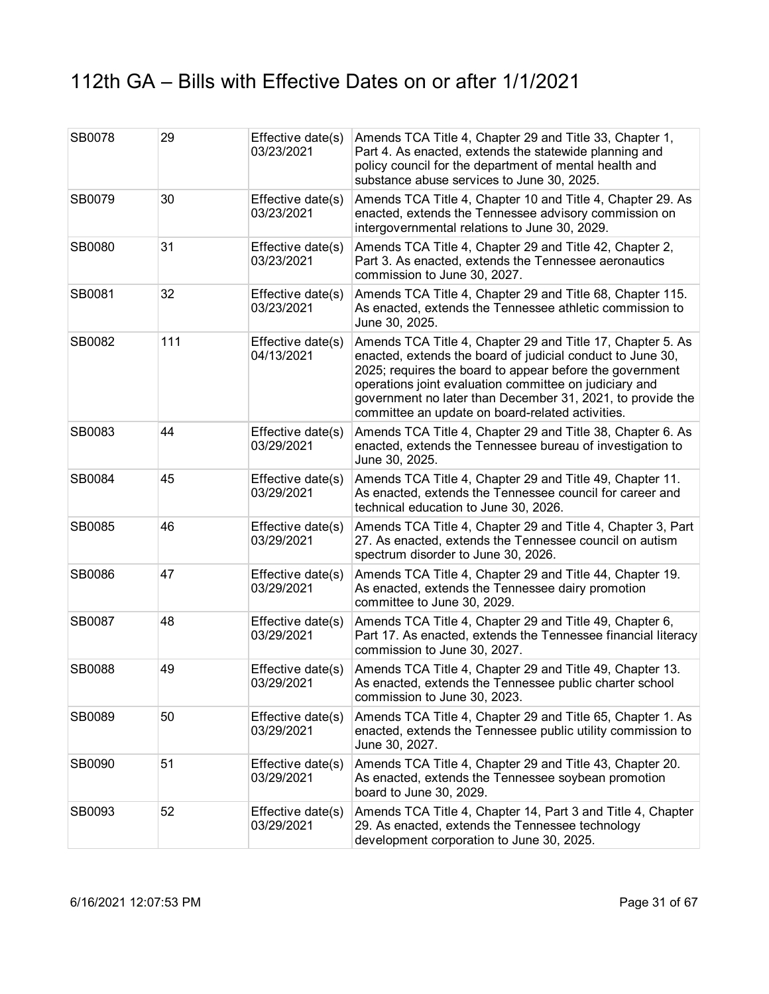| SB0078 | 29  | Effective date(s)<br>03/23/2021 | Amends TCA Title 4, Chapter 29 and Title 33, Chapter 1,<br>Part 4. As enacted, extends the statewide planning and<br>policy council for the department of mental health and<br>substance abuse services to June 30, 2025.                                                                                                                                        |
|--------|-----|---------------------------------|------------------------------------------------------------------------------------------------------------------------------------------------------------------------------------------------------------------------------------------------------------------------------------------------------------------------------------------------------------------|
| SB0079 | 30  | Effective date(s)<br>03/23/2021 | Amends TCA Title 4, Chapter 10 and Title 4, Chapter 29. As<br>enacted, extends the Tennessee advisory commission on<br>intergovernmental relations to June 30, 2029.                                                                                                                                                                                             |
| SB0080 | 31  | Effective date(s)<br>03/23/2021 | Amends TCA Title 4, Chapter 29 and Title 42, Chapter 2,<br>Part 3. As enacted, extends the Tennessee aeronautics<br>commission to June 30, 2027.                                                                                                                                                                                                                 |
| SB0081 | 32  | Effective date(s)<br>03/23/2021 | Amends TCA Title 4, Chapter 29 and Title 68, Chapter 115.<br>As enacted, extends the Tennessee athletic commission to<br>June 30, 2025.                                                                                                                                                                                                                          |
| SB0082 | 111 | Effective date(s)<br>04/13/2021 | Amends TCA Title 4, Chapter 29 and Title 17, Chapter 5. As<br>enacted, extends the board of judicial conduct to June 30,<br>2025; requires the board to appear before the government<br>operations joint evaluation committee on judiciary and<br>government no later than December 31, 2021, to provide the<br>committee an update on board-related activities. |
| SB0083 | 44  | Effective date(s)<br>03/29/2021 | Amends TCA Title 4, Chapter 29 and Title 38, Chapter 6. As<br>enacted, extends the Tennessee bureau of investigation to<br>June 30, 2025.                                                                                                                                                                                                                        |
| SB0084 | 45  | Effective date(s)<br>03/29/2021 | Amends TCA Title 4, Chapter 29 and Title 49, Chapter 11.<br>As enacted, extends the Tennessee council for career and<br>technical education to June 30, 2026.                                                                                                                                                                                                    |
| SB0085 | 46  | Effective date(s)<br>03/29/2021 | Amends TCA Title 4, Chapter 29 and Title 4, Chapter 3, Part<br>27. As enacted, extends the Tennessee council on autism<br>spectrum disorder to June 30, 2026.                                                                                                                                                                                                    |
| SB0086 | 47  | Effective date(s)<br>03/29/2021 | Amends TCA Title 4, Chapter 29 and Title 44, Chapter 19.<br>As enacted, extends the Tennessee dairy promotion<br>committee to June 30, 2029.                                                                                                                                                                                                                     |
| SB0087 | 48  | Effective date(s)<br>03/29/2021 | Amends TCA Title 4, Chapter 29 and Title 49, Chapter 6,<br>Part 17. As enacted, extends the Tennessee financial literacy<br>commission to June 30, 2027.                                                                                                                                                                                                         |
| SB0088 | 49  | Effective date(s)<br>03/29/2021 | Amends TCA Title 4, Chapter 29 and Title 49, Chapter 13.<br>As enacted, extends the Tennessee public charter school<br>commission to June 30, 2023.                                                                                                                                                                                                              |
| SB0089 | 50  | Effective date(s)<br>03/29/2021 | Amends TCA Title 4, Chapter 29 and Title 65, Chapter 1. As<br>enacted, extends the Tennessee public utility commission to<br>June 30, 2027.                                                                                                                                                                                                                      |
| SB0090 | 51  | Effective date(s)<br>03/29/2021 | Amends TCA Title 4, Chapter 29 and Title 43, Chapter 20.<br>As enacted, extends the Tennessee soybean promotion<br>board to June 30, 2029.                                                                                                                                                                                                                       |
| SB0093 | 52  | Effective date(s)<br>03/29/2021 | Amends TCA Title 4, Chapter 14, Part 3 and Title 4, Chapter<br>29. As enacted, extends the Tennessee technology<br>development corporation to June 30, 2025.                                                                                                                                                                                                     |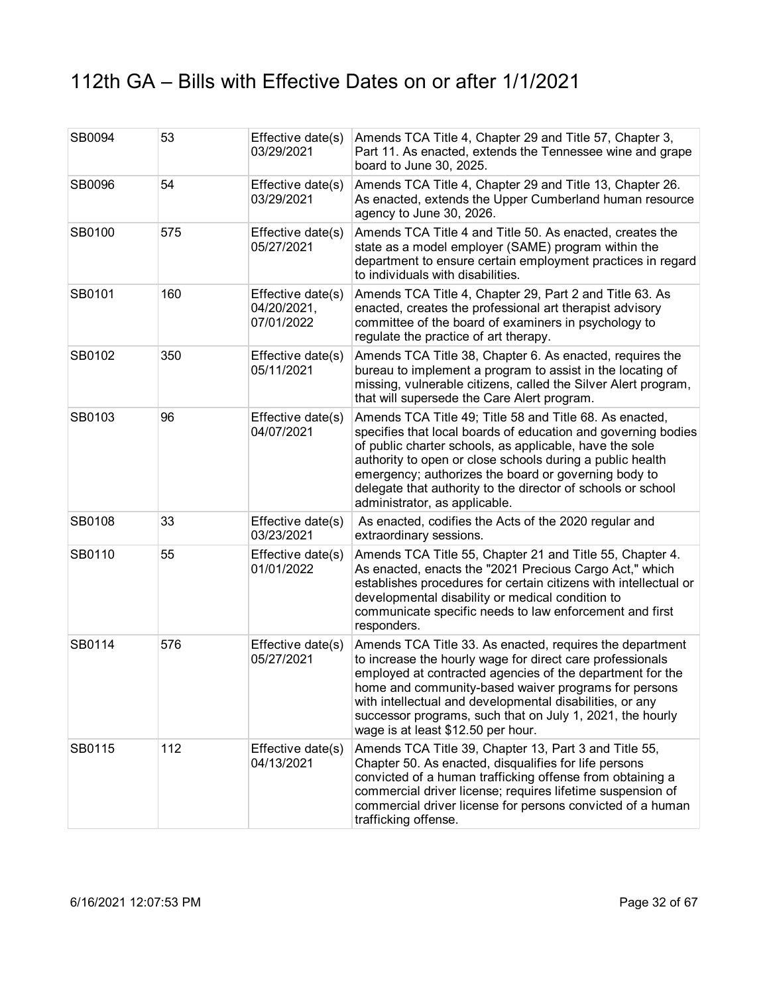| SB0094 | 53  | Effective date(s)<br>03/29/2021                | Amends TCA Title 4, Chapter 29 and Title 57, Chapter 3,<br>Part 11. As enacted, extends the Tennessee wine and grape<br>board to June 30, 2025.                                                                                                                                                                                                                                                           |
|--------|-----|------------------------------------------------|-----------------------------------------------------------------------------------------------------------------------------------------------------------------------------------------------------------------------------------------------------------------------------------------------------------------------------------------------------------------------------------------------------------|
| SB0096 | 54  | Effective date(s)<br>03/29/2021                | Amends TCA Title 4, Chapter 29 and Title 13, Chapter 26.<br>As enacted, extends the Upper Cumberland human resource<br>agency to June 30, 2026.                                                                                                                                                                                                                                                           |
| SB0100 | 575 | Effective date(s)<br>05/27/2021                | Amends TCA Title 4 and Title 50. As enacted, creates the<br>state as a model employer (SAME) program within the<br>department to ensure certain employment practices in regard<br>to individuals with disabilities.                                                                                                                                                                                       |
| SB0101 | 160 | Effective date(s)<br>04/20/2021,<br>07/01/2022 | Amends TCA Title 4, Chapter 29, Part 2 and Title 63. As<br>enacted, creates the professional art therapist advisory<br>committee of the board of examiners in psychology to<br>regulate the practice of art therapy.                                                                                                                                                                                      |
| SB0102 | 350 | Effective date(s)<br>05/11/2021                | Amends TCA Title 38, Chapter 6. As enacted, requires the<br>bureau to implement a program to assist in the locating of<br>missing, vulnerable citizens, called the Silver Alert program,<br>that will supersede the Care Alert program.                                                                                                                                                                   |
| SB0103 | 96  | Effective date(s)<br>04/07/2021                | Amends TCA Title 49; Title 58 and Title 68. As enacted,<br>specifies that local boards of education and governing bodies<br>of public charter schools, as applicable, have the sole<br>authority to open or close schools during a public health<br>emergency; authorizes the board or governing body to<br>delegate that authority to the director of schools or school<br>administrator, as applicable. |
| SB0108 | 33  | Effective date(s)<br>03/23/2021                | As enacted, codifies the Acts of the 2020 regular and<br>extraordinary sessions.                                                                                                                                                                                                                                                                                                                          |
| SB0110 | 55  | Effective date(s)<br>01/01/2022                | Amends TCA Title 55, Chapter 21 and Title 55, Chapter 4.<br>As enacted, enacts the "2021 Precious Cargo Act," which<br>establishes procedures for certain citizens with intellectual or<br>developmental disability or medical condition to<br>communicate specific needs to law enforcement and first<br>responders.                                                                                     |
| SB0114 | 576 | Effective date(s)<br>05/27/2021                | Amends TCA Title 33. As enacted, requires the department<br>to increase the hourly wage for direct care professionals<br>employed at contracted agencies of the department for the<br>home and community-based waiver programs for persons<br>with intellectual and developmental disabilities, or any<br>successor programs, such that on July 1, 2021, the hourly<br>wage is at least \$12.50 per hour. |
| SB0115 | 112 | Effective date(s)<br>04/13/2021                | Amends TCA Title 39, Chapter 13, Part 3 and Title 55,<br>Chapter 50. As enacted, disqualifies for life persons<br>convicted of a human trafficking offense from obtaining a<br>commercial driver license; requires lifetime suspension of<br>commercial driver license for persons convicted of a human<br>trafficking offense.                                                                           |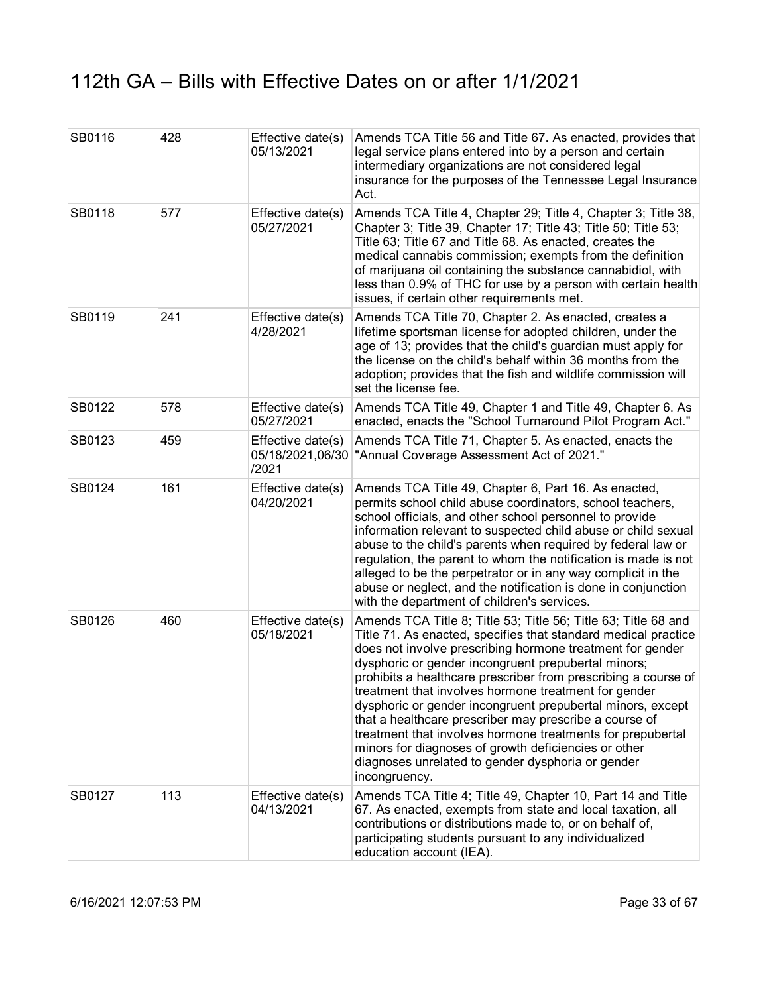| SB0116 | 428 | Effective date(s)<br>05/13/2021 | Amends TCA Title 56 and Title 67. As enacted, provides that<br>legal service plans entered into by a person and certain<br>intermediary organizations are not considered legal<br>insurance for the purposes of the Tennessee Legal Insurance<br>Act.                                                                                                                                                                                                                                                                                                                                                                                                                                              |
|--------|-----|---------------------------------|----------------------------------------------------------------------------------------------------------------------------------------------------------------------------------------------------------------------------------------------------------------------------------------------------------------------------------------------------------------------------------------------------------------------------------------------------------------------------------------------------------------------------------------------------------------------------------------------------------------------------------------------------------------------------------------------------|
| SB0118 | 577 | Effective date(s)<br>05/27/2021 | Amends TCA Title 4, Chapter 29; Title 4, Chapter 3; Title 38,<br>Chapter 3; Title 39, Chapter 17; Title 43; Title 50; Title 53;<br>Title 63; Title 67 and Title 68. As enacted, creates the<br>medical cannabis commission; exempts from the definition<br>of marijuana oil containing the substance cannabidiol, with<br>less than 0.9% of THC for use by a person with certain health<br>issues, if certain other requirements met.                                                                                                                                                                                                                                                              |
| SB0119 | 241 | Effective date(s)<br>4/28/2021  | Amends TCA Title 70, Chapter 2. As enacted, creates a<br>lifetime sportsman license for adopted children, under the<br>age of 13; provides that the child's guardian must apply for<br>the license on the child's behalf within 36 months from the<br>adoption; provides that the fish and wildlife commission will<br>set the license fee.                                                                                                                                                                                                                                                                                                                                                        |
| SB0122 | 578 | Effective date(s)<br>05/27/2021 | Amends TCA Title 49, Chapter 1 and Title 49, Chapter 6. As<br>enacted, enacts the "School Turnaround Pilot Program Act."                                                                                                                                                                                                                                                                                                                                                                                                                                                                                                                                                                           |
| SB0123 | 459 | Effective date(s)<br>/2021      | Amends TCA Title 71, Chapter 5. As enacted, enacts the<br>05/18/2021,06/30 TAnnual Coverage Assessment Act of 2021."                                                                                                                                                                                                                                                                                                                                                                                                                                                                                                                                                                               |
| SB0124 | 161 | Effective date(s)<br>04/20/2021 | Amends TCA Title 49, Chapter 6, Part 16. As enacted,<br>permits school child abuse coordinators, school teachers,<br>school officials, and other school personnel to provide<br>information relevant to suspected child abuse or child sexual<br>abuse to the child's parents when required by federal law or<br>regulation, the parent to whom the notification is made is not<br>alleged to be the perpetrator or in any way complicit in the<br>abuse or neglect, and the notification is done in conjunction<br>with the department of children's services.                                                                                                                                    |
| SB0126 | 460 | Effective date(s)<br>05/18/2021 | Amends TCA Title 8; Title 53; Title 56; Title 63; Title 68 and<br>Title 71. As enacted, specifies that standard medical practice<br>does not involve prescribing hormone treatment for gender<br>dysphoric or gender incongruent prepubertal minors;<br>prohibits a healthcare prescriber from prescribing a course of<br>treatment that involves hormone treatment for gender<br>dysphoric or gender incongruent prepubertal minors, except<br>that a healthcare prescriber may prescribe a course of<br>treatment that involves hormone treatments for prepubertal<br>minors for diagnoses of growth deficiencies or other<br>diagnoses unrelated to gender dysphoria or gender<br>incongruency. |
| SB0127 | 113 | Effective date(s)<br>04/13/2021 | Amends TCA Title 4; Title 49, Chapter 10, Part 14 and Title<br>67. As enacted, exempts from state and local taxation, all<br>contributions or distributions made to, or on behalf of,<br>participating students pursuant to any individualized<br>education account (IEA).                                                                                                                                                                                                                                                                                                                                                                                                                         |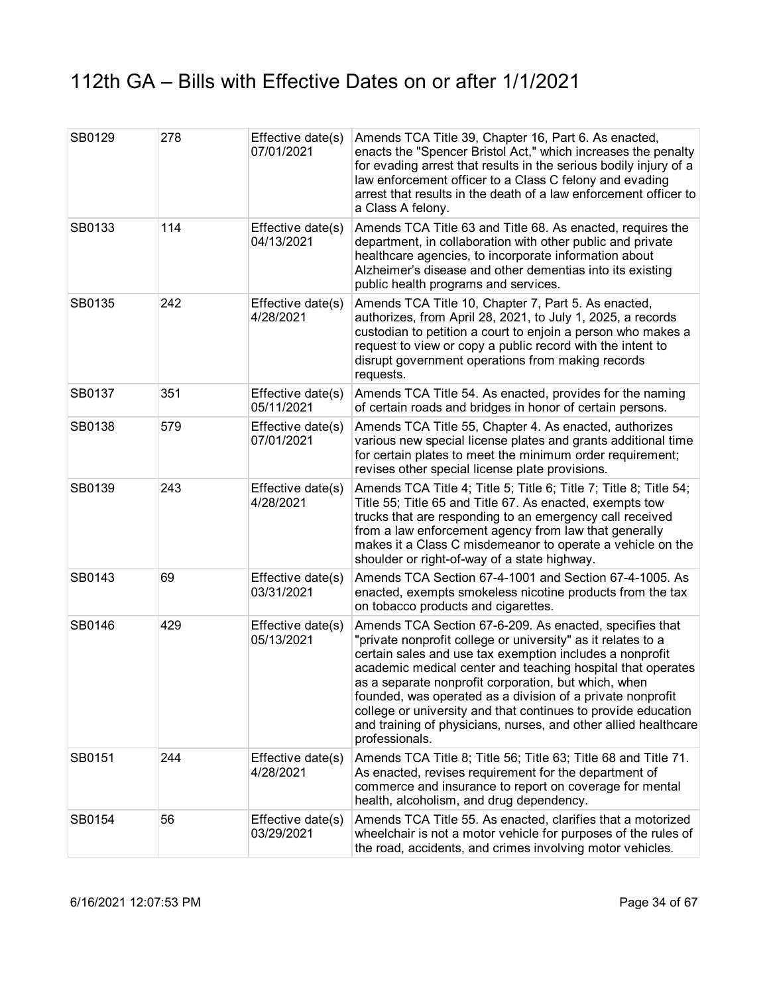| SB0129 | 278 | Effective date(s)<br>07/01/2021 | Amends TCA Title 39, Chapter 16, Part 6. As enacted,<br>enacts the "Spencer Bristol Act," which increases the penalty<br>for evading arrest that results in the serious bodily injury of a<br>law enforcement officer to a Class C felony and evading<br>arrest that results in the death of a law enforcement officer to<br>a Class A felony.                                                                                                                                                                                 |
|--------|-----|---------------------------------|--------------------------------------------------------------------------------------------------------------------------------------------------------------------------------------------------------------------------------------------------------------------------------------------------------------------------------------------------------------------------------------------------------------------------------------------------------------------------------------------------------------------------------|
| SB0133 | 114 | Effective date(s)<br>04/13/2021 | Amends TCA Title 63 and Title 68. As enacted, requires the<br>department, in collaboration with other public and private<br>healthcare agencies, to incorporate information about<br>Alzheimer's disease and other dementias into its existing<br>public health programs and services.                                                                                                                                                                                                                                         |
| SB0135 | 242 | Effective date(s)<br>4/28/2021  | Amends TCA Title 10, Chapter 7, Part 5. As enacted,<br>authorizes, from April 28, 2021, to July 1, 2025, a records<br>custodian to petition a court to enjoin a person who makes a<br>request to view or copy a public record with the intent to<br>disrupt government operations from making records<br>requests.                                                                                                                                                                                                             |
| SB0137 | 351 | Effective date(s)<br>05/11/2021 | Amends TCA Title 54. As enacted, provides for the naming<br>of certain roads and bridges in honor of certain persons.                                                                                                                                                                                                                                                                                                                                                                                                          |
| SB0138 | 579 | Effective date(s)<br>07/01/2021 | Amends TCA Title 55, Chapter 4. As enacted, authorizes<br>various new special license plates and grants additional time<br>for certain plates to meet the minimum order requirement;<br>revises other special license plate provisions.                                                                                                                                                                                                                                                                                        |
| SB0139 | 243 | Effective date(s)<br>4/28/2021  | Amends TCA Title 4; Title 5; Title 6; Title 7; Title 8; Title 54;<br>Title 55; Title 65 and Title 67. As enacted, exempts tow<br>trucks that are responding to an emergency call received<br>from a law enforcement agency from law that generally<br>makes it a Class C misdemeanor to operate a vehicle on the<br>shoulder or right-of-way of a state highway.                                                                                                                                                               |
| SB0143 | 69  | Effective date(s)<br>03/31/2021 | Amends TCA Section 67-4-1001 and Section 67-4-1005. As<br>enacted, exempts smokeless nicotine products from the tax<br>on tobacco products and cigarettes.                                                                                                                                                                                                                                                                                                                                                                     |
| SB0146 | 429 | Effective date(s)<br>05/13/2021 | Amends TCA Section 67-6-209. As enacted, specifies that<br>"private nonprofit college or university" as it relates to a<br>certain sales and use tax exemption includes a nonprofit<br>academic medical center and teaching hospital that operates<br>as a separate nonprofit corporation, but which, when<br>founded, was operated as a division of a private nonprofit<br>college or university and that continues to provide education<br>and training of physicians, nurses, and other allied healthcare<br>professionals. |
| SB0151 | 244 | Effective date(s)<br>4/28/2021  | Amends TCA Title 8; Title 56; Title 63; Title 68 and Title 71.<br>As enacted, revises requirement for the department of<br>commerce and insurance to report on coverage for mental<br>health, alcoholism, and drug dependency.                                                                                                                                                                                                                                                                                                 |
| SB0154 | 56  | Effective date(s)<br>03/29/2021 | Amends TCA Title 55. As enacted, clarifies that a motorized<br>wheelchair is not a motor vehicle for purposes of the rules of<br>the road, accidents, and crimes involving motor vehicles.                                                                                                                                                                                                                                                                                                                                     |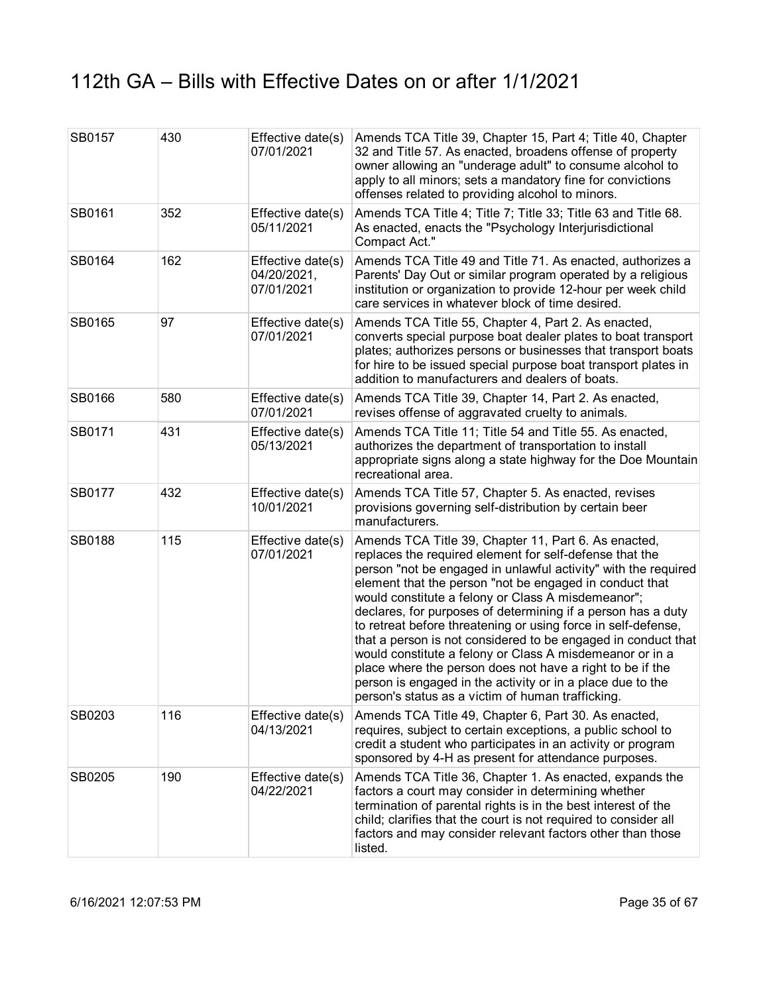| SB0157 | 430 | Effective date(s)<br>07/01/2021                | Amends TCA Title 39, Chapter 15, Part 4; Title 40, Chapter<br>32 and Title 57. As enacted, broadens offense of property<br>owner allowing an "underage adult" to consume alcohol to<br>apply to all minors; sets a mandatory fine for convictions<br>offenses related to providing alcohol to minors.                                                                                                                                                                                                                                                                                                                                                                                                                                            |
|--------|-----|------------------------------------------------|--------------------------------------------------------------------------------------------------------------------------------------------------------------------------------------------------------------------------------------------------------------------------------------------------------------------------------------------------------------------------------------------------------------------------------------------------------------------------------------------------------------------------------------------------------------------------------------------------------------------------------------------------------------------------------------------------------------------------------------------------|
| SB0161 | 352 | Effective date(s)<br>05/11/2021                | Amends TCA Title 4; Title 7; Title 33; Title 63 and Title 68.<br>As enacted, enacts the "Psychology Interjurisdictional<br>Compact Act."                                                                                                                                                                                                                                                                                                                                                                                                                                                                                                                                                                                                         |
| SB0164 | 162 | Effective date(s)<br>04/20/2021,<br>07/01/2021 | Amends TCA Title 49 and Title 71. As enacted, authorizes a<br>Parents' Day Out or similar program operated by a religious<br>institution or organization to provide 12-hour per week child<br>care services in whatever block of time desired.                                                                                                                                                                                                                                                                                                                                                                                                                                                                                                   |
| SB0165 | 97  | Effective date(s)<br>07/01/2021                | Amends TCA Title 55, Chapter 4, Part 2. As enacted,<br>converts special purpose boat dealer plates to boat transport<br>plates; authorizes persons or businesses that transport boats<br>for hire to be issued special purpose boat transport plates in<br>addition to manufacturers and dealers of boats.                                                                                                                                                                                                                                                                                                                                                                                                                                       |
| SB0166 | 580 | Effective date(s)<br>07/01/2021                | Amends TCA Title 39, Chapter 14, Part 2. As enacted,<br>revises offense of aggravated cruelty to animals.                                                                                                                                                                                                                                                                                                                                                                                                                                                                                                                                                                                                                                        |
| SB0171 | 431 | Effective date(s)<br>05/13/2021                | Amends TCA Title 11; Title 54 and Title 55. As enacted,<br>authorizes the department of transportation to install<br>appropriate signs along a state highway for the Doe Mountain<br>recreational area.                                                                                                                                                                                                                                                                                                                                                                                                                                                                                                                                          |
| SB0177 | 432 | Effective date(s)<br>10/01/2021                | Amends TCA Title 57, Chapter 5. As enacted, revises<br>provisions governing self-distribution by certain beer<br>manufacturers.                                                                                                                                                                                                                                                                                                                                                                                                                                                                                                                                                                                                                  |
| SB0188 | 115 | Effective date(s)<br>07/01/2021                | Amends TCA Title 39, Chapter 11, Part 6. As enacted,<br>replaces the required element for self-defense that the<br>person "not be engaged in unlawful activity" with the required<br>element that the person "not be engaged in conduct that<br>would constitute a felony or Class A misdemeanor";<br>declares, for purposes of determining if a person has a duty<br>to retreat before threatening or using force in self-defense,<br>that a person is not considered to be engaged in conduct that<br>would constitute a felony or Class A misdemeanor or in a<br>place where the person does not have a right to be if the<br>person is engaged in the activity or in a place due to the<br>person's status as a victim of human trafficking. |
| SB0203 | 116 | Effective date(s)<br>04/13/2021                | Amends TCA Title 49, Chapter 6, Part 30. As enacted,<br>requires, subject to certain exceptions, a public school to<br>credit a student who participates in an activity or program<br>sponsored by 4-H as present for attendance purposes.                                                                                                                                                                                                                                                                                                                                                                                                                                                                                                       |
| SB0205 | 190 | Effective date(s)<br>04/22/2021                | Amends TCA Title 36, Chapter 1. As enacted, expands the<br>factors a court may consider in determining whether<br>termination of parental rights is in the best interest of the<br>child; clarifies that the court is not required to consider all<br>factors and may consider relevant factors other than those<br>listed.                                                                                                                                                                                                                                                                                                                                                                                                                      |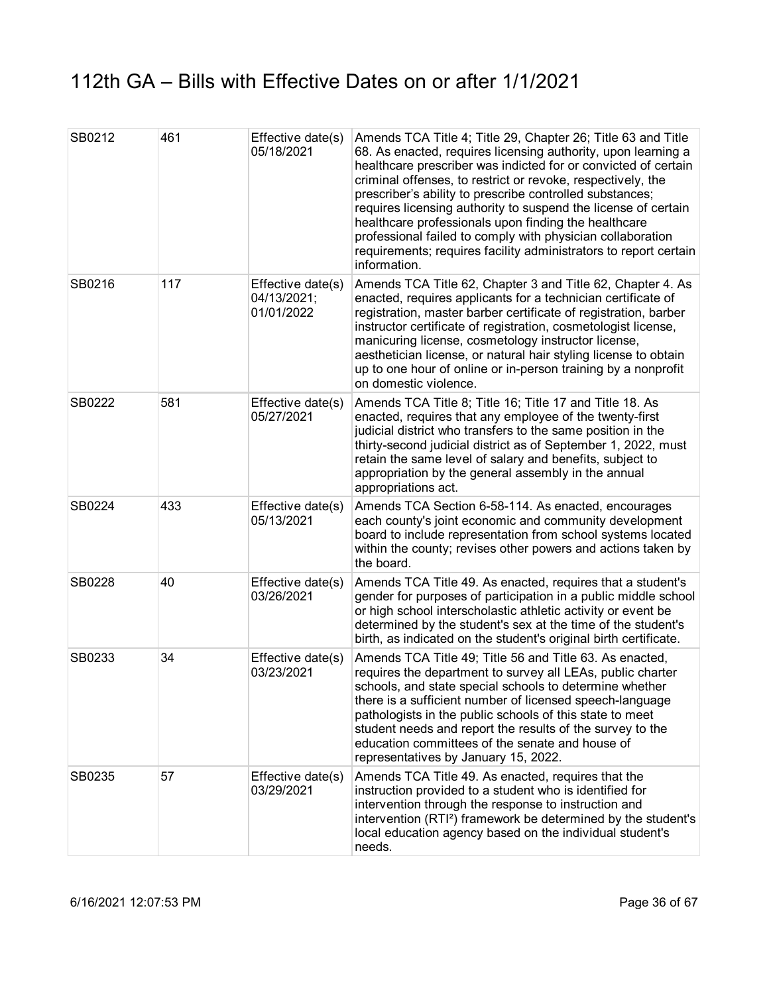| SB0212 | 461 | Effective date(s)<br>05/18/2021                | Amends TCA Title 4; Title 29, Chapter 26; Title 63 and Title<br>68. As enacted, requires licensing authority, upon learning a<br>healthcare prescriber was indicted for or convicted of certain<br>criminal offenses, to restrict or revoke, respectively, the<br>prescriber's ability to prescribe controlled substances;<br>requires licensing authority to suspend the license of certain<br>healthcare professionals upon finding the healthcare<br>professional failed to comply with physician collaboration<br>requirements; requires facility administrators to report certain<br>information. |
|--------|-----|------------------------------------------------|--------------------------------------------------------------------------------------------------------------------------------------------------------------------------------------------------------------------------------------------------------------------------------------------------------------------------------------------------------------------------------------------------------------------------------------------------------------------------------------------------------------------------------------------------------------------------------------------------------|
| SB0216 | 117 | Effective date(s)<br>04/13/2021;<br>01/01/2022 | Amends TCA Title 62, Chapter 3 and Title 62, Chapter 4. As<br>enacted, requires applicants for a technician certificate of<br>registration, master barber certificate of registration, barber<br>instructor certificate of registration, cosmetologist license,<br>manicuring license, cosmetology instructor license,<br>aesthetician license, or natural hair styling license to obtain<br>up to one hour of online or in-person training by a nonprofit<br>on domestic violence.                                                                                                                    |
| SB0222 | 581 | Effective date(s)<br>05/27/2021                | Amends TCA Title 8; Title 16; Title 17 and Title 18. As<br>enacted, requires that any employee of the twenty-first<br>judicial district who transfers to the same position in the<br>thirty-second judicial district as of September 1, 2022, must<br>retain the same level of salary and benefits, subject to<br>appropriation by the general assembly in the annual<br>appropriations act.                                                                                                                                                                                                           |
| SB0224 | 433 | Effective date(s)<br>05/13/2021                | Amends TCA Section 6-58-114. As enacted, encourages<br>each county's joint economic and community development<br>board to include representation from school systems located<br>within the county; revises other powers and actions taken by<br>the board.                                                                                                                                                                                                                                                                                                                                             |
| SB0228 | 40  | Effective date(s)<br>03/26/2021                | Amends TCA Title 49. As enacted, requires that a student's<br>gender for purposes of participation in a public middle school<br>or high school interscholastic athletic activity or event be<br>determined by the student's sex at the time of the student's<br>birth, as indicated on the student's original birth certificate.                                                                                                                                                                                                                                                                       |
| SB0233 | 34  | Effective date(s)<br>03/23/2021                | Amends TCA Title 49; Title 56 and Title 63. As enacted,<br>requires the department to survey all LEAs, public charter<br>schools, and state special schools to determine whether<br>there is a sufficient number of licensed speech-language<br>pathologists in the public schools of this state to meet<br>student needs and report the results of the survey to the<br>education committees of the senate and house of<br>representatives by January 15, 2022.                                                                                                                                       |
| SB0235 | 57  | Effective date(s)<br>03/29/2021                | Amends TCA Title 49. As enacted, requires that the<br>instruction provided to a student who is identified for<br>intervention through the response to instruction and<br>intervention (RTI <sup>2</sup> ) framework be determined by the student's<br>local education agency based on the individual student's<br>needs.                                                                                                                                                                                                                                                                               |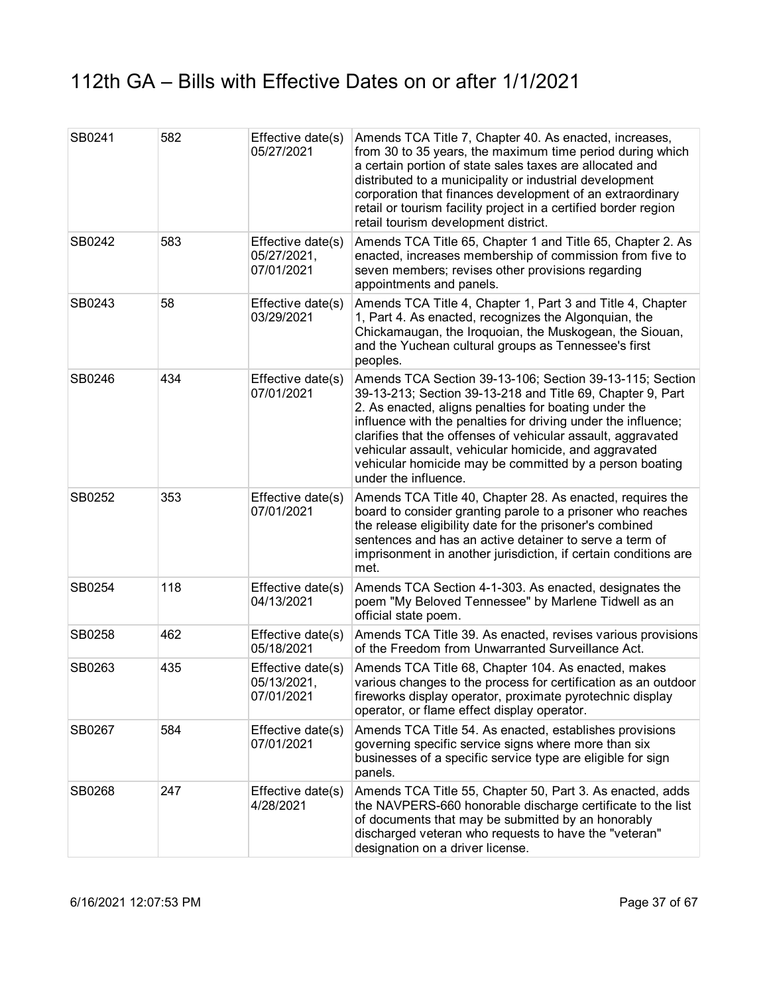| SB0241 | 582 | Effective date(s)<br>05/27/2021                | Amends TCA Title 7, Chapter 40. As enacted, increases,<br>from 30 to 35 years, the maximum time period during which<br>a certain portion of state sales taxes are allocated and<br>distributed to a municipality or industrial development<br>corporation that finances development of an extraordinary<br>retail or tourism facility project in a certified border region<br>retail tourism development district.                                           |
|--------|-----|------------------------------------------------|--------------------------------------------------------------------------------------------------------------------------------------------------------------------------------------------------------------------------------------------------------------------------------------------------------------------------------------------------------------------------------------------------------------------------------------------------------------|
| SB0242 | 583 | Effective date(s)<br>05/27/2021,<br>07/01/2021 | Amends TCA Title 65, Chapter 1 and Title 65, Chapter 2. As<br>enacted, increases membership of commission from five to<br>seven members; revises other provisions regarding<br>appointments and panels.                                                                                                                                                                                                                                                      |
| SB0243 | 58  | Effective date(s)<br>03/29/2021                | Amends TCA Title 4, Chapter 1, Part 3 and Title 4, Chapter<br>1, Part 4. As enacted, recognizes the Algonquian, the<br>Chickamaugan, the Iroquoian, the Muskogean, the Siouan,<br>and the Yuchean cultural groups as Tennessee's first<br>peoples.                                                                                                                                                                                                           |
| SB0246 | 434 | Effective date(s)<br>07/01/2021                | Amends TCA Section 39-13-106; Section 39-13-115; Section<br>39-13-213; Section 39-13-218 and Title 69, Chapter 9, Part<br>2. As enacted, aligns penalties for boating under the<br>influence with the penalties for driving under the influence;<br>clarifies that the offenses of vehicular assault, aggravated<br>vehicular assault, vehicular homicide, and aggravated<br>vehicular homicide may be committed by a person boating<br>under the influence. |
| SB0252 | 353 | Effective date(s)<br>07/01/2021                | Amends TCA Title 40, Chapter 28. As enacted, requires the<br>board to consider granting parole to a prisoner who reaches<br>the release eligibility date for the prisoner's combined<br>sentences and has an active detainer to serve a term of<br>imprisonment in another jurisdiction, if certain conditions are<br>met.                                                                                                                                   |
| SB0254 | 118 | Effective date(s)<br>04/13/2021                | Amends TCA Section 4-1-303. As enacted, designates the<br>poem "My Beloved Tennessee" by Marlene Tidwell as an<br>official state poem.                                                                                                                                                                                                                                                                                                                       |
| SB0258 | 462 | Effective date(s)<br>05/18/2021                | Amends TCA Title 39. As enacted, revises various provisions<br>of the Freedom from Unwarranted Surveillance Act.                                                                                                                                                                                                                                                                                                                                             |
| SB0263 | 435 | Effective date(s)<br>05/13/2021,<br>07/01/2021 | Amends TCA Title 68, Chapter 104. As enacted, makes<br>various changes to the process for certification as an outdoor<br>fireworks display operator, proximate pyrotechnic display<br>operator, or flame effect display operator.                                                                                                                                                                                                                            |
| SB0267 | 584 | Effective date(s)<br>07/01/2021                | Amends TCA Title 54. As enacted, establishes provisions<br>governing specific service signs where more than six<br>businesses of a specific service type are eligible for sign<br>panels.                                                                                                                                                                                                                                                                    |
| SB0268 | 247 | Effective date(s)<br>4/28/2021                 | Amends TCA Title 55, Chapter 50, Part 3. As enacted, adds<br>the NAVPERS-660 honorable discharge certificate to the list<br>of documents that may be submitted by an honorably<br>discharged veteran who requests to have the "veteran"<br>designation on a driver license.                                                                                                                                                                                  |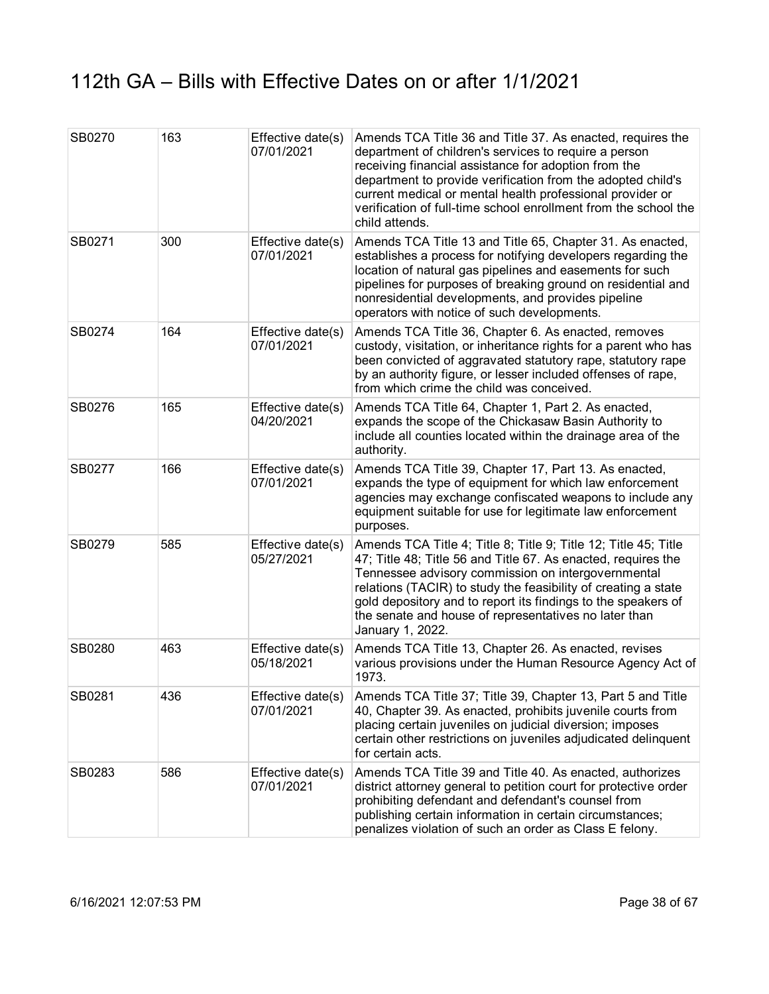| SB0270 | 163 | Effective date(s)<br>07/01/2021 | Amends TCA Title 36 and Title 37. As enacted, requires the<br>department of children's services to require a person<br>receiving financial assistance for adoption from the<br>department to provide verification from the adopted child's<br>current medical or mental health professional provider or<br>verification of full-time school enrollment from the school the<br>child attends.           |
|--------|-----|---------------------------------|--------------------------------------------------------------------------------------------------------------------------------------------------------------------------------------------------------------------------------------------------------------------------------------------------------------------------------------------------------------------------------------------------------|
| SB0271 | 300 | Effective date(s)<br>07/01/2021 | Amends TCA Title 13 and Title 65, Chapter 31. As enacted,<br>establishes a process for notifying developers regarding the<br>location of natural gas pipelines and easements for such<br>pipelines for purposes of breaking ground on residential and<br>nonresidential developments, and provides pipeline<br>operators with notice of such developments.                                             |
| SB0274 | 164 | Effective date(s)<br>07/01/2021 | Amends TCA Title 36, Chapter 6. As enacted, removes<br>custody, visitation, or inheritance rights for a parent who has<br>been convicted of aggravated statutory rape, statutory rape<br>by an authority figure, or lesser included offenses of rape,<br>from which crime the child was conceived.                                                                                                     |
| SB0276 | 165 | Effective date(s)<br>04/20/2021 | Amends TCA Title 64, Chapter 1, Part 2. As enacted,<br>expands the scope of the Chickasaw Basin Authority to<br>include all counties located within the drainage area of the<br>authority.                                                                                                                                                                                                             |
| SB0277 | 166 | Effective date(s)<br>07/01/2021 | Amends TCA Title 39, Chapter 17, Part 13. As enacted,<br>expands the type of equipment for which law enforcement<br>agencies may exchange confiscated weapons to include any<br>equipment suitable for use for legitimate law enforcement<br>purposes.                                                                                                                                                 |
| SB0279 | 585 | Effective date(s)<br>05/27/2021 | Amends TCA Title 4; Title 8; Title 9; Title 12; Title 45; Title<br>47; Title 48; Title 56 and Title 67. As enacted, requires the<br>Tennessee advisory commission on intergovernmental<br>relations (TACIR) to study the feasibility of creating a state<br>gold depository and to report its findings to the speakers of<br>the senate and house of representatives no later than<br>January 1, 2022. |
| SB0280 | 463 | Effective date(s)<br>05/18/2021 | Amends TCA Title 13, Chapter 26. As enacted, revises<br>various provisions under the Human Resource Agency Act of<br>1973.                                                                                                                                                                                                                                                                             |
| SB0281 | 436 | Effective date(s)<br>07/01/2021 | Amends TCA Title 37; Title 39, Chapter 13, Part 5 and Title<br>40, Chapter 39. As enacted, prohibits juvenile courts from<br>placing certain juveniles on judicial diversion; imposes<br>certain other restrictions on juveniles adjudicated delinquent<br>for certain acts.                                                                                                                           |
| SB0283 | 586 | Effective date(s)<br>07/01/2021 | Amends TCA Title 39 and Title 40. As enacted, authorizes<br>district attorney general to petition court for protective order<br>prohibiting defendant and defendant's counsel from<br>publishing certain information in certain circumstances;<br>penalizes violation of such an order as Class E felony.                                                                                              |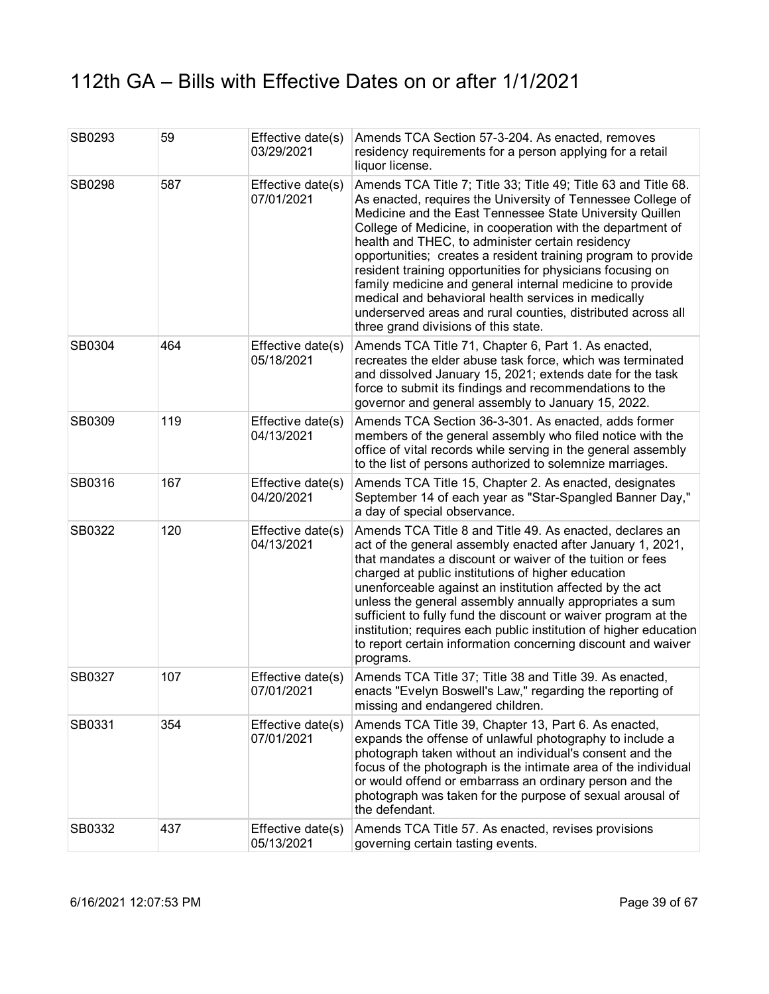| SB0293 | 59  | Effective date(s)<br>03/29/2021 | Amends TCA Section 57-3-204. As enacted, removes<br>residency requirements for a person applying for a retail<br>liquor license.                                                                                                                                                                                                                                                                                                                                                                                                                                                                                                                                      |
|--------|-----|---------------------------------|-----------------------------------------------------------------------------------------------------------------------------------------------------------------------------------------------------------------------------------------------------------------------------------------------------------------------------------------------------------------------------------------------------------------------------------------------------------------------------------------------------------------------------------------------------------------------------------------------------------------------------------------------------------------------|
| SB0298 | 587 | Effective date(s)<br>07/01/2021 | Amends TCA Title 7; Title 33; Title 49; Title 63 and Title 68.<br>As enacted, requires the University of Tennessee College of<br>Medicine and the East Tennessee State University Quillen<br>College of Medicine, in cooperation with the department of<br>health and THEC, to administer certain residency<br>opportunities; creates a resident training program to provide<br>resident training opportunities for physicians focusing on<br>family medicine and general internal medicine to provide<br>medical and behavioral health services in medically<br>underserved areas and rural counties, distributed across all<br>three grand divisions of this state. |
| SB0304 | 464 | Effective date(s)<br>05/18/2021 | Amends TCA Title 71, Chapter 6, Part 1. As enacted,<br>recreates the elder abuse task force, which was terminated<br>and dissolved January 15, 2021; extends date for the task<br>force to submit its findings and recommendations to the<br>governor and general assembly to January 15, 2022.                                                                                                                                                                                                                                                                                                                                                                       |
| SB0309 | 119 | Effective date(s)<br>04/13/2021 | Amends TCA Section 36-3-301. As enacted, adds former<br>members of the general assembly who filed notice with the<br>office of vital records while serving in the general assembly<br>to the list of persons authorized to solemnize marriages.                                                                                                                                                                                                                                                                                                                                                                                                                       |
| SB0316 | 167 | Effective date(s)<br>04/20/2021 | Amends TCA Title 15, Chapter 2. As enacted, designates<br>September 14 of each year as "Star-Spangled Banner Day,"<br>a day of special observance.                                                                                                                                                                                                                                                                                                                                                                                                                                                                                                                    |
| SB0322 | 120 | Effective date(s)<br>04/13/2021 | Amends TCA Title 8 and Title 49. As enacted, declares an<br>act of the general assembly enacted after January 1, 2021,<br>that mandates a discount or waiver of the tuition or fees<br>charged at public institutions of higher education<br>unenforceable against an institution affected by the act<br>unless the general assembly annually appropriates a sum<br>sufficient to fully fund the discount or waiver program at the<br>institution; requires each public institution of higher education<br>to report certain information concerning discount and waiver<br>programs.                                                                                  |
| SB0327 | 107 | Effective date(s)<br>07/01/2021 | Amends TCA Title 37; Title 38 and Title 39. As enacted,<br>enacts "Evelyn Boswell's Law," regarding the reporting of<br>missing and endangered children.                                                                                                                                                                                                                                                                                                                                                                                                                                                                                                              |
| SB0331 | 354 | Effective date(s)<br>07/01/2021 | Amends TCA Title 39, Chapter 13, Part 6. As enacted,<br>expands the offense of unlawful photography to include a<br>photograph taken without an individual's consent and the<br>focus of the photograph is the intimate area of the individual<br>or would offend or embarrass an ordinary person and the<br>photograph was taken for the purpose of sexual arousal of<br>the defendant.                                                                                                                                                                                                                                                                              |
| SB0332 | 437 | Effective date(s)<br>05/13/2021 | Amends TCA Title 57. As enacted, revises provisions<br>governing certain tasting events.                                                                                                                                                                                                                                                                                                                                                                                                                                                                                                                                                                              |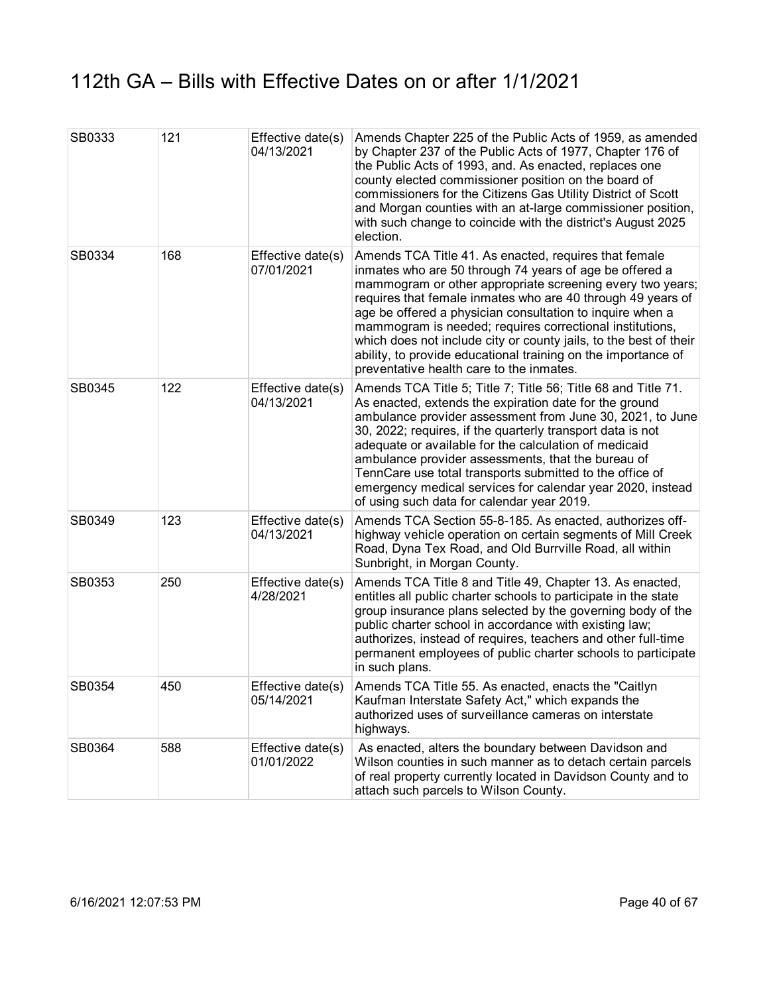| SB0333 | 121 | Effective date(s)<br>04/13/2021 | Amends Chapter 225 of the Public Acts of 1959, as amended<br>by Chapter 237 of the Public Acts of 1977, Chapter 176 of<br>the Public Acts of 1993, and. As enacted, replaces one<br>county elected commissioner position on the board of<br>commissioners for the Citizens Gas Utility District of Scott<br>and Morgan counties with an at-large commissioner position,<br>with such change to coincide with the district's August 2025<br>election.                                                                                                    |
|--------|-----|---------------------------------|---------------------------------------------------------------------------------------------------------------------------------------------------------------------------------------------------------------------------------------------------------------------------------------------------------------------------------------------------------------------------------------------------------------------------------------------------------------------------------------------------------------------------------------------------------|
| SB0334 | 168 | Effective date(s)<br>07/01/2021 | Amends TCA Title 41. As enacted, requires that female<br>inmates who are 50 through 74 years of age be offered a<br>mammogram or other appropriate screening every two years;<br>requires that female inmates who are 40 through 49 years of<br>age be offered a physician consultation to inquire when a<br>mammogram is needed; requires correctional institutions,<br>which does not include city or county jails, to the best of their<br>ability, to provide educational training on the importance of<br>preventative health care to the inmates. |
| SB0345 | 122 | Effective date(s)<br>04/13/2021 | Amends TCA Title 5; Title 7; Title 56; Title 68 and Title 71.<br>As enacted, extends the expiration date for the ground<br>ambulance provider assessment from June 30, 2021, to June<br>30, 2022; requires, if the quarterly transport data is not<br>adequate or available for the calculation of medicaid<br>ambulance provider assessments, that the bureau of<br>TennCare use total transports submitted to the office of<br>emergency medical services for calendar year 2020, instead<br>of using such data for calendar year 2019.               |
| SB0349 | 123 | Effective date(s)<br>04/13/2021 | Amends TCA Section 55-8-185. As enacted, authorizes off-<br>highway vehicle operation on certain segments of Mill Creek<br>Road, Dyna Tex Road, and Old Burrville Road, all within<br>Sunbright, in Morgan County.                                                                                                                                                                                                                                                                                                                                      |
| SB0353 | 250 | Effective date(s)<br>4/28/2021  | Amends TCA Title 8 and Title 49, Chapter 13. As enacted,<br>entitles all public charter schools to participate in the state<br>group insurance plans selected by the governing body of the<br>public charter school in accordance with existing law;<br>authorizes, instead of requires, teachers and other full-time<br>permanent employees of public charter schools to participate<br>in such plans.                                                                                                                                                 |
| SB0354 | 450 | Effective date(s)<br>05/14/2021 | Amends TCA Title 55. As enacted, enacts the "Caitlyn<br>Kaufman Interstate Safety Act," which expands the<br>authorized uses of surveillance cameras on interstate<br>highways.                                                                                                                                                                                                                                                                                                                                                                         |
| SB0364 | 588 | Effective date(s)<br>01/01/2022 | As enacted, alters the boundary between Davidson and<br>Wilson counties in such manner as to detach certain parcels<br>of real property currently located in Davidson County and to<br>attach such parcels to Wilson County.                                                                                                                                                                                                                                                                                                                            |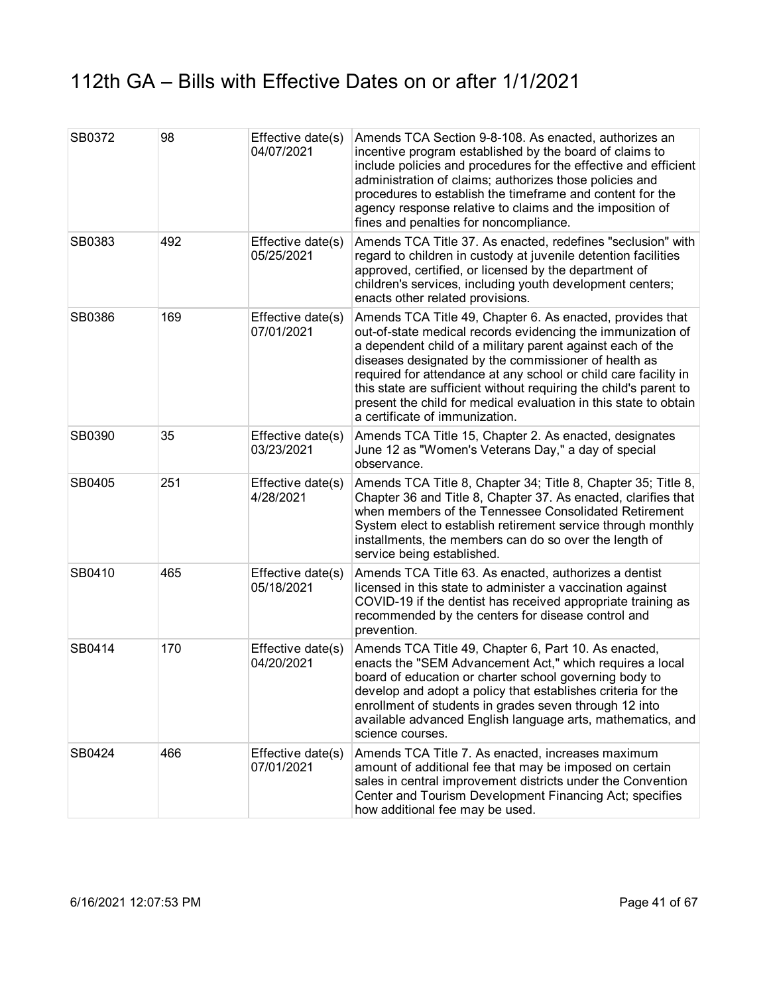| SB0372 | 98  | Effective date(s)<br>04/07/2021 | Amends TCA Section 9-8-108. As enacted, authorizes an<br>incentive program established by the board of claims to<br>include policies and procedures for the effective and efficient<br>administration of claims; authorizes those policies and<br>procedures to establish the timeframe and content for the<br>agency response relative to claims and the imposition of<br>fines and penalties for noncompliance.                                                                            |
|--------|-----|---------------------------------|----------------------------------------------------------------------------------------------------------------------------------------------------------------------------------------------------------------------------------------------------------------------------------------------------------------------------------------------------------------------------------------------------------------------------------------------------------------------------------------------|
| SB0383 | 492 | Effective date(s)<br>05/25/2021 | Amends TCA Title 37. As enacted, redefines "seclusion" with<br>regard to children in custody at juvenile detention facilities<br>approved, certified, or licensed by the department of<br>children's services, including youth development centers;<br>enacts other related provisions.                                                                                                                                                                                                      |
| SB0386 | 169 | Effective date(s)<br>07/01/2021 | Amends TCA Title 49, Chapter 6. As enacted, provides that<br>out-of-state medical records evidencing the immunization of<br>a dependent child of a military parent against each of the<br>diseases designated by the commissioner of health as<br>required for attendance at any school or child care facility in<br>this state are sufficient without requiring the child's parent to<br>present the child for medical evaluation in this state to obtain<br>a certificate of immunization. |
| SB0390 | 35  | Effective date(s)<br>03/23/2021 | Amends TCA Title 15, Chapter 2. As enacted, designates<br>June 12 as "Women's Veterans Day," a day of special<br>observance.                                                                                                                                                                                                                                                                                                                                                                 |
| SB0405 | 251 | Effective date(s)<br>4/28/2021  | Amends TCA Title 8, Chapter 34; Title 8, Chapter 35; Title 8,<br>Chapter 36 and Title 8, Chapter 37. As enacted, clarifies that<br>when members of the Tennessee Consolidated Retirement<br>System elect to establish retirement service through monthly<br>installments, the members can do so over the length of<br>service being established.                                                                                                                                             |
| SB0410 | 465 | Effective date(s)<br>05/18/2021 | Amends TCA Title 63. As enacted, authorizes a dentist<br>licensed in this state to administer a vaccination against<br>COVID-19 if the dentist has received appropriate training as<br>recommended by the centers for disease control and<br>prevention.                                                                                                                                                                                                                                     |
| SB0414 | 170 | Effective date(s)<br>04/20/2021 | Amends TCA Title 49, Chapter 6, Part 10. As enacted,<br>enacts the "SEM Advancement Act," which requires a local<br>board of education or charter school governing body to<br>develop and adopt a policy that establishes criteria for the<br>enrollment of students in grades seven through 12 into<br>available advanced English language arts, mathematics, and<br>science courses.                                                                                                       |
| SB0424 | 466 | Effective date(s)<br>07/01/2021 | Amends TCA Title 7. As enacted, increases maximum<br>amount of additional fee that may be imposed on certain<br>sales in central improvement districts under the Convention<br>Center and Tourism Development Financing Act; specifies<br>how additional fee may be used.                                                                                                                                                                                                                    |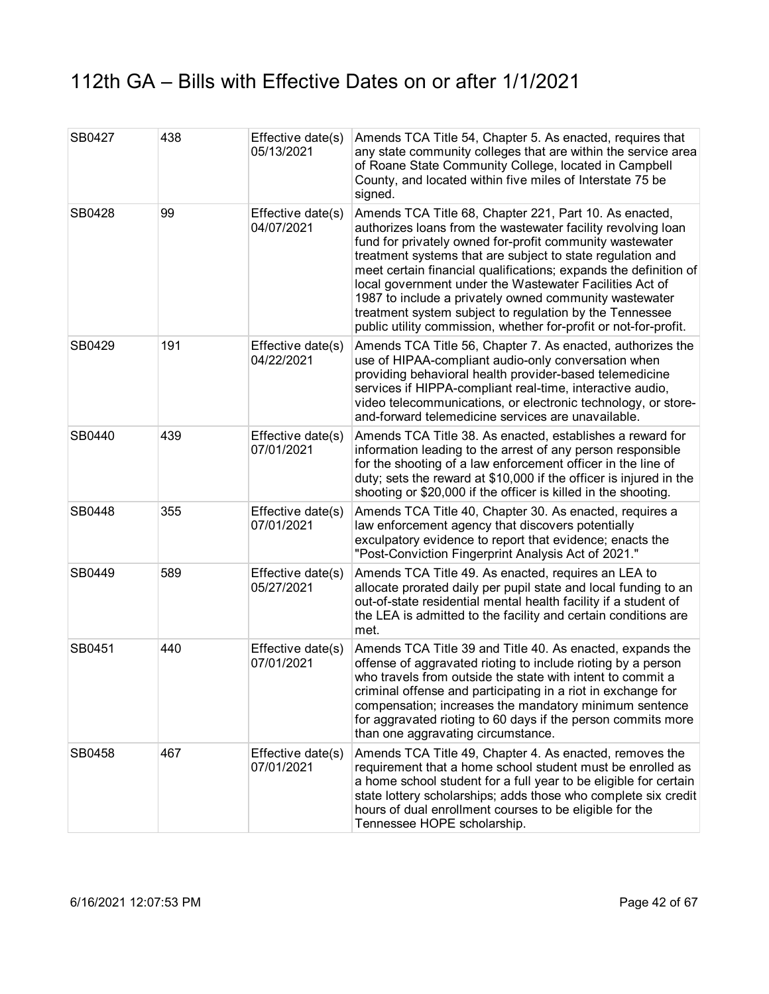| SB0427 | 438 | Effective date(s)<br>05/13/2021 | Amends TCA Title 54, Chapter 5. As enacted, requires that<br>any state community colleges that are within the service area<br>of Roane State Community College, located in Campbell<br>County, and located within five miles of Interstate 75 be<br>signed.                                                                                                                                                                                                                                                                                                              |
|--------|-----|---------------------------------|--------------------------------------------------------------------------------------------------------------------------------------------------------------------------------------------------------------------------------------------------------------------------------------------------------------------------------------------------------------------------------------------------------------------------------------------------------------------------------------------------------------------------------------------------------------------------|
| SB0428 | 99  | Effective date(s)<br>04/07/2021 | Amends TCA Title 68, Chapter 221, Part 10. As enacted,<br>authorizes loans from the wastewater facility revolving loan<br>fund for privately owned for-profit community wastewater<br>treatment systems that are subject to state regulation and<br>meet certain financial qualifications; expands the definition of<br>local government under the Wastewater Facilities Act of<br>1987 to include a privately owned community wastewater<br>treatment system subject to regulation by the Tennessee<br>public utility commission, whether for-profit or not-for-profit. |
| SB0429 | 191 | Effective date(s)<br>04/22/2021 | Amends TCA Title 56, Chapter 7. As enacted, authorizes the<br>use of HIPAA-compliant audio-only conversation when<br>providing behavioral health provider-based telemedicine<br>services if HIPPA-compliant real-time, interactive audio,<br>video telecommunications, or electronic technology, or store-<br>and-forward telemedicine services are unavailable.                                                                                                                                                                                                         |
| SB0440 | 439 | Effective date(s)<br>07/01/2021 | Amends TCA Title 38. As enacted, establishes a reward for<br>information leading to the arrest of any person responsible<br>for the shooting of a law enforcement officer in the line of<br>duty; sets the reward at \$10,000 if the officer is injured in the<br>shooting or \$20,000 if the officer is killed in the shooting.                                                                                                                                                                                                                                         |
| SB0448 | 355 | Effective date(s)<br>07/01/2021 | Amends TCA Title 40, Chapter 30. As enacted, requires a<br>law enforcement agency that discovers potentially<br>exculpatory evidence to report that evidence; enacts the<br>"Post-Conviction Fingerprint Analysis Act of 2021."                                                                                                                                                                                                                                                                                                                                          |
| SB0449 | 589 | Effective date(s)<br>05/27/2021 | Amends TCA Title 49. As enacted, requires an LEA to<br>allocate prorated daily per pupil state and local funding to an<br>out-of-state residential mental health facility if a student of<br>the LEA is admitted to the facility and certain conditions are<br>met.                                                                                                                                                                                                                                                                                                      |
| SB0451 | 440 | Effective date(s)<br>07/01/2021 | Amends TCA Title 39 and Title 40. As enacted, expands the<br>offense of aggravated rioting to include rioting by a person<br>who travels from outside the state with intent to commit a<br>criminal offense and participating in a riot in exchange for<br>compensation; increases the mandatory minimum sentence<br>for aggravated rioting to 60 days if the person commits more<br>than one aggravating circumstance.                                                                                                                                                  |
| SB0458 | 467 | Effective date(s)<br>07/01/2021 | Amends TCA Title 49, Chapter 4. As enacted, removes the<br>requirement that a home school student must be enrolled as<br>a home school student for a full year to be eligible for certain<br>state lottery scholarships; adds those who complete six credit<br>hours of dual enrollment courses to be eligible for the<br>Tennessee HOPE scholarship.                                                                                                                                                                                                                    |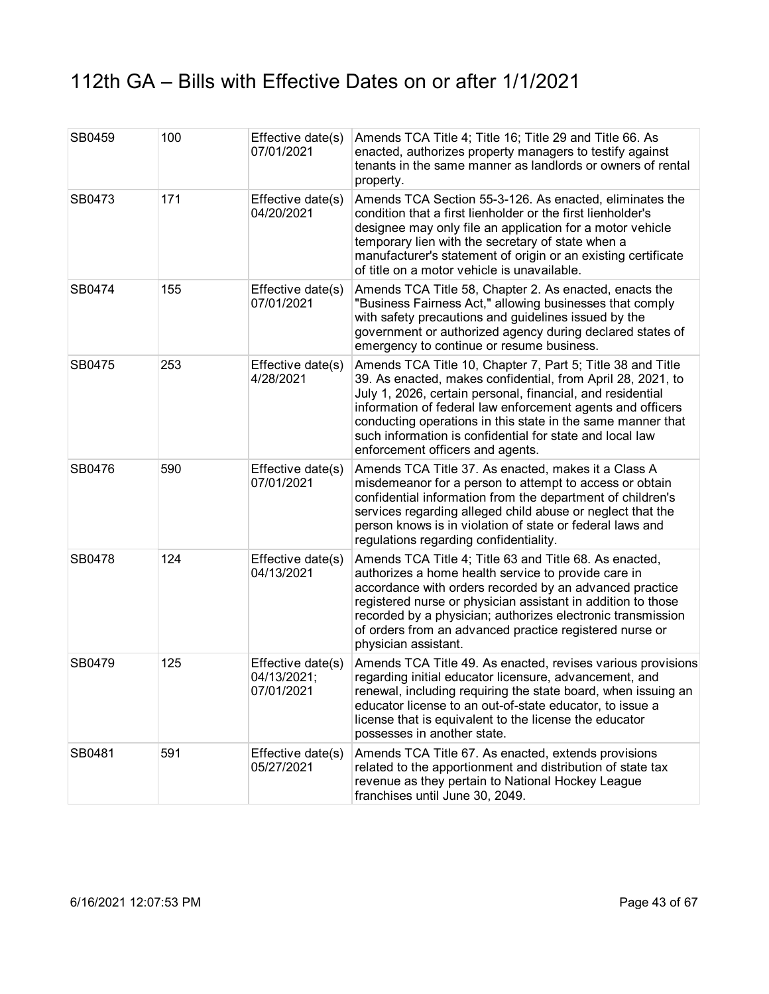| SB0459 | 100 | Effective date(s)<br>07/01/2021                | Amends TCA Title 4; Title 16; Title 29 and Title 66. As<br>enacted, authorizes property managers to testify against<br>tenants in the same manner as landlords or owners of rental<br>property.                                                                                                                                                                                                                      |
|--------|-----|------------------------------------------------|----------------------------------------------------------------------------------------------------------------------------------------------------------------------------------------------------------------------------------------------------------------------------------------------------------------------------------------------------------------------------------------------------------------------|
| SB0473 | 171 | Effective date(s)<br>04/20/2021                | Amends TCA Section 55-3-126. As enacted, eliminates the<br>condition that a first lienholder or the first lienholder's<br>designee may only file an application for a motor vehicle<br>temporary lien with the secretary of state when a<br>manufacturer's statement of origin or an existing certificate<br>of title on a motor vehicle is unavailable.                                                             |
| SB0474 | 155 | Effective date(s)<br>07/01/2021                | Amends TCA Title 58, Chapter 2. As enacted, enacts the<br>"Business Fairness Act," allowing businesses that comply<br>with safety precautions and guidelines issued by the<br>government or authorized agency during declared states of<br>emergency to continue or resume business.                                                                                                                                 |
| SB0475 | 253 | Effective date(s)<br>4/28/2021                 | Amends TCA Title 10, Chapter 7, Part 5; Title 38 and Title<br>39. As enacted, makes confidential, from April 28, 2021, to<br>July 1, 2026, certain personal, financial, and residential<br>information of federal law enforcement agents and officers<br>conducting operations in this state in the same manner that<br>such information is confidential for state and local law<br>enforcement officers and agents. |
| SB0476 | 590 | Effective date(s)<br>07/01/2021                | Amends TCA Title 37. As enacted, makes it a Class A<br>misdemeanor for a person to attempt to access or obtain<br>confidential information from the department of children's<br>services regarding alleged child abuse or neglect that the<br>person knows is in violation of state or federal laws and<br>regulations regarding confidentiality.                                                                    |
| SB0478 | 124 | Effective date(s)<br>04/13/2021                | Amends TCA Title 4; Title 63 and Title 68. As enacted,<br>authorizes a home health service to provide care in<br>accordance with orders recorded by an advanced practice<br>registered nurse or physician assistant in addition to those<br>recorded by a physician; authorizes electronic transmission<br>of orders from an advanced practice registered nurse or<br>physician assistant.                           |
| SB0479 | 125 | Effective date(s)<br>04/13/2021;<br>07/01/2021 | Amends TCA Title 49. As enacted, revises various provisions<br>regarding initial educator licensure, advancement, and<br>renewal, including requiring the state board, when issuing an<br>educator license to an out-of-state educator, to issue a<br>license that is equivalent to the license the educator<br>possesses in another state.                                                                          |
| SB0481 | 591 | Effective date(s)<br>05/27/2021                | Amends TCA Title 67. As enacted, extends provisions<br>related to the apportionment and distribution of state tax<br>revenue as they pertain to National Hockey League<br>franchises until June 30, 2049.                                                                                                                                                                                                            |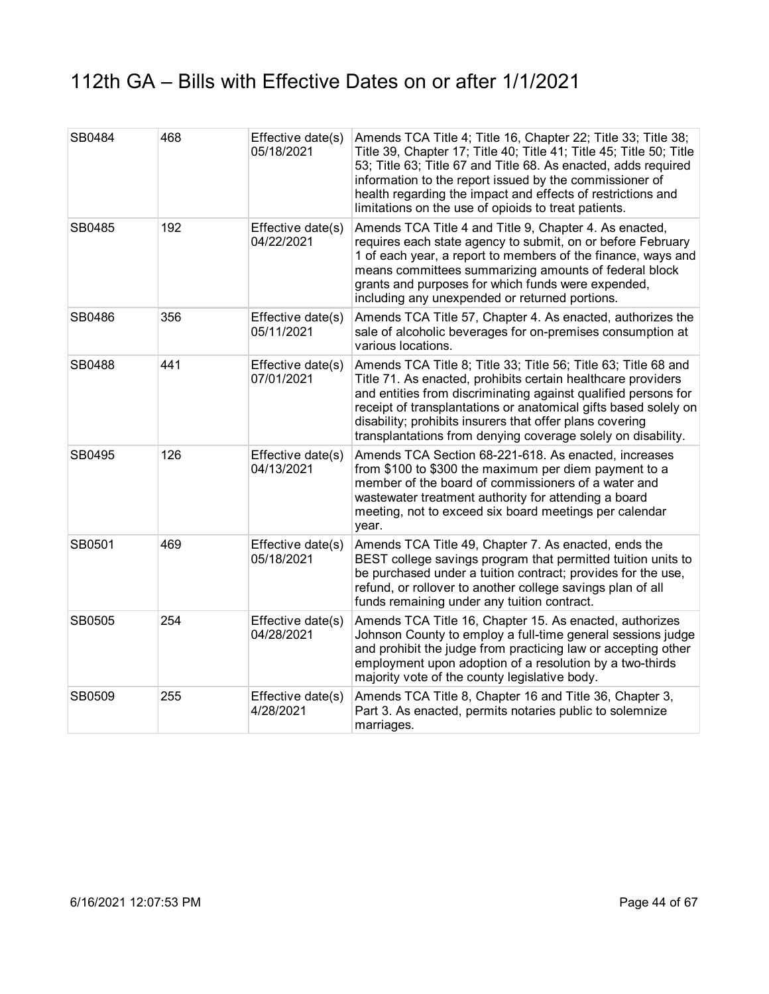| SB0484 | 468 | Effective date(s)<br>05/18/2021 | Amends TCA Title 4; Title 16, Chapter 22; Title 33; Title 38;<br>Title 39, Chapter 17; Title 40; Title 41; Title 45; Title 50; Title<br>53; Title 63; Title 67 and Title 68. As enacted, adds required<br>information to the report issued by the commissioner of<br>health regarding the impact and effects of restrictions and<br>limitations on the use of opioids to treat patients.        |
|--------|-----|---------------------------------|-------------------------------------------------------------------------------------------------------------------------------------------------------------------------------------------------------------------------------------------------------------------------------------------------------------------------------------------------------------------------------------------------|
| SB0485 | 192 | Effective date(s)<br>04/22/2021 | Amends TCA Title 4 and Title 9, Chapter 4. As enacted,<br>requires each state agency to submit, on or before February<br>1 of each year, a report to members of the finance, ways and<br>means committees summarizing amounts of federal block<br>grants and purposes for which funds were expended,<br>including any unexpended or returned portions.                                          |
| SB0486 | 356 | Effective date(s)<br>05/11/2021 | Amends TCA Title 57, Chapter 4. As enacted, authorizes the<br>sale of alcoholic beverages for on-premises consumption at<br>various locations.                                                                                                                                                                                                                                                  |
| SB0488 | 441 | Effective date(s)<br>07/01/2021 | Amends TCA Title 8; Title 33; Title 56; Title 63; Title 68 and<br>Title 71. As enacted, prohibits certain healthcare providers<br>and entities from discriminating against qualified persons for<br>receipt of transplantations or anatomical gifts based solely on<br>disability; prohibits insurers that offer plans covering<br>transplantations from denying coverage solely on disability. |
| SB0495 | 126 | Effective date(s)<br>04/13/2021 | Amends TCA Section 68-221-618. As enacted, increases<br>from \$100 to \$300 the maximum per diem payment to a<br>member of the board of commissioners of a water and<br>wastewater treatment authority for attending a board<br>meeting, not to exceed six board meetings per calendar<br>year.                                                                                                 |
| SB0501 | 469 | Effective date(s)<br>05/18/2021 | Amends TCA Title 49, Chapter 7. As enacted, ends the<br>BEST college savings program that permitted tuition units to<br>be purchased under a tuition contract; provides for the use,<br>refund, or rollover to another college savings plan of all<br>funds remaining under any tuition contract.                                                                                               |
| SB0505 | 254 | Effective date(s)<br>04/28/2021 | Amends TCA Title 16, Chapter 15. As enacted, authorizes<br>Johnson County to employ a full-time general sessions judge<br>and prohibit the judge from practicing law or accepting other<br>employment upon adoption of a resolution by a two-thirds<br>majority vote of the county legislative body.                                                                                            |
| SB0509 | 255 | Effective date(s)<br>4/28/2021  | Amends TCA Title 8, Chapter 16 and Title 36, Chapter 3,<br>Part 3. As enacted, permits notaries public to solemnize<br>marriages.                                                                                                                                                                                                                                                               |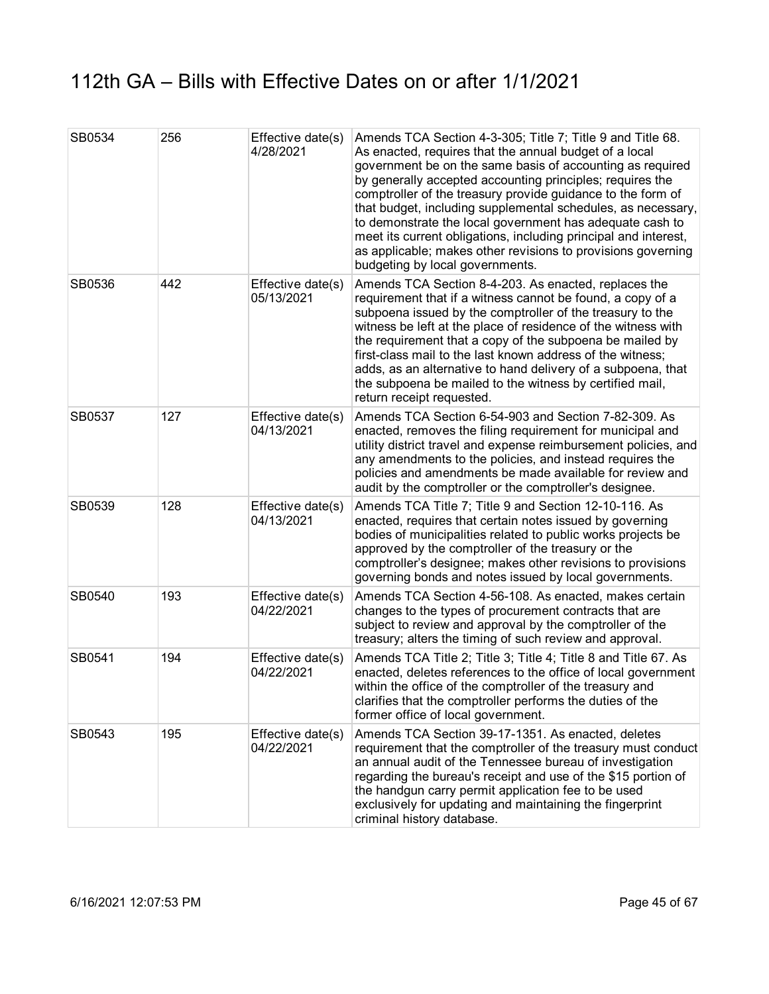| SB0534 | 256 | Effective date(s)<br>4/28/2021  | Amends TCA Section 4-3-305; Title 7; Title 9 and Title 68.<br>As enacted, requires that the annual budget of a local<br>government be on the same basis of accounting as required<br>by generally accepted accounting principles; requires the<br>comptroller of the treasury provide guidance to the form of<br>that budget, including supplemental schedules, as necessary,<br>to demonstrate the local government has adequate cash to<br>meet its current obligations, including principal and interest,<br>as applicable; makes other revisions to provisions governing<br>budgeting by local governments. |
|--------|-----|---------------------------------|-----------------------------------------------------------------------------------------------------------------------------------------------------------------------------------------------------------------------------------------------------------------------------------------------------------------------------------------------------------------------------------------------------------------------------------------------------------------------------------------------------------------------------------------------------------------------------------------------------------------|
| SB0536 | 442 | Effective date(s)<br>05/13/2021 | Amends TCA Section 8-4-203. As enacted, replaces the<br>requirement that if a witness cannot be found, a copy of a<br>subpoena issued by the comptroller of the treasury to the<br>witness be left at the place of residence of the witness with<br>the requirement that a copy of the subpoena be mailed by<br>first-class mail to the last known address of the witness;<br>adds, as an alternative to hand delivery of a subpoena, that<br>the subpoena be mailed to the witness by certified mail,<br>return receipt requested.                                                                             |
| SB0537 | 127 | Effective date(s)<br>04/13/2021 | Amends TCA Section 6-54-903 and Section 7-82-309. As<br>enacted, removes the filing requirement for municipal and<br>utility district travel and expense reimbursement policies, and<br>any amendments to the policies, and instead requires the<br>policies and amendments be made available for review and<br>audit by the comptroller or the comptroller's designee.                                                                                                                                                                                                                                         |
| SB0539 | 128 | Effective date(s)<br>04/13/2021 | Amends TCA Title 7; Title 9 and Section 12-10-116. As<br>enacted, requires that certain notes issued by governing<br>bodies of municipalities related to public works projects be<br>approved by the comptroller of the treasury or the<br>comptroller's designee; makes other revisions to provisions<br>governing bonds and notes issued by local governments.                                                                                                                                                                                                                                                |
| SB0540 | 193 | Effective date(s)<br>04/22/2021 | Amends TCA Section 4-56-108. As enacted, makes certain<br>changes to the types of procurement contracts that are<br>subject to review and approval by the comptroller of the<br>treasury; alters the timing of such review and approval.                                                                                                                                                                                                                                                                                                                                                                        |
| SB0541 | 194 | Effective date(s)<br>04/22/2021 | Amends TCA Title 2; Title 3; Title 4; Title 8 and Title 67. As<br>enacted, deletes references to the office of local government<br>within the office of the comptroller of the treasury and<br>clarifies that the comptroller performs the duties of the<br>former office of local government.                                                                                                                                                                                                                                                                                                                  |
| SB0543 | 195 | Effective date(s)<br>04/22/2021 | Amends TCA Section 39-17-1351. As enacted, deletes<br>requirement that the comptroller of the treasury must conduct<br>an annual audit of the Tennessee bureau of investigation<br>regarding the bureau's receipt and use of the \$15 portion of<br>the handgun carry permit application fee to be used<br>exclusively for updating and maintaining the fingerprint<br>criminal history database.                                                                                                                                                                                                               |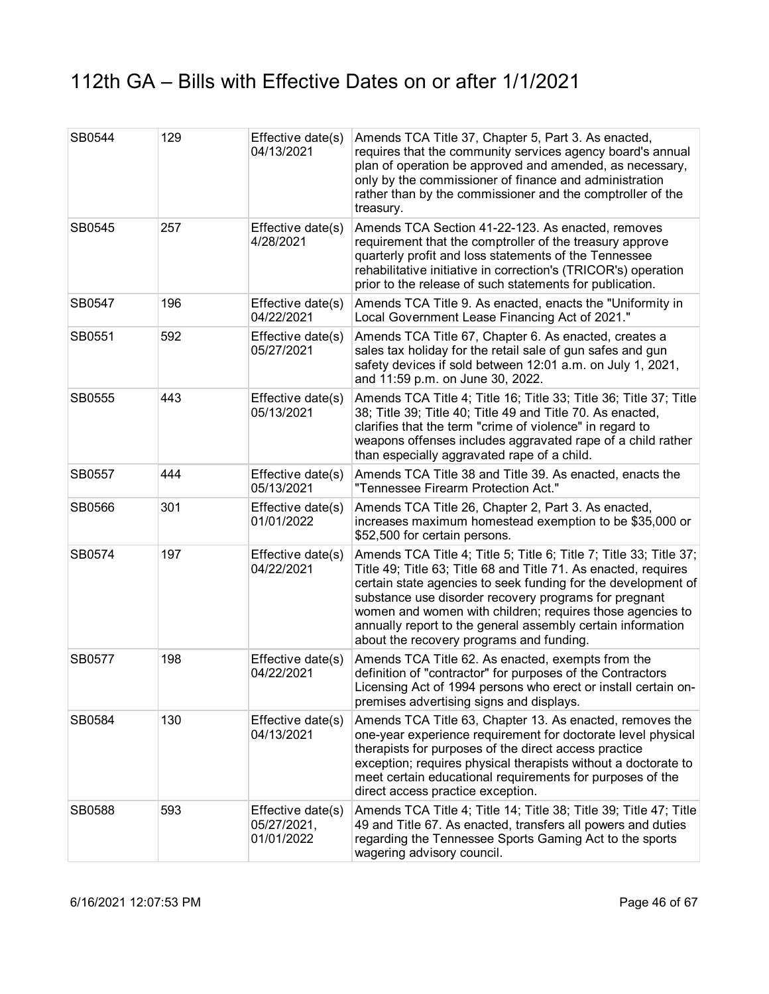| SB0544 | 129 | Effective date(s)<br>04/13/2021                | Amends TCA Title 37, Chapter 5, Part 3. As enacted,<br>requires that the community services agency board's annual<br>plan of operation be approved and amended, as necessary,<br>only by the commissioner of finance and administration<br>rather than by the commissioner and the comptroller of the<br>treasury.                                                                                                                      |
|--------|-----|------------------------------------------------|-----------------------------------------------------------------------------------------------------------------------------------------------------------------------------------------------------------------------------------------------------------------------------------------------------------------------------------------------------------------------------------------------------------------------------------------|
| SB0545 | 257 | Effective date(s)<br>4/28/2021                 | Amends TCA Section 41-22-123. As enacted, removes<br>requirement that the comptroller of the treasury approve<br>quarterly profit and loss statements of the Tennessee<br>rehabilitative initiative in correction's (TRICOR's) operation<br>prior to the release of such statements for publication.                                                                                                                                    |
| SB0547 | 196 | Effective date(s)<br>04/22/2021                | Amends TCA Title 9. As enacted, enacts the "Uniformity in<br>Local Government Lease Financing Act of 2021."                                                                                                                                                                                                                                                                                                                             |
| SB0551 | 592 | Effective date(s)<br>05/27/2021                | Amends TCA Title 67, Chapter 6. As enacted, creates a<br>sales tax holiday for the retail sale of gun safes and gun<br>safety devices if sold between 12:01 a.m. on July 1, 2021,<br>and 11:59 p.m. on June 30, 2022.                                                                                                                                                                                                                   |
| SB0555 | 443 | Effective date(s)<br>05/13/2021                | Amends TCA Title 4; Title 16; Title 33; Title 36; Title 37; Title<br>38; Title 39; Title 40; Title 49 and Title 70. As enacted,<br>clarifies that the term "crime of violence" in regard to<br>weapons offenses includes aggravated rape of a child rather<br>than especially aggravated rape of a child.                                                                                                                               |
| SB0557 | 444 | Effective date(s)<br>05/13/2021                | Amends TCA Title 38 and Title 39. As enacted, enacts the<br>"Tennessee Firearm Protection Act."                                                                                                                                                                                                                                                                                                                                         |
| SB0566 | 301 | Effective date(s)<br>01/01/2022                | Amends TCA Title 26, Chapter 2, Part 3. As enacted,<br>increases maximum homestead exemption to be \$35,000 or<br>\$52,500 for certain persons.                                                                                                                                                                                                                                                                                         |
| SB0574 | 197 | Effective date(s)<br>04/22/2021                | Amends TCA Title 4; Title 5; Title 6; Title 7; Title 33; Title 37;<br>Title 49; Title 63; Title 68 and Title 71. As enacted, requires<br>certain state agencies to seek funding for the development of<br>substance use disorder recovery programs for pregnant<br>women and women with children; requires those agencies to<br>annually report to the general assembly certain information<br>about the recovery programs and funding. |
| SB0577 | 198 | Effective date(s)<br>04/22/2021                | Amends TCA Title 62. As enacted, exempts from the<br>definition of "contractor" for purposes of the Contractors<br>Licensing Act of 1994 persons who erect or install certain on-<br>premises advertising signs and displays.                                                                                                                                                                                                           |
| SB0584 | 130 | Effective date(s)<br>04/13/2021                | Amends TCA Title 63, Chapter 13. As enacted, removes the<br>one-year experience requirement for doctorate level physical<br>therapists for purposes of the direct access practice<br>exception; requires physical therapists without a doctorate to<br>meet certain educational requirements for purposes of the<br>direct access practice exception.                                                                                   |
| SB0588 | 593 | Effective date(s)<br>05/27/2021,<br>01/01/2022 | Amends TCA Title 4; Title 14; Title 38; Title 39; Title 47; Title<br>49 and Title 67. As enacted, transfers all powers and duties<br>regarding the Tennessee Sports Gaming Act to the sports<br>wagering advisory council.                                                                                                                                                                                                              |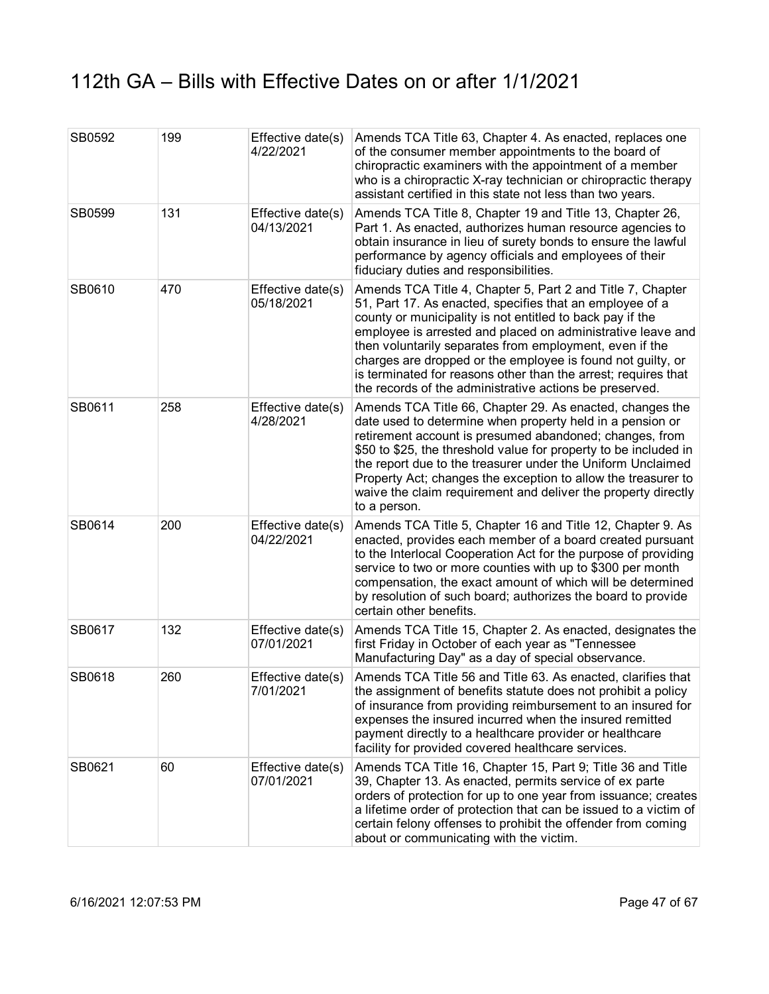| SB0592 | 199 | Effective date(s)<br>4/22/2021  | Amends TCA Title 63, Chapter 4. As enacted, replaces one<br>of the consumer member appointments to the board of<br>chiropractic examiners with the appointment of a member<br>who is a chiropractic X-ray technician or chiropractic therapy<br>assistant certified in this state not less than two years.                                                                                                                                                                                                |
|--------|-----|---------------------------------|-----------------------------------------------------------------------------------------------------------------------------------------------------------------------------------------------------------------------------------------------------------------------------------------------------------------------------------------------------------------------------------------------------------------------------------------------------------------------------------------------------------|
| SB0599 | 131 | Effective date(s)<br>04/13/2021 | Amends TCA Title 8, Chapter 19 and Title 13, Chapter 26,<br>Part 1. As enacted, authorizes human resource agencies to<br>obtain insurance in lieu of surety bonds to ensure the lawful<br>performance by agency officials and employees of their<br>fiduciary duties and responsibilities.                                                                                                                                                                                                                |
| SB0610 | 470 | Effective date(s)<br>05/18/2021 | Amends TCA Title 4, Chapter 5, Part 2 and Title 7, Chapter<br>51, Part 17. As enacted, specifies that an employee of a<br>county or municipality is not entitled to back pay if the<br>employee is arrested and placed on administrative leave and<br>then voluntarily separates from employment, even if the<br>charges are dropped or the employee is found not guilty, or<br>is terminated for reasons other than the arrest; requires that<br>the records of the administrative actions be preserved. |
| SB0611 | 258 | Effective date(s)<br>4/28/2021  | Amends TCA Title 66, Chapter 29. As enacted, changes the<br>date used to determine when property held in a pension or<br>retirement account is presumed abandoned; changes, from<br>\$50 to \$25, the threshold value for property to be included in<br>the report due to the treasurer under the Uniform Unclaimed<br>Property Act; changes the exception to allow the treasurer to<br>waive the claim requirement and deliver the property directly<br>to a person.                                     |
| SB0614 | 200 | Effective date(s)<br>04/22/2021 | Amends TCA Title 5, Chapter 16 and Title 12, Chapter 9. As<br>enacted, provides each member of a board created pursuant<br>to the Interlocal Cooperation Act for the purpose of providing<br>service to two or more counties with up to \$300 per month<br>compensation, the exact amount of which will be determined<br>by resolution of such board; authorizes the board to provide<br>certain other benefits.                                                                                          |
| SB0617 | 132 | Effective date(s)<br>07/01/2021 | Amends TCA Title 15, Chapter 2. As enacted, designates the<br>first Friday in October of each year as "Tennessee<br>Manufacturing Day" as a day of special observance.                                                                                                                                                                                                                                                                                                                                    |
| SB0618 | 260 | Effective date(s)<br>7/01/2021  | Amends TCA Title 56 and Title 63. As enacted, clarifies that<br>the assignment of benefits statute does not prohibit a policy<br>of insurance from providing reimbursement to an insured for<br>expenses the insured incurred when the insured remitted<br>payment directly to a healthcare provider or healthcare<br>facility for provided covered healthcare services.                                                                                                                                  |
| SB0621 | 60  | Effective date(s)<br>07/01/2021 | Amends TCA Title 16, Chapter 15, Part 9; Title 36 and Title<br>39, Chapter 13. As enacted, permits service of ex parte<br>orders of protection for up to one year from issuance; creates<br>a lifetime order of protection that can be issued to a victim of<br>certain felony offenses to prohibit the offender from coming<br>about or communicating with the victim.                                                                                                                                   |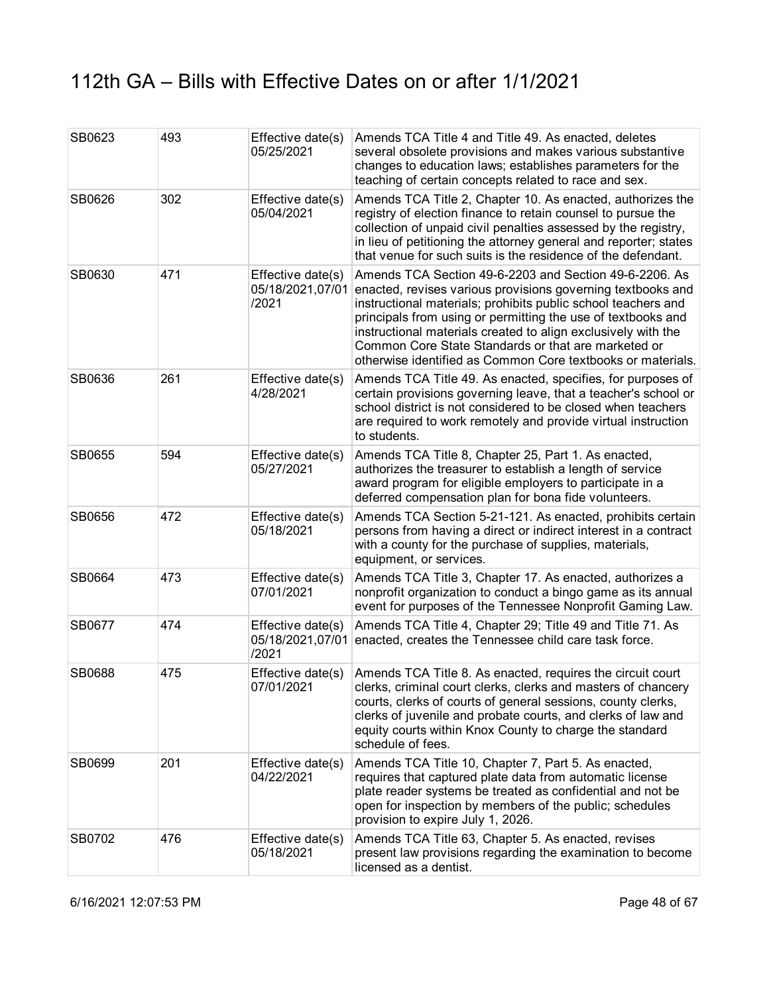| SB0623 | 493 | Effective date(s)<br>05/25/2021                | Amends TCA Title 4 and Title 49. As enacted, deletes<br>several obsolete provisions and makes various substantive<br>changes to education laws; establishes parameters for the<br>teaching of certain concepts related to race and sex.                                                                                                                                                                                                       |
|--------|-----|------------------------------------------------|-----------------------------------------------------------------------------------------------------------------------------------------------------------------------------------------------------------------------------------------------------------------------------------------------------------------------------------------------------------------------------------------------------------------------------------------------|
| SB0626 | 302 | Effective date(s)<br>05/04/2021                | Amends TCA Title 2, Chapter 10. As enacted, authorizes the<br>registry of election finance to retain counsel to pursue the<br>collection of unpaid civil penalties assessed by the registry,<br>in lieu of petitioning the attorney general and reporter; states<br>that venue for such suits is the residence of the defendant.                                                                                                              |
| SB0630 | 471 | Effective date(s)<br>05/18/2021,07/01<br>/2021 | Amends TCA Section 49-6-2203 and Section 49-6-2206. As<br>enacted, revises various provisions governing textbooks and<br>instructional materials; prohibits public school teachers and<br>principals from using or permitting the use of textbooks and<br>instructional materials created to align exclusively with the<br>Common Core State Standards or that are marketed or<br>otherwise identified as Common Core textbooks or materials. |
| SB0636 | 261 | Effective date(s)<br>4/28/2021                 | Amends TCA Title 49. As enacted, specifies, for purposes of<br>certain provisions governing leave, that a teacher's school or<br>school district is not considered to be closed when teachers<br>are required to work remotely and provide virtual instruction<br>to students.                                                                                                                                                                |
| SB0655 | 594 | Effective date(s)<br>05/27/2021                | Amends TCA Title 8, Chapter 25, Part 1. As enacted,<br>authorizes the treasurer to establish a length of service<br>award program for eligible employers to participate in a<br>deferred compensation plan for bona fide volunteers.                                                                                                                                                                                                          |
| SB0656 | 472 | Effective date(s)<br>05/18/2021                | Amends TCA Section 5-21-121. As enacted, prohibits certain<br>persons from having a direct or indirect interest in a contract<br>with a county for the purchase of supplies, materials,<br>equipment, or services.                                                                                                                                                                                                                            |
| SB0664 | 473 | Effective date(s)<br>07/01/2021                | Amends TCA Title 3, Chapter 17. As enacted, authorizes a<br>nonprofit organization to conduct a bingo game as its annual<br>event for purposes of the Tennessee Nonprofit Gaming Law.                                                                                                                                                                                                                                                         |
| SB0677 | 474 | Effective date(s)<br>05/18/2021,07/01<br>/2021 | Amends TCA Title 4, Chapter 29; Title 49 and Title 71. As<br>enacted, creates the Tennessee child care task force.                                                                                                                                                                                                                                                                                                                            |
| SB0688 | 475 | Effective date(s)<br>07/01/2021                | Amends TCA Title 8. As enacted, requires the circuit court<br>clerks, criminal court clerks, clerks and masters of chancery<br>courts, clerks of courts of general sessions, county clerks,<br>clerks of juvenile and probate courts, and clerks of law and<br>equity courts within Knox County to charge the standard<br>schedule of fees.                                                                                                   |
| SB0699 | 201 | Effective date(s)<br>04/22/2021                | Amends TCA Title 10, Chapter 7, Part 5. As enacted,<br>requires that captured plate data from automatic license<br>plate reader systems be treated as confidential and not be<br>open for inspection by members of the public; schedules<br>provision to expire July 1, 2026.                                                                                                                                                                 |
| SB0702 | 476 | Effective date(s)<br>05/18/2021                | Amends TCA Title 63, Chapter 5. As enacted, revises<br>present law provisions regarding the examination to become<br>licensed as a dentist.                                                                                                                                                                                                                                                                                                   |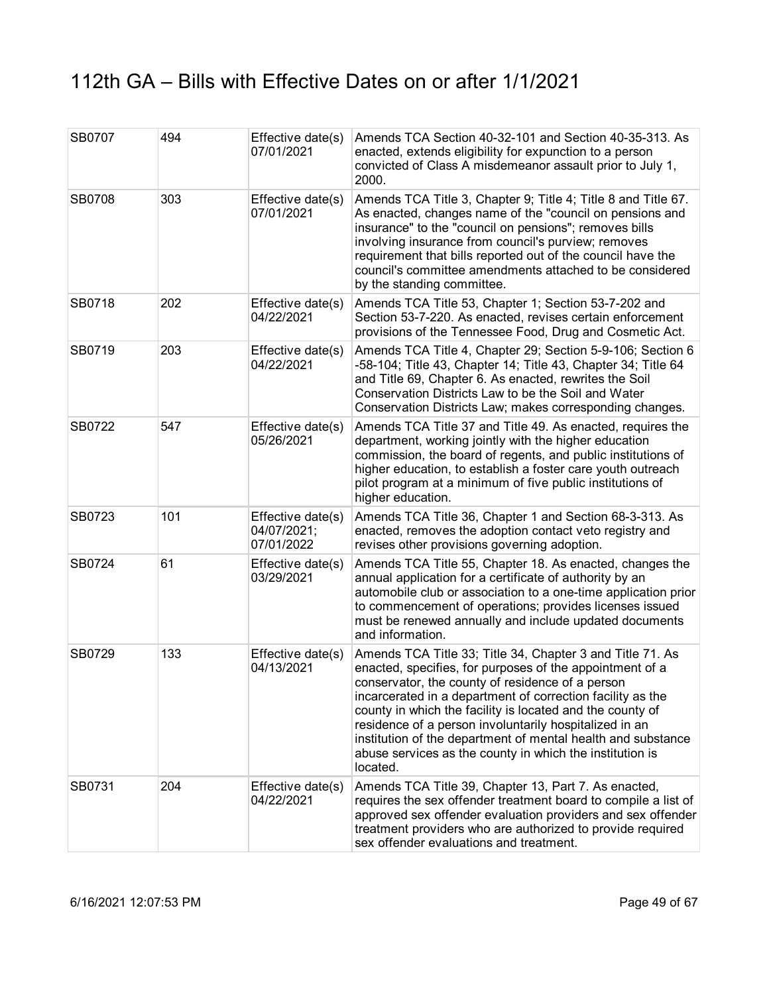| SB0707        | 494 | Effective date(s)<br>07/01/2021                | Amends TCA Section 40-32-101 and Section 40-35-313. As<br>enacted, extends eligibility for expunction to a person<br>convicted of Class A misdemeanor assault prior to July 1,<br>2000.                                                                                                                                                                                                                                                                                                                |
|---------------|-----|------------------------------------------------|--------------------------------------------------------------------------------------------------------------------------------------------------------------------------------------------------------------------------------------------------------------------------------------------------------------------------------------------------------------------------------------------------------------------------------------------------------------------------------------------------------|
| <b>SB0708</b> | 303 | Effective date(s)<br>07/01/2021                | Amends TCA Title 3, Chapter 9; Title 4; Title 8 and Title 67.<br>As enacted, changes name of the "council on pensions and<br>insurance" to the "council on pensions"; removes bills<br>involving insurance from council's purview; removes<br>requirement that bills reported out of the council have the<br>council's committee amendments attached to be considered<br>by the standing committee.                                                                                                    |
| SB0718        | 202 | Effective date(s)<br>04/22/2021                | Amends TCA Title 53, Chapter 1; Section 53-7-202 and<br>Section 53-7-220. As enacted, revises certain enforcement<br>provisions of the Tennessee Food, Drug and Cosmetic Act.                                                                                                                                                                                                                                                                                                                          |
| SB0719        | 203 | Effective date(s)<br>04/22/2021                | Amends TCA Title 4, Chapter 29; Section 5-9-106; Section 6<br>-58-104; Title 43, Chapter 14; Title 43, Chapter 34; Title 64<br>and Title 69, Chapter 6. As enacted, rewrites the Soil<br>Conservation Districts Law to be the Soil and Water<br>Conservation Districts Law; makes corresponding changes.                                                                                                                                                                                               |
| SB0722        | 547 | Effective date(s)<br>05/26/2021                | Amends TCA Title 37 and Title 49. As enacted, requires the<br>department, working jointly with the higher education<br>commission, the board of regents, and public institutions of<br>higher education, to establish a foster care youth outreach<br>pilot program at a minimum of five public institutions of<br>higher education.                                                                                                                                                                   |
| SB0723        | 101 | Effective date(s)<br>04/07/2021;<br>07/01/2022 | Amends TCA Title 36, Chapter 1 and Section 68-3-313. As<br>enacted, removes the adoption contact veto registry and<br>revises other provisions governing adoption.                                                                                                                                                                                                                                                                                                                                     |
| SB0724        | 61  | Effective date(s)<br>03/29/2021                | Amends TCA Title 55, Chapter 18. As enacted, changes the<br>annual application for a certificate of authority by an<br>automobile club or association to a one-time application prior<br>to commencement of operations; provides licenses issued<br>must be renewed annually and include updated documents<br>and information.                                                                                                                                                                         |
| SB0729        | 133 | Effective date(s)<br>04/13/2021                | Amends TCA Title 33; Title 34, Chapter 3 and Title 71. As<br>enacted, specifies, for purposes of the appointment of a<br>conservator, the county of residence of a person<br>incarcerated in a department of correction facility as the<br>county in which the facility is located and the county of<br>residence of a person involuntarily hospitalized in an<br>institution of the department of mental health and substance<br>abuse services as the county in which the institution is<br>located. |
| <b>SB0731</b> | 204 | Effective date(s)<br>04/22/2021                | Amends TCA Title 39, Chapter 13, Part 7. As enacted,<br>requires the sex offender treatment board to compile a list of<br>approved sex offender evaluation providers and sex offender<br>treatment providers who are authorized to provide required<br>sex offender evaluations and treatment.                                                                                                                                                                                                         |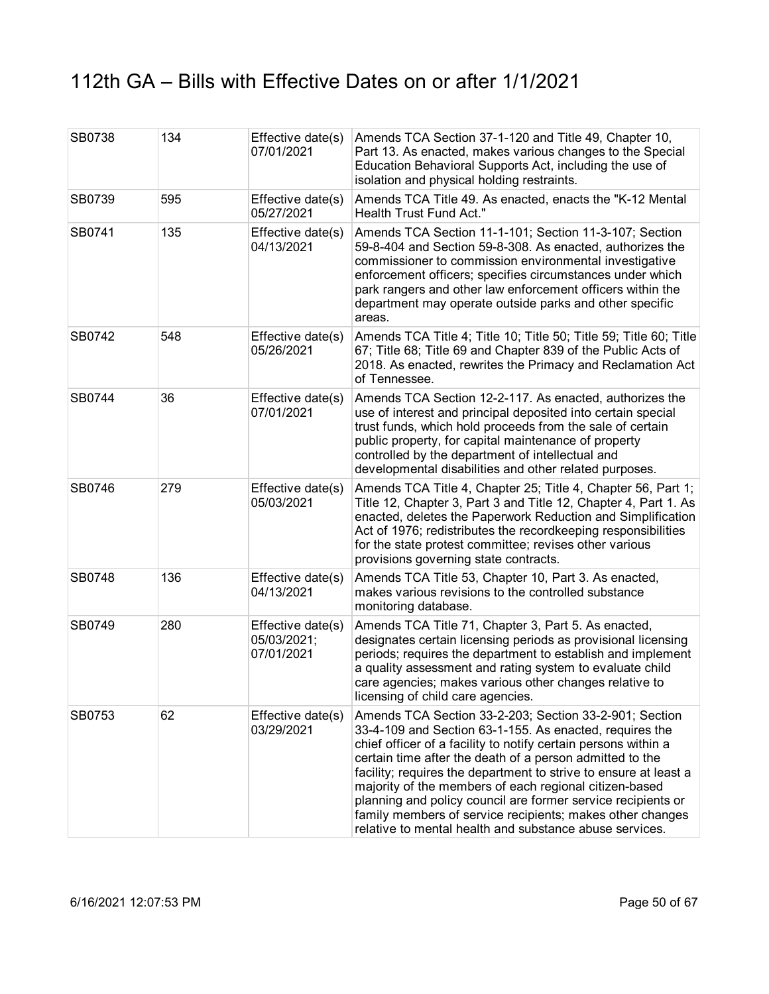| SB0738 | 134 | Effective date(s)<br>07/01/2021                | Amends TCA Section 37-1-120 and Title 49, Chapter 10,<br>Part 13. As enacted, makes various changes to the Special<br>Education Behavioral Supports Act, including the use of<br>isolation and physical holding restraints.                                                                                                                                                                                                                                                                                                                                           |
|--------|-----|------------------------------------------------|-----------------------------------------------------------------------------------------------------------------------------------------------------------------------------------------------------------------------------------------------------------------------------------------------------------------------------------------------------------------------------------------------------------------------------------------------------------------------------------------------------------------------------------------------------------------------|
| SB0739 | 595 | Effective date(s)<br>05/27/2021                | Amends TCA Title 49. As enacted, enacts the "K-12 Mental<br>Health Trust Fund Act."                                                                                                                                                                                                                                                                                                                                                                                                                                                                                   |
| SB0741 | 135 | Effective date(s)<br>04/13/2021                | Amends TCA Section 11-1-101; Section 11-3-107; Section<br>59-8-404 and Section 59-8-308. As enacted, authorizes the<br>commissioner to commission environmental investigative<br>enforcement officers; specifies circumstances under which<br>park rangers and other law enforcement officers within the<br>department may operate outside parks and other specific<br>areas.                                                                                                                                                                                         |
| SB0742 | 548 | Effective date(s)<br>05/26/2021                | Amends TCA Title 4; Title 10; Title 50; Title 59; Title 60; Title<br>67; Title 68; Title 69 and Chapter 839 of the Public Acts of<br>2018. As enacted, rewrites the Primacy and Reclamation Act<br>of Tennessee.                                                                                                                                                                                                                                                                                                                                                      |
| SB0744 | 36  | Effective date(s)<br>07/01/2021                | Amends TCA Section 12-2-117. As enacted, authorizes the<br>use of interest and principal deposited into certain special<br>trust funds, which hold proceeds from the sale of certain<br>public property, for capital maintenance of property<br>controlled by the department of intellectual and<br>developmental disabilities and other related purposes.                                                                                                                                                                                                            |
| SB0746 | 279 | Effective date(s)<br>05/03/2021                | Amends TCA Title 4, Chapter 25; Title 4, Chapter 56, Part 1;<br>Title 12, Chapter 3, Part 3 and Title 12, Chapter 4, Part 1. As<br>enacted, deletes the Paperwork Reduction and Simplification<br>Act of 1976; redistributes the recordkeeping responsibilities<br>for the state protest committee; revises other various<br>provisions governing state contracts.                                                                                                                                                                                                    |
| SB0748 | 136 | Effective date(s)<br>04/13/2021                | Amends TCA Title 53, Chapter 10, Part 3. As enacted,<br>makes various revisions to the controlled substance<br>monitoring database.                                                                                                                                                                                                                                                                                                                                                                                                                                   |
| SB0749 | 280 | Effective date(s)<br>05/03/2021;<br>07/01/2021 | Amends TCA Title 71, Chapter 3, Part 5. As enacted,<br>designates certain licensing periods as provisional licensing<br>periods; requires the department to establish and implement<br>a quality assessment and rating system to evaluate child<br>care agencies; makes various other changes relative to<br>licensing of child care agencies.                                                                                                                                                                                                                        |
| SB0753 | 62  | Effective date(s)<br>03/29/2021                | Amends TCA Section 33-2-203; Section 33-2-901; Section<br>33-4-109 and Section 63-1-155. As enacted, requires the<br>chief officer of a facility to notify certain persons within a<br>certain time after the death of a person admitted to the<br>facility; requires the department to strive to ensure at least a<br>majority of the members of each regional citizen-based<br>planning and policy council are former service recipients or<br>family members of service recipients; makes other changes<br>relative to mental health and substance abuse services. |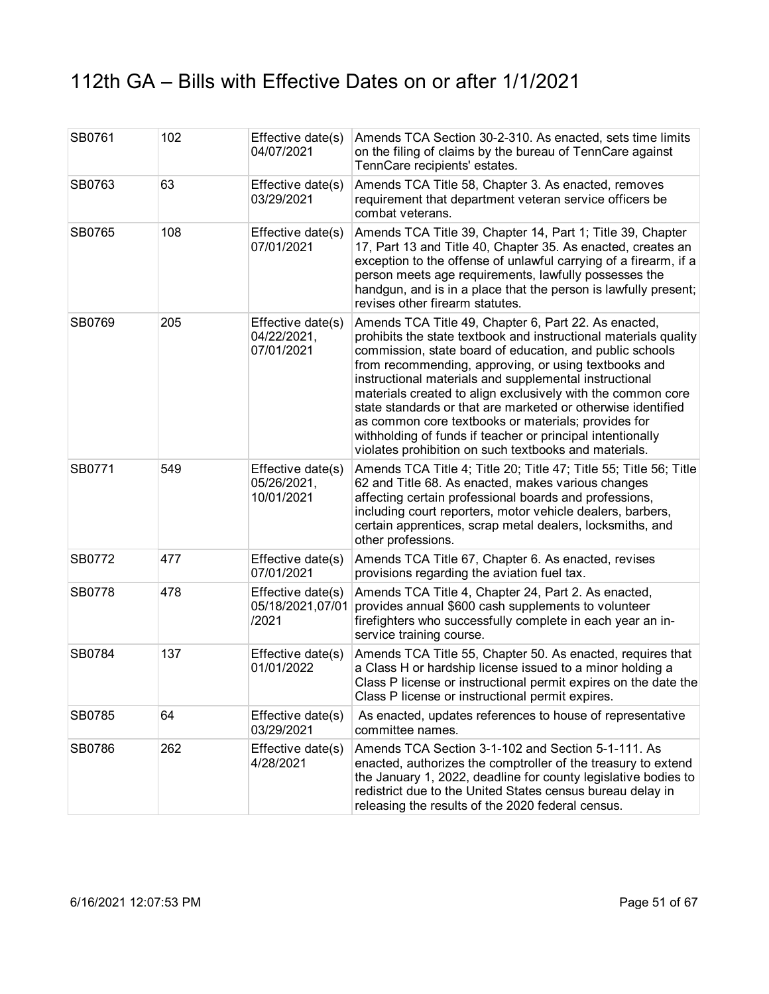| SB0761 | 102 | Effective date(s)<br>04/07/2021                | Amends TCA Section 30-2-310. As enacted, sets time limits<br>on the filing of claims by the bureau of TennCare against<br>TennCare recipients' estates.                                                                                                                                                                                                                                                                                                                                                                                                                                                             |
|--------|-----|------------------------------------------------|---------------------------------------------------------------------------------------------------------------------------------------------------------------------------------------------------------------------------------------------------------------------------------------------------------------------------------------------------------------------------------------------------------------------------------------------------------------------------------------------------------------------------------------------------------------------------------------------------------------------|
| SB0763 | 63  | Effective date(s)<br>03/29/2021                | Amends TCA Title 58, Chapter 3. As enacted, removes<br>requirement that department veteran service officers be<br>combat veterans.                                                                                                                                                                                                                                                                                                                                                                                                                                                                                  |
| SB0765 | 108 | Effective date(s)<br>07/01/2021                | Amends TCA Title 39, Chapter 14, Part 1; Title 39, Chapter<br>17, Part 13 and Title 40, Chapter 35. As enacted, creates an<br>exception to the offense of unlawful carrying of a firearm, if a<br>person meets age requirements, lawfully possesses the<br>handgun, and is in a place that the person is lawfully present;<br>revises other firearm statutes.                                                                                                                                                                                                                                                       |
| SB0769 | 205 | Effective date(s)<br>04/22/2021,<br>07/01/2021 | Amends TCA Title 49, Chapter 6, Part 22. As enacted,<br>prohibits the state textbook and instructional materials quality<br>commission, state board of education, and public schools<br>from recommending, approving, or using textbooks and<br>instructional materials and supplemental instructional<br>materials created to align exclusively with the common core<br>state standards or that are marketed or otherwise identified<br>as common core textbooks or materials; provides for<br>withholding of funds if teacher or principal intentionally<br>violates prohibition on such textbooks and materials. |
| SB0771 | 549 | Effective date(s)<br>05/26/2021,<br>10/01/2021 | Amends TCA Title 4; Title 20; Title 47; Title 55; Title 56; Title<br>62 and Title 68. As enacted, makes various changes<br>affecting certain professional boards and professions,<br>including court reporters, motor vehicle dealers, barbers,<br>certain apprentices, scrap metal dealers, locksmiths, and<br>other professions.                                                                                                                                                                                                                                                                                  |
| SB0772 | 477 | Effective date(s)<br>07/01/2021                | Amends TCA Title 67, Chapter 6. As enacted, revises<br>provisions regarding the aviation fuel tax.                                                                                                                                                                                                                                                                                                                                                                                                                                                                                                                  |
| SB0778 | 478 | Effective date(s)<br>05/18/2021,07/01<br>/2021 | Amends TCA Title 4, Chapter 24, Part 2. As enacted,<br>provides annual \$600 cash supplements to volunteer<br>firefighters who successfully complete in each year an in-<br>service training course.                                                                                                                                                                                                                                                                                                                                                                                                                |
| SB0784 | 137 | Effective date(s)<br>01/01/2022                | Amends TCA Title 55, Chapter 50. As enacted, requires that<br>a Class H or hardship license issued to a minor holding a<br>Class P license or instructional permit expires on the date the<br>Class P license or instructional permit expires.                                                                                                                                                                                                                                                                                                                                                                      |
| SB0785 | 64  | Effective date(s)<br>03/29/2021                | As enacted, updates references to house of representative<br>committee names.                                                                                                                                                                                                                                                                                                                                                                                                                                                                                                                                       |
| SB0786 | 262 | Effective date(s)<br>4/28/2021                 | Amends TCA Section 3-1-102 and Section 5-1-111. As<br>enacted, authorizes the comptroller of the treasury to extend<br>the January 1, 2022, deadline for county legislative bodies to<br>redistrict due to the United States census bureau delay in<br>releasing the results of the 2020 federal census.                                                                                                                                                                                                                                                                                                            |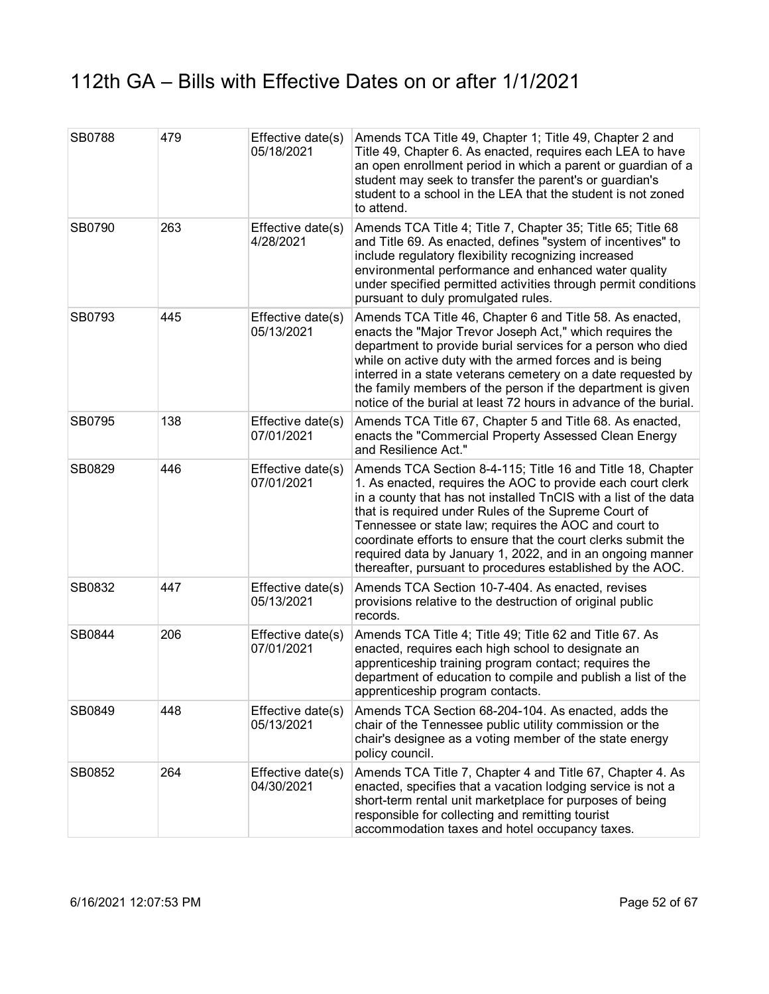| <b>SB0788</b> | 479 | Effective date(s)<br>05/18/2021 | Amends TCA Title 49, Chapter 1; Title 49, Chapter 2 and<br>Title 49, Chapter 6. As enacted, requires each LEA to have<br>an open enrollment period in which a parent or guardian of a<br>student may seek to transfer the parent's or guardian's<br>student to a school in the LEA that the student is not zoned<br>to attend.                                                                                                                                                                              |
|---------------|-----|---------------------------------|-------------------------------------------------------------------------------------------------------------------------------------------------------------------------------------------------------------------------------------------------------------------------------------------------------------------------------------------------------------------------------------------------------------------------------------------------------------------------------------------------------------|
| SB0790        | 263 | Effective date(s)<br>4/28/2021  | Amends TCA Title 4; Title 7, Chapter 35; Title 65; Title 68<br>and Title 69. As enacted, defines "system of incentives" to<br>include regulatory flexibility recognizing increased<br>environmental performance and enhanced water quality<br>under specified permitted activities through permit conditions<br>pursuant to duly promulgated rules.                                                                                                                                                         |
| SB0793        | 445 | Effective date(s)<br>05/13/2021 | Amends TCA Title 46, Chapter 6 and Title 58. As enacted,<br>enacts the "Major Trevor Joseph Act," which requires the<br>department to provide burial services for a person who died<br>while on active duty with the armed forces and is being<br>interred in a state veterans cemetery on a date requested by<br>the family members of the person if the department is given<br>notice of the burial at least 72 hours in advance of the burial.                                                           |
| SB0795        | 138 | Effective date(s)<br>07/01/2021 | Amends TCA Title 67, Chapter 5 and Title 68. As enacted,<br>enacts the "Commercial Property Assessed Clean Energy<br>and Resilience Act."                                                                                                                                                                                                                                                                                                                                                                   |
| SB0829        | 446 | Effective date(s)<br>07/01/2021 | Amends TCA Section 8-4-115; Title 16 and Title 18, Chapter<br>1. As enacted, requires the AOC to provide each court clerk<br>in a county that has not installed TnCIS with a list of the data<br>that is required under Rules of the Supreme Court of<br>Tennessee or state law; requires the AOC and court to<br>coordinate efforts to ensure that the court clerks submit the<br>required data by January 1, 2022, and in an ongoing manner<br>thereafter, pursuant to procedures established by the AOC. |
| SB0832        | 447 | Effective date(s)<br>05/13/2021 | Amends TCA Section 10-7-404. As enacted, revises<br>provisions relative to the destruction of original public<br>records.                                                                                                                                                                                                                                                                                                                                                                                   |
| SB0844        | 206 | Effective date(s)<br>07/01/2021 | Amends TCA Title 4; Title 49; Title 62 and Title 67. As<br>enacted, requires each high school to designate an<br>apprenticeship training program contact; requires the<br>department of education to compile and publish a list of the<br>apprenticeship program contacts.                                                                                                                                                                                                                                  |
| SB0849        | 448 | Effective date(s)<br>05/13/2021 | Amends TCA Section 68-204-104. As enacted, adds the<br>chair of the Tennessee public utility commission or the<br>chair's designee as a voting member of the state energy<br>policy council.                                                                                                                                                                                                                                                                                                                |
| SB0852        | 264 | Effective date(s)<br>04/30/2021 | Amends TCA Title 7, Chapter 4 and Title 67, Chapter 4. As<br>enacted, specifies that a vacation lodging service is not a<br>short-term rental unit marketplace for purposes of being<br>responsible for collecting and remitting tourist<br>accommodation taxes and hotel occupancy taxes.                                                                                                                                                                                                                  |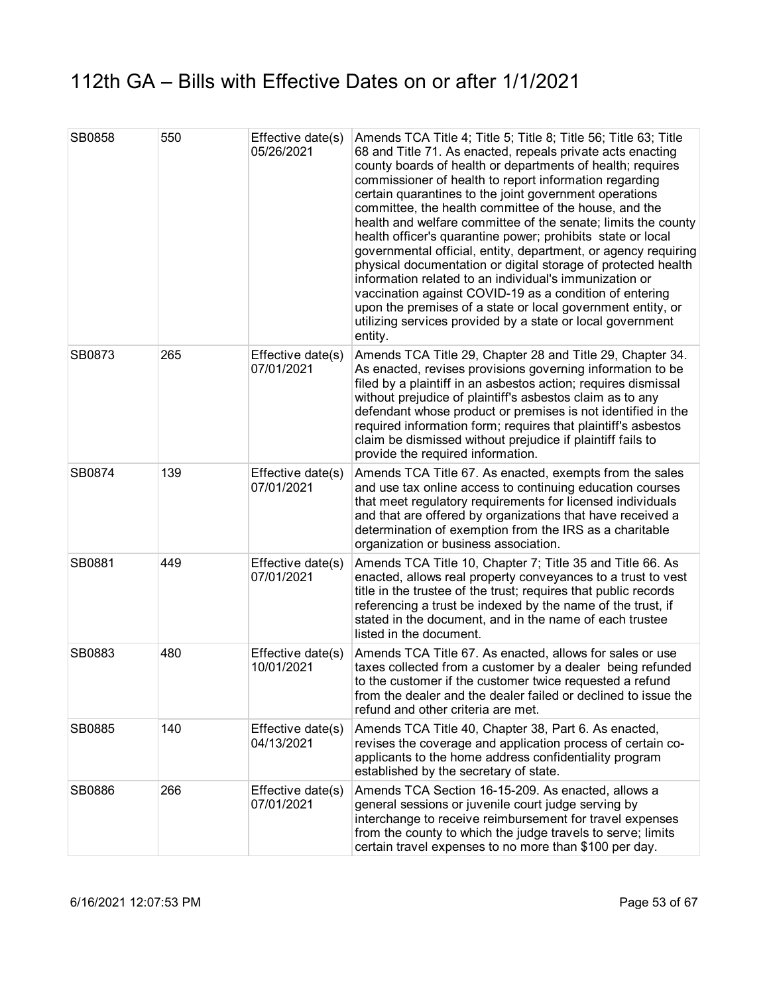| SB0858 | 550 | Effective date(s)<br>05/26/2021 | Amends TCA Title 4; Title 5; Title 8; Title 56; Title 63; Title<br>68 and Title 71. As enacted, repeals private acts enacting<br>county boards of health or departments of health; requires<br>commissioner of health to report information regarding<br>certain quarantines to the joint government operations<br>committee, the health committee of the house, and the<br>health and welfare committee of the senate; limits the county<br>health officer's quarantine power; prohibits state or local<br>governmental official, entity, department, or agency requiring<br>physical documentation or digital storage of protected health<br>information related to an individual's immunization or<br>vaccination against COVID-19 as a condition of entering<br>upon the premises of a state or local government entity, or<br>utilizing services provided by a state or local government<br>entity. |
|--------|-----|---------------------------------|----------------------------------------------------------------------------------------------------------------------------------------------------------------------------------------------------------------------------------------------------------------------------------------------------------------------------------------------------------------------------------------------------------------------------------------------------------------------------------------------------------------------------------------------------------------------------------------------------------------------------------------------------------------------------------------------------------------------------------------------------------------------------------------------------------------------------------------------------------------------------------------------------------|
| SB0873 | 265 | Effective date(s)<br>07/01/2021 | Amends TCA Title 29, Chapter 28 and Title 29, Chapter 34.<br>As enacted, revises provisions governing information to be<br>filed by a plaintiff in an asbestos action; requires dismissal<br>without prejudice of plaintiff's asbestos claim as to any<br>defendant whose product or premises is not identified in the<br>required information form; requires that plaintiff's asbestos<br>claim be dismissed without prejudice if plaintiff fails to<br>provide the required information.                                                                                                                                                                                                                                                                                                                                                                                                               |
| SB0874 | 139 | Effective date(s)<br>07/01/2021 | Amends TCA Title 67. As enacted, exempts from the sales<br>and use tax online access to continuing education courses<br>that meet regulatory requirements for licensed individuals<br>and that are offered by organizations that have received a<br>determination of exemption from the IRS as a charitable<br>organization or business association.                                                                                                                                                                                                                                                                                                                                                                                                                                                                                                                                                     |
| SB0881 | 449 | Effective date(s)<br>07/01/2021 | Amends TCA Title 10, Chapter 7; Title 35 and Title 66. As<br>enacted, allows real property conveyances to a trust to vest<br>title in the trustee of the trust; requires that public records<br>referencing a trust be indexed by the name of the trust, if<br>stated in the document, and in the name of each trustee<br>listed in the document.                                                                                                                                                                                                                                                                                                                                                                                                                                                                                                                                                        |
| SB0883 | 480 | Effective date(s)<br>10/01/2021 | Amends TCA Title 67. As enacted, allows for sales or use<br>taxes collected from a customer by a dealer being refunded<br>to the customer if the customer twice requested a refund<br>from the dealer and the dealer failed or declined to issue the<br>refund and other criteria are met.                                                                                                                                                                                                                                                                                                                                                                                                                                                                                                                                                                                                               |
| SB0885 | 140 | Effective date(s)<br>04/13/2021 | Amends TCA Title 40, Chapter 38, Part 6. As enacted,<br>revises the coverage and application process of certain co-<br>applicants to the home address confidentiality program<br>established by the secretary of state.                                                                                                                                                                                                                                                                                                                                                                                                                                                                                                                                                                                                                                                                                  |
| SB0886 | 266 | Effective date(s)<br>07/01/2021 | Amends TCA Section 16-15-209. As enacted, allows a<br>general sessions or juvenile court judge serving by<br>interchange to receive reimbursement for travel expenses<br>from the county to which the judge travels to serve; limits<br>certain travel expenses to no more than \$100 per day.                                                                                                                                                                                                                                                                                                                                                                                                                                                                                                                                                                                                           |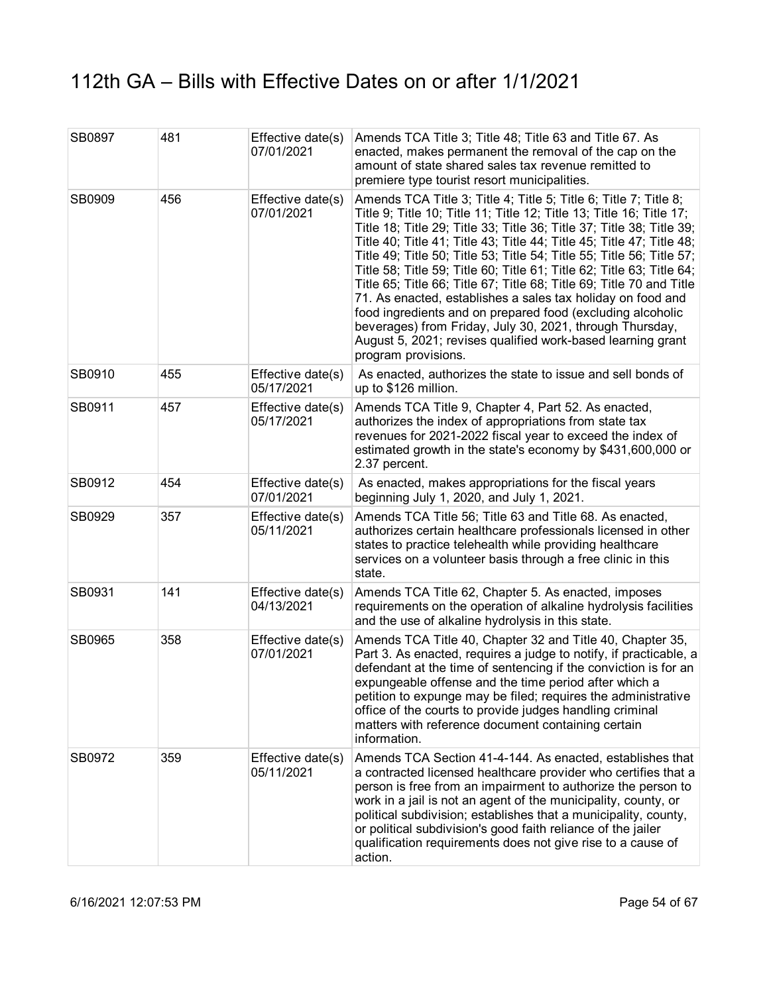| SB0897 | 481 | Effective date(s)<br>07/01/2021 | Amends TCA Title 3; Title 48; Title 63 and Title 67. As<br>enacted, makes permanent the removal of the cap on the<br>amount of state shared sales tax revenue remitted to<br>premiere type tourist resort municipalities.                                                                                                                                                                                                                                                                                                                                                                                                                                                                                                                                                                           |
|--------|-----|---------------------------------|-----------------------------------------------------------------------------------------------------------------------------------------------------------------------------------------------------------------------------------------------------------------------------------------------------------------------------------------------------------------------------------------------------------------------------------------------------------------------------------------------------------------------------------------------------------------------------------------------------------------------------------------------------------------------------------------------------------------------------------------------------------------------------------------------------|
| SB0909 | 456 | Effective date(s)<br>07/01/2021 | Amends TCA Title 3; Title 4; Title 5; Title 6; Title 7; Title 8;<br>Title 9; Title 10; Title 11; Title 12; Title 13; Title 16; Title 17;<br>Title 18; Title 29; Title 33; Title 36; Title 37; Title 38; Title 39;<br>Title 40; Title 41; Title 43; Title 44; Title 45; Title 47; Title 48;<br>Title 49; Title 50; Title 53; Title 54; Title 55; Title 56; Title 57;<br>Title 58; Title 59; Title 60; Title 61; Title 62; Title 63; Title 64;<br>Title 65; Title 66; Title 67; Title 68; Title 69; Title 70 and Title<br>71. As enacted, establishes a sales tax holiday on food and<br>food ingredients and on prepared food (excluding alcoholic<br>beverages) from Friday, July 30, 2021, through Thursday,<br>August 5, 2021; revises qualified work-based learning grant<br>program provisions. |
| SB0910 | 455 | Effective date(s)<br>05/17/2021 | As enacted, authorizes the state to issue and sell bonds of<br>up to \$126 million.                                                                                                                                                                                                                                                                                                                                                                                                                                                                                                                                                                                                                                                                                                                 |
| SB0911 | 457 | Effective date(s)<br>05/17/2021 | Amends TCA Title 9, Chapter 4, Part 52. As enacted,<br>authorizes the index of appropriations from state tax<br>revenues for 2021-2022 fiscal year to exceed the index of<br>estimated growth in the state's economy by \$431,600,000 or<br>2.37 percent.                                                                                                                                                                                                                                                                                                                                                                                                                                                                                                                                           |
| SB0912 | 454 | Effective date(s)<br>07/01/2021 | As enacted, makes appropriations for the fiscal years<br>beginning July 1, 2020, and July 1, 2021.                                                                                                                                                                                                                                                                                                                                                                                                                                                                                                                                                                                                                                                                                                  |
| SB0929 | 357 | Effective date(s)<br>05/11/2021 | Amends TCA Title 56; Title 63 and Title 68. As enacted,<br>authorizes certain healthcare professionals licensed in other<br>states to practice telehealth while providing healthcare<br>services on a volunteer basis through a free clinic in this<br>state.                                                                                                                                                                                                                                                                                                                                                                                                                                                                                                                                       |
| SB0931 | 141 | Effective date(s)<br>04/13/2021 | Amends TCA Title 62, Chapter 5. As enacted, imposes<br>requirements on the operation of alkaline hydrolysis facilities<br>and the use of alkaline hydrolysis in this state.                                                                                                                                                                                                                                                                                                                                                                                                                                                                                                                                                                                                                         |
| SB0965 | 358 | Effective date(s)<br>07/01/2021 | Amends TCA Title 40, Chapter 32 and Title 40, Chapter 35,<br>Part 3. As enacted, requires a judge to notify, if practicable, a<br>defendant at the time of sentencing if the conviction is for an<br>expungeable offense and the time period after which a<br>petition to expunge may be filed; requires the administrative<br>office of the courts to provide judges handling criminal<br>matters with reference document containing certain<br>information.                                                                                                                                                                                                                                                                                                                                       |
| SB0972 | 359 | Effective date(s)<br>05/11/2021 | Amends TCA Section 41-4-144. As enacted, establishes that<br>a contracted licensed healthcare provider who certifies that a<br>person is free from an impairment to authorize the person to<br>work in a jail is not an agent of the municipality, county, or<br>political subdivision; establishes that a municipality, county,<br>or political subdivision's good faith reliance of the jailer<br>qualification requirements does not give rise to a cause of<br>action.                                                                                                                                                                                                                                                                                                                          |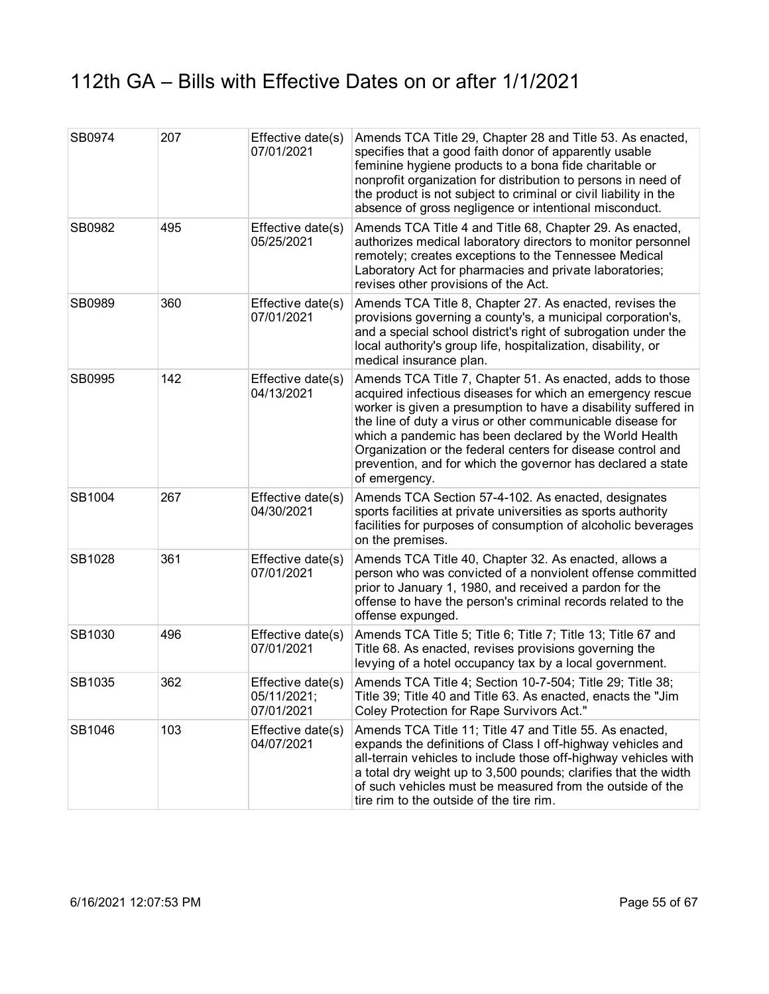| SB0974 | 207 | Effective date(s)<br>07/01/2021                | Amends TCA Title 29, Chapter 28 and Title 53. As enacted,<br>specifies that a good faith donor of apparently usable<br>feminine hygiene products to a bona fide charitable or<br>nonprofit organization for distribution to persons in need of<br>the product is not subject to criminal or civil liability in the<br>absence of gross negligence or intentional misconduct.                                                                                     |
|--------|-----|------------------------------------------------|------------------------------------------------------------------------------------------------------------------------------------------------------------------------------------------------------------------------------------------------------------------------------------------------------------------------------------------------------------------------------------------------------------------------------------------------------------------|
| SB0982 | 495 | Effective date(s)<br>05/25/2021                | Amends TCA Title 4 and Title 68, Chapter 29. As enacted,<br>authorizes medical laboratory directors to monitor personnel<br>remotely; creates exceptions to the Tennessee Medical<br>Laboratory Act for pharmacies and private laboratories;<br>revises other provisions of the Act.                                                                                                                                                                             |
| SB0989 | 360 | Effective date(s)<br>07/01/2021                | Amends TCA Title 8, Chapter 27. As enacted, revises the<br>provisions governing a county's, a municipal corporation's,<br>and a special school district's right of subrogation under the<br>local authority's group life, hospitalization, disability, or<br>medical insurance plan.                                                                                                                                                                             |
| SB0995 | 142 | Effective date(s)<br>04/13/2021                | Amends TCA Title 7, Chapter 51. As enacted, adds to those<br>acquired infectious diseases for which an emergency rescue<br>worker is given a presumption to have a disability suffered in<br>the line of duty a virus or other communicable disease for<br>which a pandemic has been declared by the World Health<br>Organization or the federal centers for disease control and<br>prevention, and for which the governor has declared a state<br>of emergency. |
| SB1004 | 267 | Effective date(s)<br>04/30/2021                | Amends TCA Section 57-4-102. As enacted, designates<br>sports facilities at private universities as sports authority<br>facilities for purposes of consumption of alcoholic beverages<br>on the premises.                                                                                                                                                                                                                                                        |
| SB1028 | 361 | Effective date(s)<br>07/01/2021                | Amends TCA Title 40, Chapter 32. As enacted, allows a<br>person who was convicted of a nonviolent offense committed<br>prior to January 1, 1980, and received a pardon for the<br>offense to have the person's criminal records related to the<br>offense expunged.                                                                                                                                                                                              |
| SB1030 | 496 | Effective date(s)<br>07/01/2021                | Amends TCA Title 5; Title 6; Title 7; Title 13; Title 67 and<br>Title 68. As enacted, revises provisions governing the<br>levying of a hotel occupancy tax by a local government.                                                                                                                                                                                                                                                                                |
| SB1035 | 362 | Effective date(s)<br>05/11/2021;<br>07/01/2021 | Amends TCA Title 4; Section 10-7-504; Title 29; Title 38;<br>Title 39; Title 40 and Title 63. As enacted, enacts the "Jim<br>Coley Protection for Rape Survivors Act."                                                                                                                                                                                                                                                                                           |
| SB1046 | 103 | Effective date(s)<br>04/07/2021                | Amends TCA Title 11; Title 47 and Title 55. As enacted,<br>expands the definitions of Class I off-highway vehicles and<br>all-terrain vehicles to include those off-highway vehicles with<br>a total dry weight up to 3,500 pounds; clarifies that the width<br>of such vehicles must be measured from the outside of the<br>tire rim to the outside of the tire rim.                                                                                            |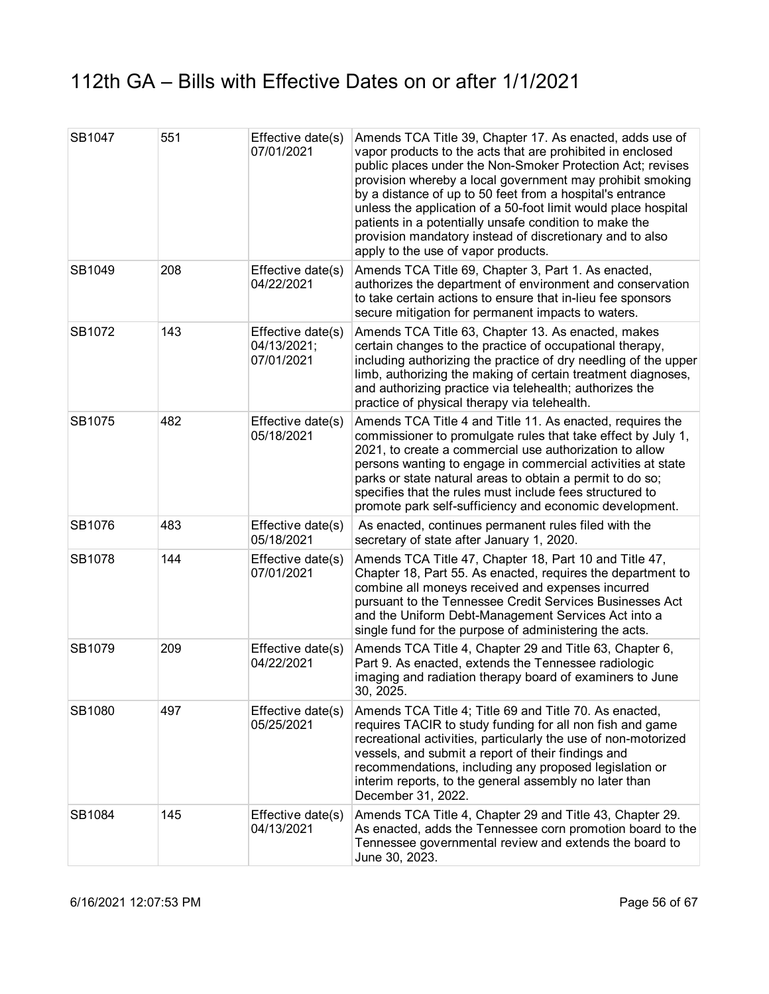| SB1047 | 551 | Effective date(s)<br>07/01/2021                | Amends TCA Title 39, Chapter 17. As enacted, adds use of<br>vapor products to the acts that are prohibited in enclosed<br>public places under the Non-Smoker Protection Act; revises<br>provision whereby a local government may prohibit smoking<br>by a distance of up to 50 feet from a hospital's entrance<br>unless the application of a 50-foot limit would place hospital<br>patients in a potentially unsafe condition to make the<br>provision mandatory instead of discretionary and to also<br>apply to the use of vapor products. |
|--------|-----|------------------------------------------------|-----------------------------------------------------------------------------------------------------------------------------------------------------------------------------------------------------------------------------------------------------------------------------------------------------------------------------------------------------------------------------------------------------------------------------------------------------------------------------------------------------------------------------------------------|
| SB1049 | 208 | Effective date(s)<br>04/22/2021                | Amends TCA Title 69, Chapter 3, Part 1. As enacted,<br>authorizes the department of environment and conservation<br>to take certain actions to ensure that in-lieu fee sponsors<br>secure mitigation for permanent impacts to waters.                                                                                                                                                                                                                                                                                                         |
| SB1072 | 143 | Effective date(s)<br>04/13/2021;<br>07/01/2021 | Amends TCA Title 63, Chapter 13. As enacted, makes<br>certain changes to the practice of occupational therapy,<br>including authorizing the practice of dry needling of the upper<br>limb, authorizing the making of certain treatment diagnoses,<br>and authorizing practice via telehealth; authorizes the<br>practice of physical therapy via telehealth.                                                                                                                                                                                  |
| SB1075 | 482 | Effective date(s)<br>05/18/2021                | Amends TCA Title 4 and Title 11. As enacted, requires the<br>commissioner to promulgate rules that take effect by July 1,<br>2021, to create a commercial use authorization to allow<br>persons wanting to engage in commercial activities at state<br>parks or state natural areas to obtain a permit to do so;<br>specifies that the rules must include fees structured to<br>promote park self-sufficiency and economic development.                                                                                                       |
| SB1076 | 483 | Effective date(s)<br>05/18/2021                | As enacted, continues permanent rules filed with the<br>secretary of state after January 1, 2020.                                                                                                                                                                                                                                                                                                                                                                                                                                             |
| SB1078 | 144 | Effective date(s)<br>07/01/2021                | Amends TCA Title 47, Chapter 18, Part 10 and Title 47,<br>Chapter 18, Part 55. As enacted, requires the department to<br>combine all moneys received and expenses incurred<br>pursuant to the Tennessee Credit Services Businesses Act<br>and the Uniform Debt-Management Services Act into a<br>single fund for the purpose of administering the acts.                                                                                                                                                                                       |
| SB1079 | 209 | Effective date(s)<br>04/22/2021                | Amends TCA Title 4, Chapter 29 and Title 63, Chapter 6,<br>Part 9. As enacted, extends the Tennessee radiologic<br>imaging and radiation therapy board of examiners to June<br>30, 2025.                                                                                                                                                                                                                                                                                                                                                      |
| SB1080 | 497 | Effective date(s)<br>05/25/2021                | Amends TCA Title 4; Title 69 and Title 70. As enacted,<br>requires TACIR to study funding for all non fish and game<br>recreational activities, particularly the use of non-motorized<br>vessels, and submit a report of their findings and<br>recommendations, including any proposed legislation or<br>interim reports, to the general assembly no later than<br>December 31, 2022.                                                                                                                                                         |
| SB1084 | 145 | Effective date(s)<br>04/13/2021                | Amends TCA Title 4, Chapter 29 and Title 43, Chapter 29.<br>As enacted, adds the Tennessee corn promotion board to the<br>Tennessee governmental review and extends the board to<br>June 30, 2023.                                                                                                                                                                                                                                                                                                                                            |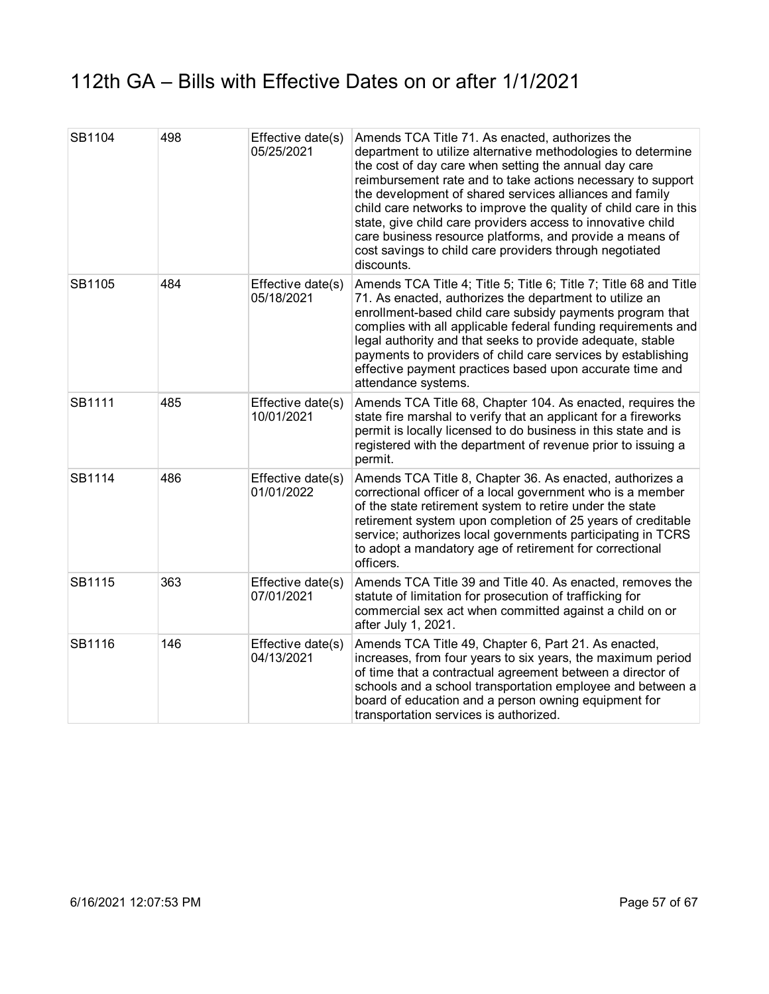| SB1104 | 498 | Effective date(s)<br>05/25/2021 | Amends TCA Title 71. As enacted, authorizes the<br>department to utilize alternative methodologies to determine<br>the cost of day care when setting the annual day care<br>reimbursement rate and to take actions necessary to support<br>the development of shared services alliances and family<br>child care networks to improve the quality of child care in this<br>state, give child care providers access to innovative child<br>care business resource platforms, and provide a means of<br>cost savings to child care providers through negotiated<br>discounts. |
|--------|-----|---------------------------------|----------------------------------------------------------------------------------------------------------------------------------------------------------------------------------------------------------------------------------------------------------------------------------------------------------------------------------------------------------------------------------------------------------------------------------------------------------------------------------------------------------------------------------------------------------------------------|
| SB1105 | 484 | Effective date(s)<br>05/18/2021 | Amends TCA Title 4; Title 5; Title 6; Title 7; Title 68 and Title<br>71. As enacted, authorizes the department to utilize an<br>enrollment-based child care subsidy payments program that<br>complies with all applicable federal funding requirements and<br>legal authority and that seeks to provide adequate, stable<br>payments to providers of child care services by establishing<br>effective payment practices based upon accurate time and<br>attendance systems.                                                                                                |
| SB1111 | 485 | Effective date(s)<br>10/01/2021 | Amends TCA Title 68, Chapter 104. As enacted, requires the<br>state fire marshal to verify that an applicant for a fireworks<br>permit is locally licensed to do business in this state and is<br>registered with the department of revenue prior to issuing a<br>permit.                                                                                                                                                                                                                                                                                                  |
| SB1114 | 486 | Effective date(s)<br>01/01/2022 | Amends TCA Title 8, Chapter 36. As enacted, authorizes a<br>correctional officer of a local government who is a member<br>of the state retirement system to retire under the state<br>retirement system upon completion of 25 years of creditable<br>service; authorizes local governments participating in TCRS<br>to adopt a mandatory age of retirement for correctional<br>officers.                                                                                                                                                                                   |
| SB1115 | 363 | Effective date(s)<br>07/01/2021 | Amends TCA Title 39 and Title 40. As enacted, removes the<br>statute of limitation for prosecution of trafficking for<br>commercial sex act when committed against a child on or<br>after July 1, 2021.                                                                                                                                                                                                                                                                                                                                                                    |
| SB1116 | 146 | Effective date(s)<br>04/13/2021 | Amends TCA Title 49, Chapter 6, Part 21. As enacted,<br>increases, from four years to six years, the maximum period<br>of time that a contractual agreement between a director of<br>schools and a school transportation employee and between a<br>board of education and a person owning equipment for<br>transportation services is authorized.                                                                                                                                                                                                                          |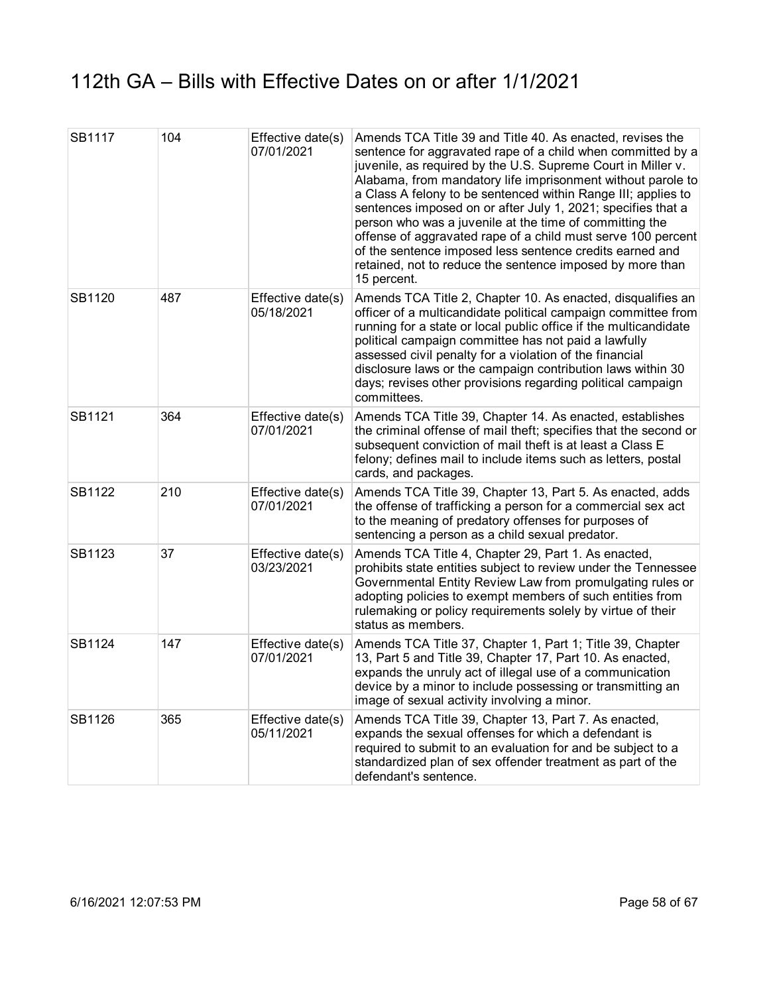| SB1117 | 104 | Effective date(s)<br>07/01/2021 | Amends TCA Title 39 and Title 40. As enacted, revises the<br>sentence for aggravated rape of a child when committed by a<br>juvenile, as required by the U.S. Supreme Court in Miller v.<br>Alabama, from mandatory life imprisonment without parole to<br>a Class A felony to be sentenced within Range III; applies to<br>sentences imposed on or after July 1, 2021; specifies that a<br>person who was a juvenile at the time of committing the<br>offense of aggravated rape of a child must serve 100 percent<br>of the sentence imposed less sentence credits earned and<br>retained, not to reduce the sentence imposed by more than<br>15 percent. |
|--------|-----|---------------------------------|-------------------------------------------------------------------------------------------------------------------------------------------------------------------------------------------------------------------------------------------------------------------------------------------------------------------------------------------------------------------------------------------------------------------------------------------------------------------------------------------------------------------------------------------------------------------------------------------------------------------------------------------------------------|
| SB1120 | 487 | Effective date(s)<br>05/18/2021 | Amends TCA Title 2, Chapter 10. As enacted, disqualifies an<br>officer of a multicandidate political campaign committee from<br>running for a state or local public office if the multicandidate<br>political campaign committee has not paid a lawfully<br>assessed civil penalty for a violation of the financial<br>disclosure laws or the campaign contribution laws within 30<br>days; revises other provisions regarding political campaign<br>committees.                                                                                                                                                                                            |
| SB1121 | 364 | Effective date(s)<br>07/01/2021 | Amends TCA Title 39, Chapter 14. As enacted, establishes<br>the criminal offense of mail theft; specifies that the second or<br>subsequent conviction of mail theft is at least a Class E<br>felony; defines mail to include items such as letters, postal<br>cards, and packages.                                                                                                                                                                                                                                                                                                                                                                          |
| SB1122 | 210 | Effective date(s)<br>07/01/2021 | Amends TCA Title 39, Chapter 13, Part 5. As enacted, adds<br>the offense of trafficking a person for a commercial sex act<br>to the meaning of predatory offenses for purposes of<br>sentencing a person as a child sexual predator.                                                                                                                                                                                                                                                                                                                                                                                                                        |
| SB1123 | 37  | Effective date(s)<br>03/23/2021 | Amends TCA Title 4, Chapter 29, Part 1. As enacted,<br>prohibits state entities subject to review under the Tennessee<br>Governmental Entity Review Law from promulgating rules or<br>adopting policies to exempt members of such entities from<br>rulemaking or policy requirements solely by virtue of their<br>status as members.                                                                                                                                                                                                                                                                                                                        |
| SB1124 | 147 | Effective date(s)<br>07/01/2021 | Amends TCA Title 37, Chapter 1, Part 1; Title 39, Chapter<br>13, Part 5 and Title 39, Chapter 17, Part 10. As enacted,<br>expands the unruly act of illegal use of a communication<br>device by a minor to include possessing or transmitting an<br>image of sexual activity involving a minor.                                                                                                                                                                                                                                                                                                                                                             |
| SB1126 | 365 | Effective date(s)<br>05/11/2021 | Amends TCA Title 39, Chapter 13, Part 7. As enacted,<br>expands the sexual offenses for which a defendant is<br>required to submit to an evaluation for and be subject to a<br>standardized plan of sex offender treatment as part of the<br>defendant's sentence.                                                                                                                                                                                                                                                                                                                                                                                          |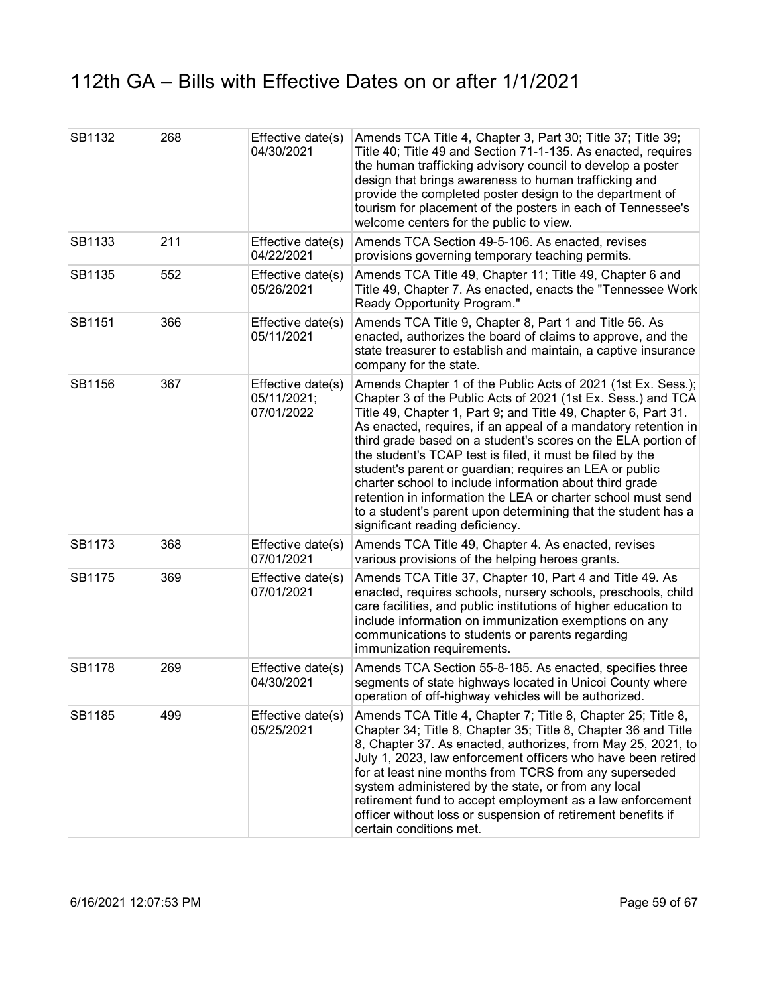| SB1132 | 268 | Effective date(s)<br>04/30/2021                | Amends TCA Title 4, Chapter 3, Part 30; Title 37; Title 39;<br>Title 40; Title 49 and Section 71-1-135. As enacted, requires<br>the human trafficking advisory council to develop a poster<br>design that brings awareness to human trafficking and<br>provide the completed poster design to the department of<br>tourism for placement of the posters in each of Tennessee's<br>welcome centers for the public to view.                                                                                                                                                                                                                                                                |
|--------|-----|------------------------------------------------|------------------------------------------------------------------------------------------------------------------------------------------------------------------------------------------------------------------------------------------------------------------------------------------------------------------------------------------------------------------------------------------------------------------------------------------------------------------------------------------------------------------------------------------------------------------------------------------------------------------------------------------------------------------------------------------|
| SB1133 | 211 | Effective date(s)<br>04/22/2021                | Amends TCA Section 49-5-106. As enacted, revises<br>provisions governing temporary teaching permits.                                                                                                                                                                                                                                                                                                                                                                                                                                                                                                                                                                                     |
| SB1135 | 552 | Effective date(s)<br>05/26/2021                | Amends TCA Title 49, Chapter 11; Title 49, Chapter 6 and<br>Title 49, Chapter 7. As enacted, enacts the "Tennessee Work<br>Ready Opportunity Program."                                                                                                                                                                                                                                                                                                                                                                                                                                                                                                                                   |
| SB1151 | 366 | Effective date(s)<br>05/11/2021                | Amends TCA Title 9, Chapter 8, Part 1 and Title 56. As<br>enacted, authorizes the board of claims to approve, and the<br>state treasurer to establish and maintain, a captive insurance<br>company for the state.                                                                                                                                                                                                                                                                                                                                                                                                                                                                        |
| SB1156 | 367 | Effective date(s)<br>05/11/2021;<br>07/01/2022 | Amends Chapter 1 of the Public Acts of 2021 (1st Ex. Sess.);<br>Chapter 3 of the Public Acts of 2021 (1st Ex. Sess.) and TCA<br>Title 49, Chapter 1, Part 9; and Title 49, Chapter 6, Part 31.<br>As enacted, requires, if an appeal of a mandatory retention in<br>third grade based on a student's scores on the ELA portion of<br>the student's TCAP test is filed, it must be filed by the<br>student's parent or guardian; requires an LEA or public<br>charter school to include information about third grade<br>retention in information the LEA or charter school must send<br>to a student's parent upon determining that the student has a<br>significant reading deficiency. |
| SB1173 | 368 | Effective date(s)<br>07/01/2021                | Amends TCA Title 49, Chapter 4. As enacted, revises<br>various provisions of the helping heroes grants.                                                                                                                                                                                                                                                                                                                                                                                                                                                                                                                                                                                  |
| SB1175 | 369 | Effective date(s)<br>07/01/2021                | Amends TCA Title 37, Chapter 10, Part 4 and Title 49. As<br>enacted, requires schools, nursery schools, preschools, child<br>care facilities, and public institutions of higher education to<br>include information on immunization exemptions on any<br>communications to students or parents regarding<br>immunization requirements.                                                                                                                                                                                                                                                                                                                                                   |
| SB1178 | 269 | Effective date(s)<br>04/30/2021                | Amends TCA Section 55-8-185. As enacted, specifies three<br>segments of state highways located in Unicoi County where<br>operation of off-highway vehicles will be authorized.                                                                                                                                                                                                                                                                                                                                                                                                                                                                                                           |
| SB1185 | 499 | Effective date(s)<br>05/25/2021                | Amends TCA Title 4, Chapter 7; Title 8, Chapter 25; Title 8,<br>Chapter 34; Title 8, Chapter 35; Title 8, Chapter 36 and Title<br>8, Chapter 37. As enacted, authorizes, from May 25, 2021, to<br>July 1, 2023, law enforcement officers who have been retired<br>for at least nine months from TCRS from any superseded<br>system administered by the state, or from any local<br>retirement fund to accept employment as a law enforcement<br>officer without loss or suspension of retirement benefits if<br>certain conditions met.                                                                                                                                                  |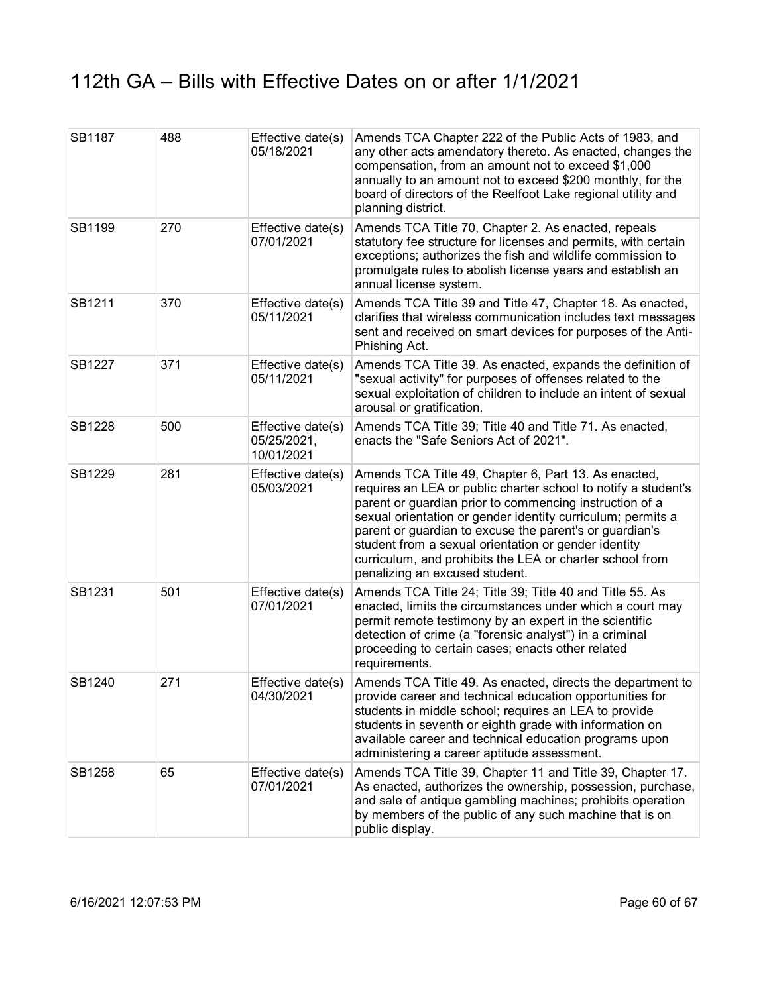| SB1187 | 488 | Effective date(s)<br>05/18/2021                | Amends TCA Chapter 222 of the Public Acts of 1983, and<br>any other acts amendatory thereto. As enacted, changes the<br>compensation, from an amount not to exceed \$1,000<br>annually to an amount not to exceed \$200 monthly, for the<br>board of directors of the Reelfoot Lake regional utility and<br>planning district.                                                                                                                                    |
|--------|-----|------------------------------------------------|-------------------------------------------------------------------------------------------------------------------------------------------------------------------------------------------------------------------------------------------------------------------------------------------------------------------------------------------------------------------------------------------------------------------------------------------------------------------|
| SB1199 | 270 | Effective date(s)<br>07/01/2021                | Amends TCA Title 70, Chapter 2. As enacted, repeals<br>statutory fee structure for licenses and permits, with certain<br>exceptions; authorizes the fish and wildlife commission to<br>promulgate rules to abolish license years and establish an<br>annual license system.                                                                                                                                                                                       |
| SB1211 | 370 | Effective date(s)<br>05/11/2021                | Amends TCA Title 39 and Title 47, Chapter 18. As enacted,<br>clarifies that wireless communication includes text messages<br>sent and received on smart devices for purposes of the Anti-<br>Phishing Act.                                                                                                                                                                                                                                                        |
| SB1227 | 371 | Effective date(s)<br>05/11/2021                | Amends TCA Title 39. As enacted, expands the definition of<br>"sexual activity" for purposes of offenses related to the<br>sexual exploitation of children to include an intent of sexual<br>arousal or gratification.                                                                                                                                                                                                                                            |
| SB1228 | 500 | Effective date(s)<br>05/25/2021,<br>10/01/2021 | Amends TCA Title 39; Title 40 and Title 71. As enacted,<br>enacts the "Safe Seniors Act of 2021".                                                                                                                                                                                                                                                                                                                                                                 |
| SB1229 | 281 | Effective date(s)<br>05/03/2021                | Amends TCA Title 49, Chapter 6, Part 13. As enacted,<br>requires an LEA or public charter school to notify a student's<br>parent or guardian prior to commencing instruction of a<br>sexual orientation or gender identity curriculum; permits a<br>parent or guardian to excuse the parent's or guardian's<br>student from a sexual orientation or gender identity<br>curriculum, and prohibits the LEA or charter school from<br>penalizing an excused student. |
| SB1231 | 501 | Effective date(s)<br>07/01/2021                | Amends TCA Title 24; Title 39; Title 40 and Title 55. As<br>enacted, limits the circumstances under which a court may<br>permit remote testimony by an expert in the scientific<br>detection of crime (a "forensic analyst") in a criminal<br>proceeding to certain cases; enacts other related<br>requirements.                                                                                                                                                  |
| SB1240 | 271 | Effective date(s)<br>04/30/2021                | Amends TCA Title 49. As enacted, directs the department to<br>provide career and technical education opportunities for<br>students in middle school; requires an LEA to provide<br>students in seventh or eighth grade with information on<br>available career and technical education programs upon<br>administering a career aptitude assessment.                                                                                                               |
| SB1258 | 65  | Effective date(s)<br>07/01/2021                | Amends TCA Title 39, Chapter 11 and Title 39, Chapter 17.<br>As enacted, authorizes the ownership, possession, purchase,<br>and sale of antique gambling machines; prohibits operation<br>by members of the public of any such machine that is on<br>public display.                                                                                                                                                                                              |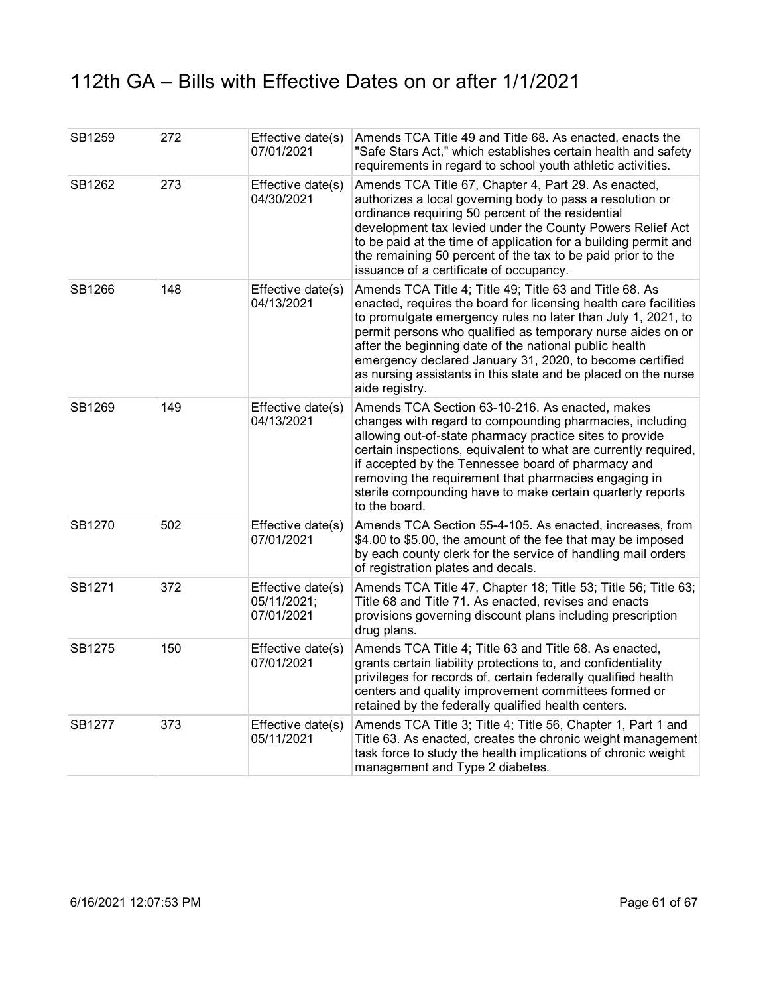| SB1259 | 272 | Effective date(s)<br>07/01/2021                | Amends TCA Title 49 and Title 68. As enacted, enacts the<br>"Safe Stars Act," which establishes certain health and safety<br>requirements in regard to school youth athletic activities.                                                                                                                                                                                                                                                                             |
|--------|-----|------------------------------------------------|----------------------------------------------------------------------------------------------------------------------------------------------------------------------------------------------------------------------------------------------------------------------------------------------------------------------------------------------------------------------------------------------------------------------------------------------------------------------|
| SB1262 | 273 | Effective date(s)<br>04/30/2021                | Amends TCA Title 67, Chapter 4, Part 29. As enacted,<br>authorizes a local governing body to pass a resolution or<br>ordinance requiring 50 percent of the residential<br>development tax levied under the County Powers Relief Act<br>to be paid at the time of application for a building permit and<br>the remaining 50 percent of the tax to be paid prior to the<br>issuance of a certificate of occupancy.                                                     |
| SB1266 | 148 | Effective date(s)<br>04/13/2021                | Amends TCA Title 4; Title 49; Title 63 and Title 68. As<br>enacted, requires the board for licensing health care facilities<br>to promulgate emergency rules no later than July 1, 2021, to<br>permit persons who qualified as temporary nurse aides on or<br>after the beginning date of the national public health<br>emergency declared January 31, 2020, to become certified<br>as nursing assistants in this state and be placed on the nurse<br>aide registry. |
| SB1269 | 149 | Effective date(s)<br>04/13/2021                | Amends TCA Section 63-10-216. As enacted, makes<br>changes with regard to compounding pharmacies, including<br>allowing out-of-state pharmacy practice sites to provide<br>certain inspections, equivalent to what are currently required,<br>if accepted by the Tennessee board of pharmacy and<br>removing the requirement that pharmacies engaging in<br>sterile compounding have to make certain quarterly reports<br>to the board.                              |
| SB1270 | 502 | Effective date(s)<br>07/01/2021                | Amends TCA Section 55-4-105. As enacted, increases, from<br>\$4.00 to \$5.00, the amount of the fee that may be imposed<br>by each county clerk for the service of handling mail orders<br>of registration plates and decals.                                                                                                                                                                                                                                        |
| SB1271 | 372 | Effective date(s)<br>05/11/2021;<br>07/01/2021 | Amends TCA Title 47, Chapter 18; Title 53; Title 56; Title 63;<br>Title 68 and Title 71. As enacted, revises and enacts<br>provisions governing discount plans including prescription<br>drug plans.                                                                                                                                                                                                                                                                 |
| SB1275 | 150 | Effective date(s)<br>07/01/2021                | Amends TCA Title 4; Title 63 and Title 68. As enacted,<br>grants certain liability protections to, and confidentiality<br>privileges for records of, certain federally qualified health<br>centers and quality improvement committees formed or<br>retained by the federally qualified health centers.                                                                                                                                                               |
| SB1277 | 373 | Effective date(s)<br>05/11/2021                | Amends TCA Title 3; Title 4; Title 56, Chapter 1, Part 1 and<br>Title 63. As enacted, creates the chronic weight management<br>task force to study the health implications of chronic weight<br>management and Type 2 diabetes.                                                                                                                                                                                                                                      |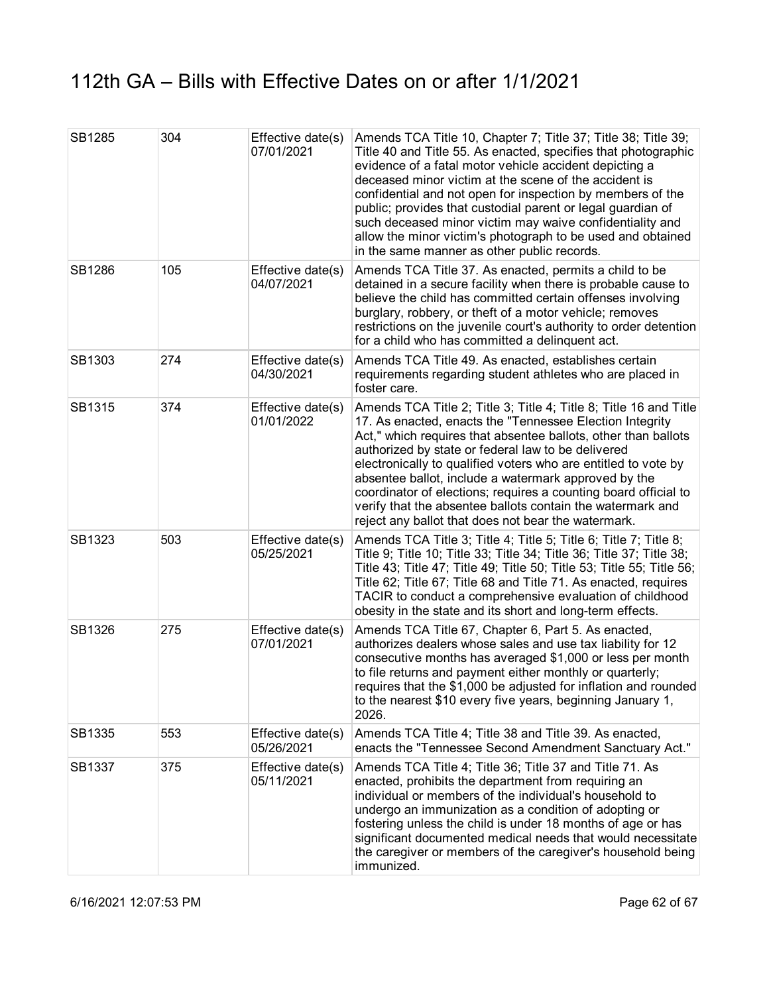| SB1285 | 304 | Effective date(s)<br>07/01/2021 | Amends TCA Title 10, Chapter 7; Title 37; Title 38; Title 39;<br>Title 40 and Title 55. As enacted, specifies that photographic<br>evidence of a fatal motor vehicle accident depicting a<br>deceased minor victim at the scene of the accident is<br>confidential and not open for inspection by members of the<br>public; provides that custodial parent or legal guardian of<br>such deceased minor victim may waive confidentiality and<br>allow the minor victim's photograph to be used and obtained<br>in the same manner as other public records.               |
|--------|-----|---------------------------------|-------------------------------------------------------------------------------------------------------------------------------------------------------------------------------------------------------------------------------------------------------------------------------------------------------------------------------------------------------------------------------------------------------------------------------------------------------------------------------------------------------------------------------------------------------------------------|
| SB1286 | 105 | Effective date(s)<br>04/07/2021 | Amends TCA Title 37. As enacted, permits a child to be<br>detained in a secure facility when there is probable cause to<br>believe the child has committed certain offenses involving<br>burglary, robbery, or theft of a motor vehicle; removes<br>restrictions on the juvenile court's authority to order detention<br>for a child who has committed a delinquent act.                                                                                                                                                                                                |
| SB1303 | 274 | Effective date(s)<br>04/30/2021 | Amends TCA Title 49. As enacted, establishes certain<br>requirements regarding student athletes who are placed in<br>foster care.                                                                                                                                                                                                                                                                                                                                                                                                                                       |
| SB1315 | 374 | Effective date(s)<br>01/01/2022 | Amends TCA Title 2; Title 3; Title 4; Title 8; Title 16 and Title<br>17. As enacted, enacts the "Tennessee Election Integrity<br>Act," which requires that absentee ballots, other than ballots<br>authorized by state or federal law to be delivered<br>electronically to qualified voters who are entitled to vote by<br>absentee ballot, include a watermark approved by the<br>coordinator of elections; requires a counting board official to<br>verify that the absentee ballots contain the watermark and<br>reject any ballot that does not bear the watermark. |
| SB1323 | 503 | Effective date(s)<br>05/25/2021 | Amends TCA Title 3; Title 4; Title 5; Title 6; Title 7; Title 8;<br>Title 9; Title 10; Title 33; Title 34; Title 36; Title 37; Title 38;<br>Title 43; Title 47; Title 49; Title 50; Title 53; Title 55; Title 56;<br>Title 62; Title 67; Title 68 and Title 71. As enacted, requires<br>TACIR to conduct a comprehensive evaluation of childhood<br>obesity in the state and its short and long-term effects.                                                                                                                                                           |
| SB1326 | 275 | Effective date(s)<br>07/01/2021 | Amends TCA Title 67, Chapter 6, Part 5. As enacted,<br>authorizes dealers whose sales and use tax liability for 12<br>consecutive months has averaged \$1,000 or less per month<br>to file returns and payment either monthly or quarterly;<br>requires that the \$1,000 be adjusted for inflation and rounded<br>to the nearest \$10 every five years, beginning January 1,<br>2026.                                                                                                                                                                                   |
| SB1335 | 553 | Effective date(s)<br>05/26/2021 | Amends TCA Title 4; Title 38 and Title 39. As enacted,<br>enacts the "Tennessee Second Amendment Sanctuary Act."                                                                                                                                                                                                                                                                                                                                                                                                                                                        |
| SB1337 | 375 | Effective date(s)<br>05/11/2021 | Amends TCA Title 4; Title 36; Title 37 and Title 71. As<br>enacted, prohibits the department from requiring an<br>individual or members of the individual's household to<br>undergo an immunization as a condition of adopting or<br>fostering unless the child is under 18 months of age or has<br>significant documented medical needs that would necessitate<br>the caregiver or members of the caregiver's household being<br>immunized.                                                                                                                            |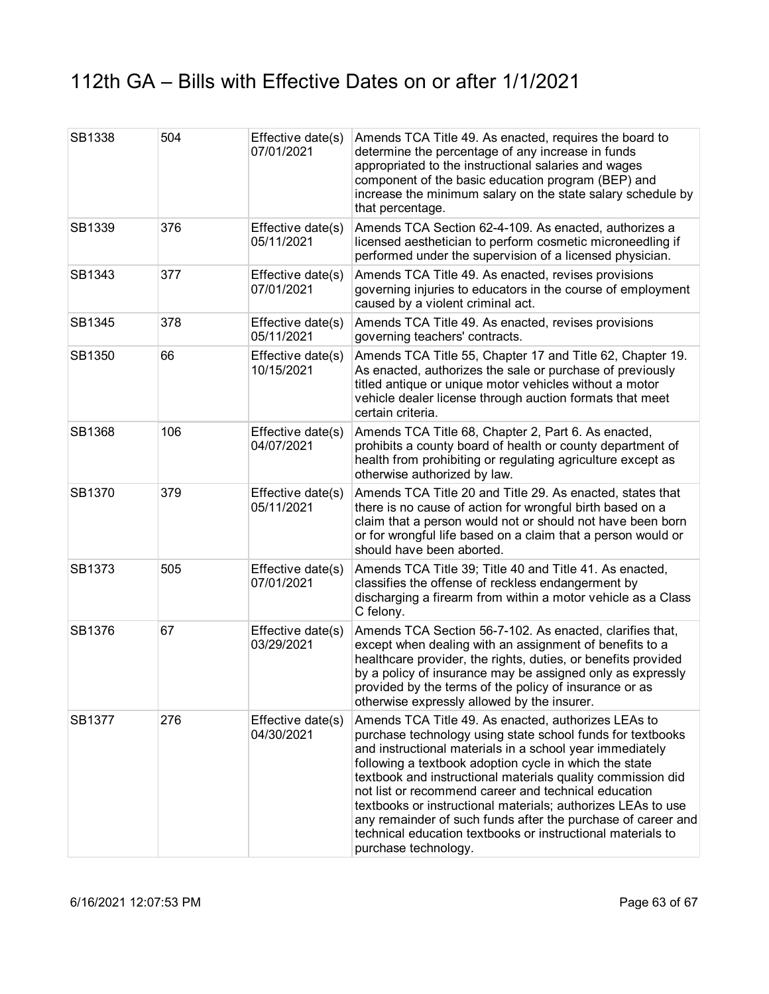| SB1338        | 504 | Effective date(s)<br>07/01/2021 | Amends TCA Title 49. As enacted, requires the board to<br>determine the percentage of any increase in funds<br>appropriated to the instructional salaries and wages<br>component of the basic education program (BEP) and<br>increase the minimum salary on the state salary schedule by<br>that percentage.                                                                                                                                                                                                                                                                          |
|---------------|-----|---------------------------------|---------------------------------------------------------------------------------------------------------------------------------------------------------------------------------------------------------------------------------------------------------------------------------------------------------------------------------------------------------------------------------------------------------------------------------------------------------------------------------------------------------------------------------------------------------------------------------------|
| SB1339        | 376 | Effective date(s)<br>05/11/2021 | Amends TCA Section 62-4-109. As enacted, authorizes a<br>licensed aesthetician to perform cosmetic microneedling if<br>performed under the supervision of a licensed physician.                                                                                                                                                                                                                                                                                                                                                                                                       |
| SB1343        | 377 | Effective date(s)<br>07/01/2021 | Amends TCA Title 49. As enacted, revises provisions<br>governing injuries to educators in the course of employment<br>caused by a violent criminal act.                                                                                                                                                                                                                                                                                                                                                                                                                               |
| SB1345        | 378 | Effective date(s)<br>05/11/2021 | Amends TCA Title 49. As enacted, revises provisions<br>governing teachers' contracts.                                                                                                                                                                                                                                                                                                                                                                                                                                                                                                 |
| SB1350        | 66  | Effective date(s)<br>10/15/2021 | Amends TCA Title 55, Chapter 17 and Title 62, Chapter 19.<br>As enacted, authorizes the sale or purchase of previously<br>titled antique or unique motor vehicles without a motor<br>vehicle dealer license through auction formats that meet<br>certain criteria.                                                                                                                                                                                                                                                                                                                    |
| <b>SB1368</b> | 106 | Effective date(s)<br>04/07/2021 | Amends TCA Title 68, Chapter 2, Part 6. As enacted,<br>prohibits a county board of health or county department of<br>health from prohibiting or regulating agriculture except as<br>otherwise authorized by law.                                                                                                                                                                                                                                                                                                                                                                      |
| SB1370        | 379 | Effective date(s)<br>05/11/2021 | Amends TCA Title 20 and Title 29. As enacted, states that<br>there is no cause of action for wrongful birth based on a<br>claim that a person would not or should not have been born<br>or for wrongful life based on a claim that a person would or<br>should have been aborted.                                                                                                                                                                                                                                                                                                     |
| SB1373        | 505 | Effective date(s)<br>07/01/2021 | Amends TCA Title 39; Title 40 and Title 41. As enacted,<br>classifies the offense of reckless endangerment by<br>discharging a firearm from within a motor vehicle as a Class<br>C felony.                                                                                                                                                                                                                                                                                                                                                                                            |
| SB1376        | 67  | Effective date(s)<br>03/29/2021 | Amends TCA Section 56-7-102. As enacted, clarifies that,<br>except when dealing with an assignment of benefits to a<br>healthcare provider, the rights, duties, or benefits provided<br>by a policy of insurance may be assigned only as expressly<br>provided by the terms of the policy of insurance or as<br>otherwise expressly allowed by the insurer.                                                                                                                                                                                                                           |
| SB1377        | 276 | Effective date(s)<br>04/30/2021 | Amends TCA Title 49. As enacted, authorizes LEAs to<br>purchase technology using state school funds for textbooks<br>and instructional materials in a school year immediately<br>following a textbook adoption cycle in which the state<br>textbook and instructional materials quality commission did<br>not list or recommend career and technical education<br>textbooks or instructional materials; authorizes LEAs to use<br>any remainder of such funds after the purchase of career and<br>technical education textbooks or instructional materials to<br>purchase technology. |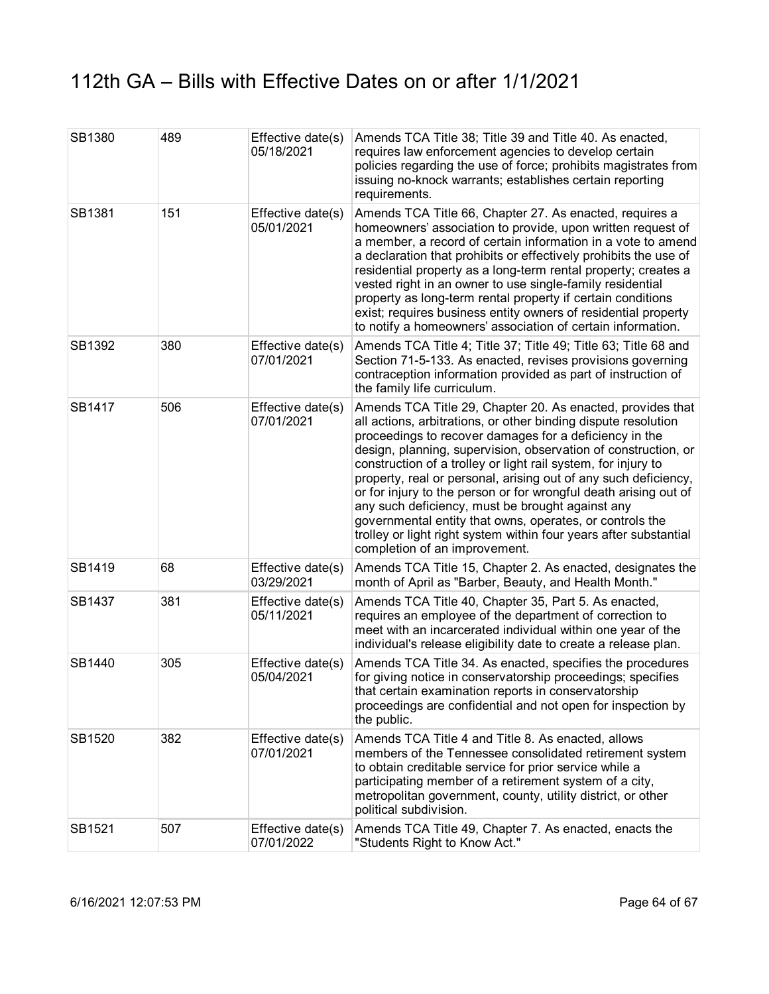| SB1380 | 489 | Effective date(s)<br>05/18/2021 | Amends TCA Title 38; Title 39 and Title 40. As enacted,<br>requires law enforcement agencies to develop certain<br>policies regarding the use of force; prohibits magistrates from<br>issuing no-knock warrants; establishes certain reporting<br>requirements.                                                                                                                                                                                                                                                                                                                                                                                                                        |
|--------|-----|---------------------------------|----------------------------------------------------------------------------------------------------------------------------------------------------------------------------------------------------------------------------------------------------------------------------------------------------------------------------------------------------------------------------------------------------------------------------------------------------------------------------------------------------------------------------------------------------------------------------------------------------------------------------------------------------------------------------------------|
| SB1381 | 151 | Effective date(s)<br>05/01/2021 | Amends TCA Title 66, Chapter 27. As enacted, requires a<br>homeowners' association to provide, upon written request of<br>a member, a record of certain information in a vote to amend<br>a declaration that prohibits or effectively prohibits the use of<br>residential property as a long-term rental property; creates a<br>vested right in an owner to use single-family residential<br>property as long-term rental property if certain conditions<br>exist; requires business entity owners of residential property<br>to notify a homeowners' association of certain information.                                                                                              |
| SB1392 | 380 | Effective date(s)<br>07/01/2021 | Amends TCA Title 4; Title 37; Title 49; Title 63; Title 68 and<br>Section 71-5-133. As enacted, revises provisions governing<br>contraception information provided as part of instruction of<br>the family life curriculum.                                                                                                                                                                                                                                                                                                                                                                                                                                                            |
| SB1417 | 506 | Effective date(s)<br>07/01/2021 | Amends TCA Title 29, Chapter 20. As enacted, provides that<br>all actions, arbitrations, or other binding dispute resolution<br>proceedings to recover damages for a deficiency in the<br>design, planning, supervision, observation of construction, or<br>construction of a trolley or light rail system, for injury to<br>property, real or personal, arising out of any such deficiency,<br>or for injury to the person or for wrongful death arising out of<br>any such deficiency, must be brought against any<br>governmental entity that owns, operates, or controls the<br>trolley or light right system within four years after substantial<br>completion of an improvement. |
| SB1419 | 68  | Effective date(s)<br>03/29/2021 | Amends TCA Title 15, Chapter 2. As enacted, designates the<br>month of April as "Barber, Beauty, and Health Month."                                                                                                                                                                                                                                                                                                                                                                                                                                                                                                                                                                    |
| SB1437 | 381 | Effective date(s)<br>05/11/2021 | Amends TCA Title 40, Chapter 35, Part 5. As enacted,<br>requires an employee of the department of correction to<br>meet with an incarcerated individual within one year of the<br>individual's release eligibility date to create a release plan.                                                                                                                                                                                                                                                                                                                                                                                                                                      |
| SB1440 | 305 | Effective date(s)<br>05/04/2021 | Amends TCA Title 34. As enacted, specifies the procedures<br>for giving notice in conservatorship proceedings; specifies<br>that certain examination reports in conservatorship<br>proceedings are confidential and not open for inspection by<br>the public.                                                                                                                                                                                                                                                                                                                                                                                                                          |
| SB1520 | 382 | Effective date(s)<br>07/01/2021 | Amends TCA Title 4 and Title 8. As enacted, allows<br>members of the Tennessee consolidated retirement system<br>to obtain creditable service for prior service while a<br>participating member of a retirement system of a city,<br>metropolitan government, county, utility district, or other<br>political subdivision.                                                                                                                                                                                                                                                                                                                                                             |
| SB1521 | 507 | Effective date(s)<br>07/01/2022 | Amends TCA Title 49, Chapter 7. As enacted, enacts the<br>"Students Right to Know Act."                                                                                                                                                                                                                                                                                                                                                                                                                                                                                                                                                                                                |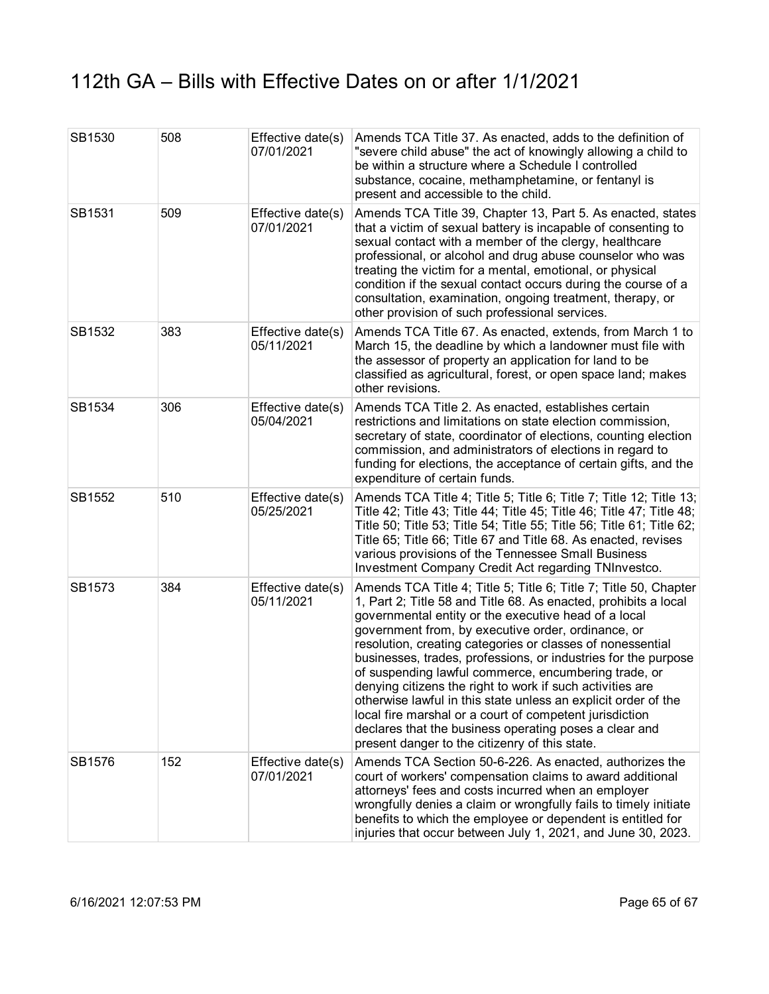| SB1530 | 508 | Effective date(s)<br>07/01/2021 | Amends TCA Title 37. As enacted, adds to the definition of<br>"severe child abuse" the act of knowingly allowing a child to<br>be within a structure where a Schedule I controlled<br>substance, cocaine, methamphetamine, or fentanyl is<br>present and accessible to the child.                                                                                                                                                                                                                                                                                                                                                                                                                                                               |
|--------|-----|---------------------------------|-------------------------------------------------------------------------------------------------------------------------------------------------------------------------------------------------------------------------------------------------------------------------------------------------------------------------------------------------------------------------------------------------------------------------------------------------------------------------------------------------------------------------------------------------------------------------------------------------------------------------------------------------------------------------------------------------------------------------------------------------|
| SB1531 | 509 | Effective date(s)<br>07/01/2021 | Amends TCA Title 39, Chapter 13, Part 5. As enacted, states<br>that a victim of sexual battery is incapable of consenting to<br>sexual contact with a member of the clergy, healthcare<br>professional, or alcohol and drug abuse counselor who was<br>treating the victim for a mental, emotional, or physical<br>condition if the sexual contact occurs during the course of a<br>consultation, examination, ongoing treatment, therapy, or<br>other provision of such professional services.                                                                                                                                                                                                                                                 |
| SB1532 | 383 | Effective date(s)<br>05/11/2021 | Amends TCA Title 67. As enacted, extends, from March 1 to<br>March 15, the deadline by which a landowner must file with<br>the assessor of property an application for land to be<br>classified as agricultural, forest, or open space land; makes<br>other revisions.                                                                                                                                                                                                                                                                                                                                                                                                                                                                          |
| SB1534 | 306 | Effective date(s)<br>05/04/2021 | Amends TCA Title 2. As enacted, establishes certain<br>restrictions and limitations on state election commission,<br>secretary of state, coordinator of elections, counting election<br>commission, and administrators of elections in regard to<br>funding for elections, the acceptance of certain gifts, and the<br>expenditure of certain funds.                                                                                                                                                                                                                                                                                                                                                                                            |
| SB1552 | 510 | Effective date(s)<br>05/25/2021 | Amends TCA Title 4; Title 5; Title 6; Title 7; Title 12; Title 13;<br>Title 42; Title 43; Title 44; Title 45; Title 46; Title 47; Title 48;<br>Title 50; Title 53; Title 54; Title 55; Title 56; Title 61; Title 62;<br>Title 65; Title 66; Title 67 and Title 68. As enacted, revises<br>various provisions of the Tennessee Small Business<br>Investment Company Credit Act regarding TNInvestco.                                                                                                                                                                                                                                                                                                                                             |
| SB1573 | 384 | Effective date(s)<br>05/11/2021 | Amends TCA Title 4; Title 5; Title 6; Title 7; Title 50, Chapter<br>1, Part 2; Title 58 and Title 68. As enacted, prohibits a local<br>governmental entity or the executive head of a local<br>government from, by executive order, ordinance, or<br>resolution, creating categories or classes of nonessential<br>businesses, trades, professions, or industries for the purpose<br>of suspending lawful commerce, encumbering trade, or<br>denying citizens the right to work if such activities are<br>otherwise lawful in this state unless an explicit order of the<br>local fire marshal or a court of competent jurisdiction<br>declares that the business operating poses a clear and<br>present danger to the citizenry of this state. |
| SB1576 | 152 | Effective date(s)<br>07/01/2021 | Amends TCA Section 50-6-226. As enacted, authorizes the<br>court of workers' compensation claims to award additional<br>attorneys' fees and costs incurred when an employer<br>wrongfully denies a claim or wrongfully fails to timely initiate<br>benefits to which the employee or dependent is entitled for<br>injuries that occur between July 1, 2021, and June 30, 2023.                                                                                                                                                                                                                                                                                                                                                                  |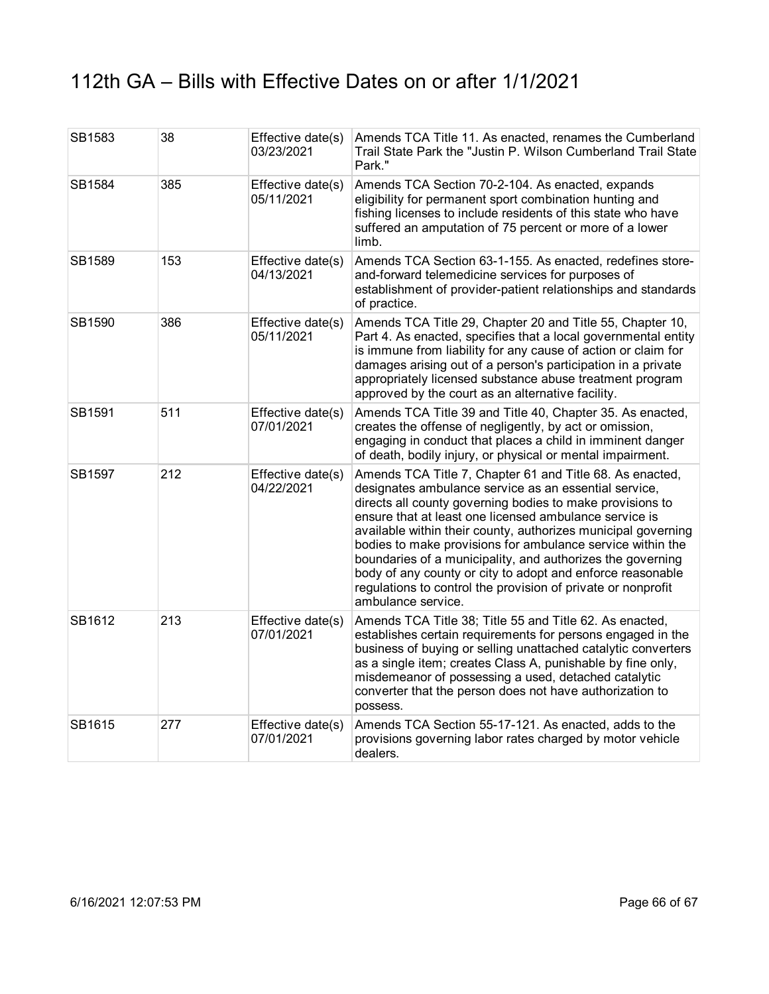| SB1583 | 38  | Effective date(s)<br>03/23/2021 | Amends TCA Title 11. As enacted, renames the Cumberland<br>Trail State Park the "Justin P. Wilson Cumberland Trail State<br>Park."                                                                                                                                                                                                                                                                                                                                                                                                                                                        |
|--------|-----|---------------------------------|-------------------------------------------------------------------------------------------------------------------------------------------------------------------------------------------------------------------------------------------------------------------------------------------------------------------------------------------------------------------------------------------------------------------------------------------------------------------------------------------------------------------------------------------------------------------------------------------|
| SB1584 | 385 | Effective date(s)<br>05/11/2021 | Amends TCA Section 70-2-104. As enacted, expands<br>eligibility for permanent sport combination hunting and<br>fishing licenses to include residents of this state who have<br>suffered an amputation of 75 percent or more of a lower<br>limb.                                                                                                                                                                                                                                                                                                                                           |
| SB1589 | 153 | Effective date(s)<br>04/13/2021 | Amends TCA Section 63-1-155. As enacted, redefines store-<br>and-forward telemedicine services for purposes of<br>establishment of provider-patient relationships and standards<br>of practice.                                                                                                                                                                                                                                                                                                                                                                                           |
| SB1590 | 386 | Effective date(s)<br>05/11/2021 | Amends TCA Title 29, Chapter 20 and Title 55, Chapter 10,<br>Part 4. As enacted, specifies that a local governmental entity<br>is immune from liability for any cause of action or claim for<br>damages arising out of a person's participation in a private<br>appropriately licensed substance abuse treatment program<br>approved by the court as an alternative facility.                                                                                                                                                                                                             |
| SB1591 | 511 | Effective date(s)<br>07/01/2021 | Amends TCA Title 39 and Title 40, Chapter 35. As enacted,<br>creates the offense of negligently, by act or omission,<br>engaging in conduct that places a child in imminent danger<br>of death, bodily injury, or physical or mental impairment.                                                                                                                                                                                                                                                                                                                                          |
| SB1597 | 212 | Effective date(s)<br>04/22/2021 | Amends TCA Title 7, Chapter 61 and Title 68. As enacted,<br>designates ambulance service as an essential service,<br>directs all county governing bodies to make provisions to<br>ensure that at least one licensed ambulance service is<br>available within their county, authorizes municipal governing<br>bodies to make provisions for ambulance service within the<br>boundaries of a municipality, and authorizes the governing<br>body of any county or city to adopt and enforce reasonable<br>regulations to control the provision of private or nonprofit<br>ambulance service. |
| SB1612 | 213 | Effective date(s)<br>07/01/2021 | Amends TCA Title 38; Title 55 and Title 62. As enacted,<br>establishes certain requirements for persons engaged in the<br>business of buying or selling unattached catalytic converters<br>as a single item; creates Class A, punishable by fine only,<br>misdemeanor of possessing a used, detached catalytic<br>converter that the person does not have authorization to<br>possess.                                                                                                                                                                                                    |
| SB1615 | 277 | Effective date(s)<br>07/01/2021 | Amends TCA Section 55-17-121. As enacted, adds to the<br>provisions governing labor rates charged by motor vehicle<br>dealers.                                                                                                                                                                                                                                                                                                                                                                                                                                                            |